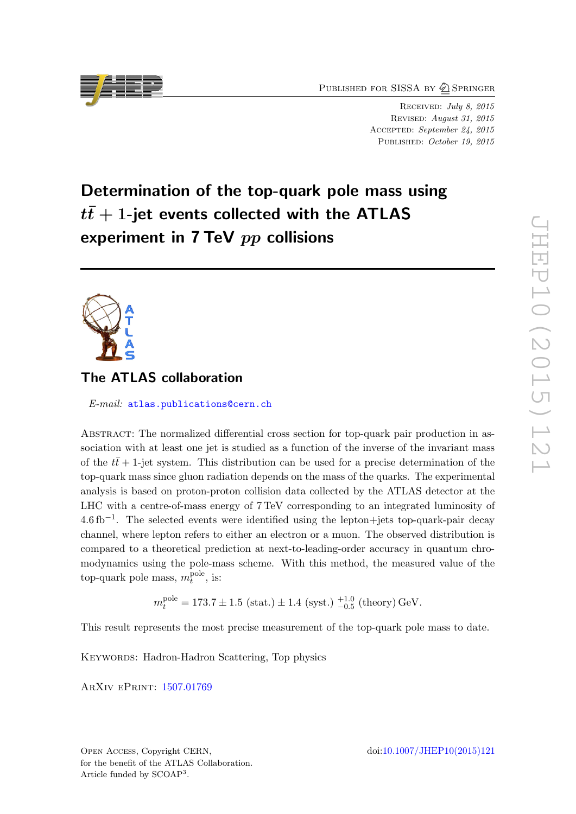PUBLISHED FOR SISSA BY 2 SPRINGER

Received: July 8, 2015 Revised: August 31, 2015 ACCEPTED: September 24, 2015 PUBLISHED: October 19, 2015

# Determination of the top-quark pole mass using  $t\bar{t}+1$ -jet events collected with the ATLAS experiment in  $7$  TeV  $pp$  collisions

# The ATLAS collaboration

E-mail: [atlas.publications@cern.ch](mailto:atlas.publications@cern.ch)

Abstract: The normalized differential cross section for top-quark pair production in association with at least one jet is studied as a function of the inverse of the invariant mass of the  $t\bar{t}$  + 1-jet system. This distribution can be used for a precise determination of the top-quark mass since gluon radiation depends on the mass of the quarks. The experimental analysis is based on proton-proton collision data collected by the ATLAS detector at the LHC with a centre-of-mass energy of 7 TeV corresponding to an integrated luminosity of  $4.6\,\text{fb}^{-1}$ . The selected events were identified using the lepton+jets top-quark-pair decay channel, where lepton refers to either an electron or a muon. The observed distribution is compared to a theoretical prediction at next-to-leading-order accuracy in quantum chromodynamics using the pole-mass scheme. With this method, the measured value of the top-quark pole mass,  $m_t^{\text{pole}}$  $_t^{\text{pole}},$  is:

 $m_t^{\text{pole}} = 173.7 \pm 1.5 \text{ (stat.)} \pm 1.4 \text{ (syst.)} \frac{+1.0}{-0.5} \text{ (theory) GeV}.$ 

This result represents the most precise measurement of the top-quark pole mass to date.

KEYWORDS: Hadron-Hadron Scattering, Top physics

ArXiv ePrint: [1507.01769](http://arxiv.org/abs/1507.01769)

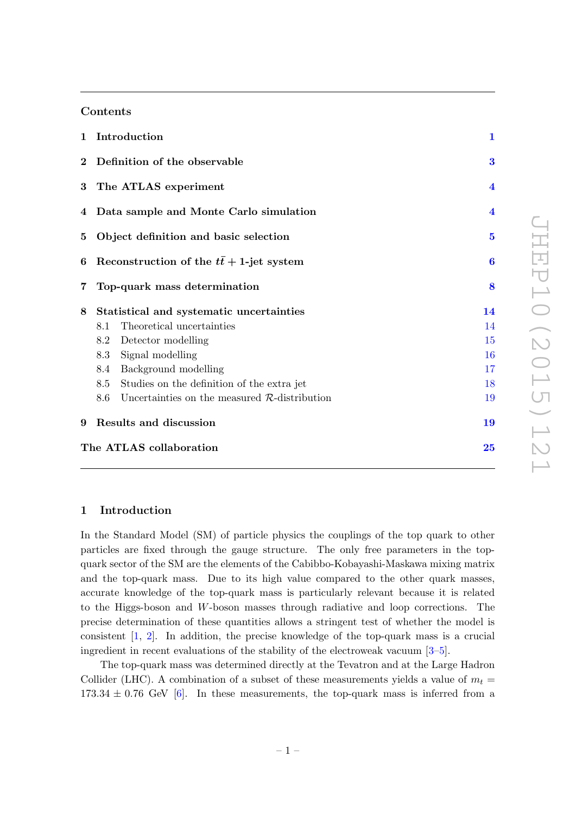# Contents

| 1 Introduction          | $\mathbf{1}$                                           |                         |  |  |
|-------------------------|--------------------------------------------------------|-------------------------|--|--|
|                         | 2 Definition of the observable                         | 3                       |  |  |
|                         | 3 The ATLAS experiment                                 | $\overline{\mathbf{4}}$ |  |  |
|                         | 4 Data sample and Monte Carlo simulation               |                         |  |  |
| $\bf{5}$                | $\overline{5}$                                         |                         |  |  |
| 6                       | Reconstruction of the $t\bar{t}$ + 1-jet system        | $\boldsymbol{6}$        |  |  |
| $\overline{7}$          | Top-quark mass determination                           | 8                       |  |  |
| 8                       | Statistical and systematic uncertainties               | 14                      |  |  |
|                         | Theoretical uncertainties<br>8.1                       | 14                      |  |  |
|                         | 8.2<br>Detector modelling                              | 15                      |  |  |
|                         | 8.3<br>Signal modelling                                | 16                      |  |  |
|                         | Background modelling<br>8.4                            | 17                      |  |  |
|                         | Studies on the definition of the extra jet<br>8.5      | 18                      |  |  |
|                         | 8.6<br>Uncertainties on the measured $R$ -distribution | 19                      |  |  |
| 9                       | Results and discussion                                 | 19                      |  |  |
| The ATLAS collaboration |                                                        |                         |  |  |

#### <span id="page-1-0"></span>1 Introduction

In the Standard Model (SM) of particle physics the couplings of the top quark to other particles are fixed through the gauge structure. The only free parameters in the topquark sector of the SM are the elements of the Cabibbo-Kobayashi-Maskawa mixing matrix and the top-quark mass. Due to its high value compared to the other quark masses, accurate knowledge of the top-quark mass is particularly relevant because it is related to the Higgs-boson and W-boson masses through radiative and loop corrections. The precise determination of these quantities allows a stringent test of whether the model is consistent [\[1,](#page-21-0) [2\]](#page-21-1). In addition, the precise knowledge of the top-quark mass is a crucial ingredient in recent evaluations of the stability of the electroweak vacuum [\[3–](#page-21-2)[5\]](#page-21-3).

The top-quark mass was determined directly at the Tevatron and at the Large Hadron Collider (LHC). A combination of a subset of these measurements yields a value of  $m_t =$  $173.34 \pm 0.76$  GeV [\[6\]](#page-21-4). In these measurements, the top-quark mass is inferred from a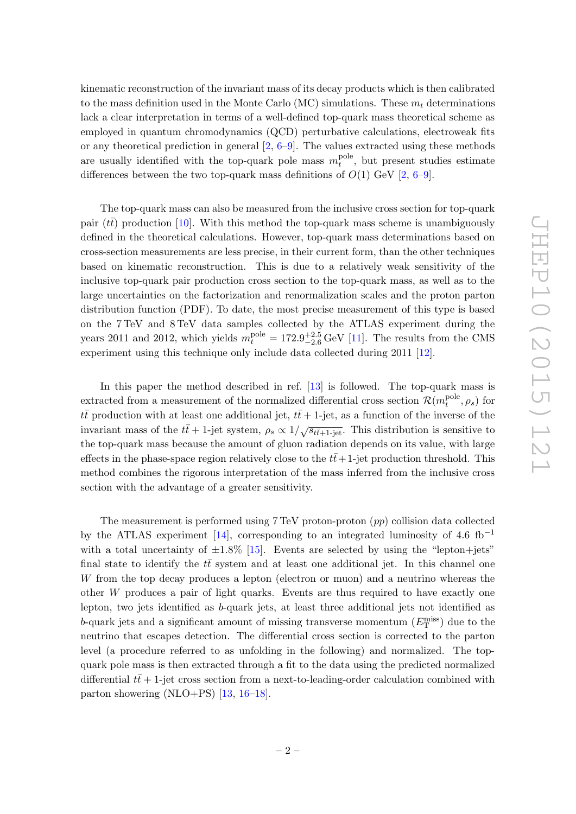kinematic reconstruction of the invariant mass of its decay products which is then calibrated to the mass definition used in the Monte Carlo (MC) simulations. These  $m_t$  determinations lack a clear interpretation in terms of a well-defined top-quark mass theoretical scheme as employed in quantum chromodynamics (QCD) perturbative calculations, electroweak fits or any theoretical prediction in general  $[2, 6-9]$  $[2, 6-9]$  $[2, 6-9]$ . The values extracted using these methods are usually identified with the top-quark pole mass  $m_t^{\text{pole}}$  $t_t^{\text{pore}}$ , but present studies estimate differences between the two top-quark mass definitions of  $O(1)$  GeV [\[2,](#page-21-1) [6](#page-21-4)[–9\]](#page-21-5).

The top-quark mass can also be measured from the inclusive cross section for top-quark pair ( $t\bar{t}$ ) production [\[10\]](#page-21-6). With this method the top-quark mass scheme is unambiguously defined in the theoretical calculations. However, top-quark mass determinations based on cross-section measurements are less precise, in their current form, than the other techniques based on kinematic reconstruction. This is due to a relatively weak sensitivity of the inclusive top-quark pair production cross section to the top-quark mass, as well as to the large uncertainties on the factorization and renormalization scales and the proton parton distribution function (PDF). To date, the most precise measurement of this type is based on the 7 TeV and 8 TeV data samples collected by the ATLAS experiment during the years 2011 and 2012, which yields  $m_t^{\text{pole}} = 172.9^{+2.5}_{-2.6} \text{ GeV}$  [\[11\]](#page-21-7). The results from the CMS experiment using this technique only include data collected during 2011 [\[12\]](#page-21-8).

In this paper the method described in ref. [\[13\]](#page-21-9) is followed. The top-quark mass is extracted from a measurement of the normalized differential cross section  $\mathcal{R}(m_t^{\text{pole}})$  $t_t^{\text{pole}}, \rho_s$ ) for  $t\bar{t}$  production with at least one additional jet,  $t\bar{t}$  + 1-jet, as a function of the inverse of the invariant mass of the  $t\bar{t}$  + 1-jet system,  $\rho_s \propto 1/\sqrt{s_{t\bar{t}+1-\text{jet}}}.$  This distribution is sensitive to the top-quark mass because the amount of gluon radiation depends on its value, with large effects in the phase-space region relatively close to the  $t\bar{t}+1$ -jet production threshold. This method combines the rigorous interpretation of the mass inferred from the inclusive cross section with the advantage of a greater sensitivity.

The measurement is performed using 7 TeV proton-proton (pp) collision data collected by the ATLAS experiment [\[14\]](#page-21-10), corresponding to an integrated luminosity of 4.6 fb<sup>-1</sup> with a total uncertainty of  $\pm 1.8\%$  [\[15\]](#page-21-11). Events are selected by using the "lepton+jets" final state to identify the  $t\bar{t}$  system and at least one additional jet. In this channel one W from the top decay produces a lepton (electron or muon) and a neutrino whereas the other W produces a pair of light quarks. Events are thus required to have exactly one lepton, two jets identified as b-quark jets, at least three additional jets not identified as b-quark jets and a significant amount of missing transverse momentum  $(E_{\text{T}}^{\text{miss}})$  due to the neutrino that escapes detection. The differential cross section is corrected to the parton level (a procedure referred to as unfolding in the following) and normalized. The topquark pole mass is then extracted through a fit to the data using the predicted normalized differential  $t\bar{t}+1$ -jet cross section from a next-to-leading-order calculation combined with parton showering  $(NLO+PS)$  [\[13,](#page-21-9) [16](#page-21-12)[–18\]](#page-22-0).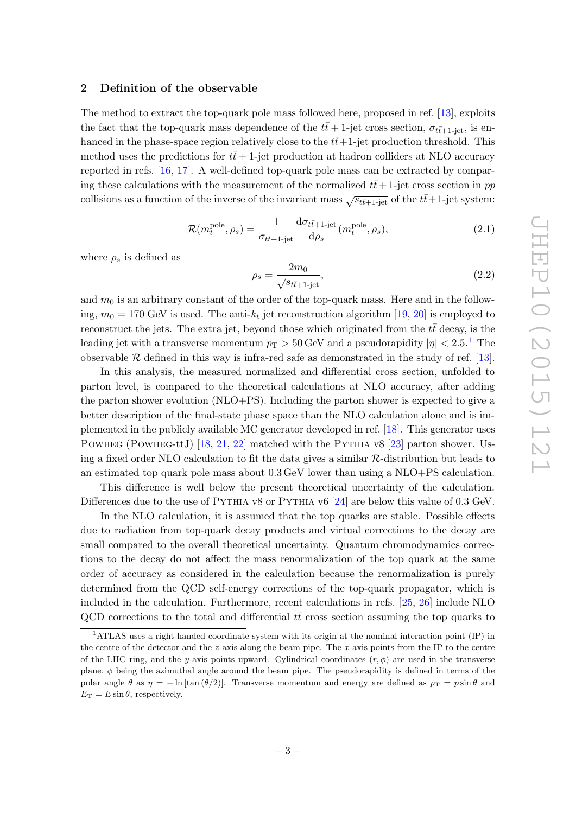#### <span id="page-3-0"></span>2 Definition of the observable

The method to extract the top-quark pole mass followed here, proposed in ref. [\[13\]](#page-21-9), exploits the fact that the top-quark mass dependence of the  $t\bar{t}$  + 1-jet cross section,  $\sigma_{t\bar{t}+1-\text{jet}}$ , is enhanced in the phase-space region relatively close to the  $t\bar{t}+1$ -jet production threshold. This method uses the predictions for  $t\bar{t}$  + 1-jet production at hadron colliders at NLO accuracy reported in refs. [\[16,](#page-21-12) [17\]](#page-21-13). A well-defined top-quark pole mass can be extracted by comparing these calculations with the measurement of the normalized  $t\bar{t}+1$ -jet cross section in pp collisions as a function of the inverse of the invariant mass  $\sqrt{s_{t\bar{t}+1-\text{jet}}}\$  of the  $t\bar{t}+1$ -jet system:

<span id="page-3-2"></span>
$$
\mathcal{R}(m_t^{\text{pole}}, \rho_s) = \frac{1}{\sigma_{t\bar{t}+1\text{-jet}}} \frac{\mathrm{d}\sigma_{t\bar{t}+1\text{-jet}}}{\mathrm{d}\rho_s}(m_t^{\text{pole}}, \rho_s),\tag{2.1}
$$

where  $\rho_s$  is defined as

$$
\rho_s = \frac{2m_0}{\sqrt{s_{t\bar{t}+1-\text{jet}}}},\tag{2.2}
$$

and  $m_0$  is an arbitrary constant of the order of the top-quark mass. Here and in the following,  $m_0 = 170$  GeV is used. The anti- $k_t$  jet reconstruction algorithm [\[19,](#page-22-1) [20\]](#page-22-2) is employed to reconstruct the jets. The extra jet, beyond those which originated from the  $t\bar{t}$  decay, is the leading jet with a transverse momentum  $p_T > 50$  GeV and a pseudorapidity  $|\eta| < 2.5$ .<sup>[1](#page-3-1)</sup> The observable  $R$  defined in this way is infra-red safe as demonstrated in the study of ref. [\[13\]](#page-21-9).

In this analysis, the measured normalized and differential cross section, unfolded to parton level, is compared to the theoretical calculations at NLO accuracy, after adding the parton shower evolution  $(NLO+PS)$ . Including the parton shower is expected to give a better description of the final-state phase space than the NLO calculation alone and is implemented in the publicly available MC generator developed in ref. [\[18\]](#page-22-0). This generator uses POWHEG (POWHEG-ttJ) [\[18,](#page-22-0) [21,](#page-22-3) [22\]](#page-22-4) matched with the PYTHIA v8 [\[23\]](#page-22-5) parton shower. Using a fixed order NLO calculation to fit the data gives a similar R-distribution but leads to an estimated top quark pole mass about 0.3 GeV lower than using a NLO+PS calculation.

This difference is well below the present theoretical uncertainty of the calculation. Differences due to the use of PYTHIA v8 or PYTHIA v6 [\[24\]](#page-22-6) are below this value of 0.3 GeV.

In the NLO calculation, it is assumed that the top quarks are stable. Possible effects due to radiation from top-quark decay products and virtual corrections to the decay are small compared to the overall theoretical uncertainty. Quantum chromodynamics corrections to the decay do not affect the mass renormalization of the top quark at the same order of accuracy as considered in the calculation because the renormalization is purely determined from the QCD self-energy corrections of the top-quark propagator, which is included in the calculation. Furthermore, recent calculations in refs. [\[25,](#page-22-7) [26\]](#page-22-8) include NLO QCD corrections to the total and differential  $t\bar{t}$  cross section assuming the top quarks to

<span id="page-3-1"></span><sup>1</sup>ATLAS uses a right-handed coordinate system with its origin at the nominal interaction point (IP) in the centre of the detector and the z-axis along the beam pipe. The x-axis points from the IP to the centre of the LHC ring, and the y-axis points upward. Cylindrical coordinates  $(r, \phi)$  are used in the transverse plane,  $\phi$  being the azimuthal angle around the beam pipe. The pseudorapidity is defined in terms of the polar angle  $\theta$  as  $\eta = -\ln[\tan(\theta/2)]$ . Transverse momentum and energy are defined as  $p_T = p \sin \theta$  and  $E_T = E \sin \theta$ , respectively.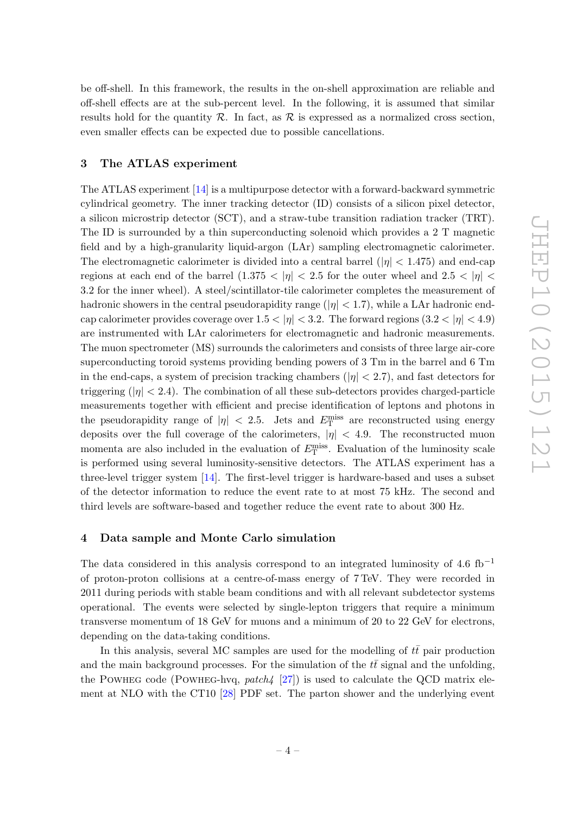be off-shell. In this framework, the results in the on-shell approximation are reliable and off-shell effects are at the sub-percent level. In the following, it is assumed that similar results hold for the quantity  $\mathcal{R}$ . In fact, as  $\mathcal{R}$  is expressed as a normalized cross section, even smaller effects can be expected due to possible cancellations.

## <span id="page-4-0"></span>3 The ATLAS experiment

The ATLAS experiment [\[14\]](#page-21-10) is a multipurpose detector with a forward-backward symmetric cylindrical geometry. The inner tracking detector (ID) consists of a silicon pixel detector, a silicon microstrip detector (SCT), and a straw-tube transition radiation tracker (TRT). The ID is surrounded by a thin superconducting solenoid which provides a 2 T magnetic field and by a high-granularity liquid-argon (LAr) sampling electromagnetic calorimeter. The electromagnetic calorimeter is divided into a central barrel ( $|\eta|$  < 1.475) and end-cap regions at each end of the barrel  $(1.375 < |\eta| < 2.5$  for the outer wheel and  $2.5 < |\eta| <$ 3.2 for the inner wheel). A steel/scintillator-tile calorimeter completes the measurement of hadronic showers in the central pseudorapidity range ( $|\eta| < 1.7$ ), while a LAr hadronic endcap calorimeter provides coverage over  $1.5 < |\eta| < 3.2$ . The forward regions  $(3.2 < |\eta| < 4.9)$ are instrumented with LAr calorimeters for electromagnetic and hadronic measurements. The muon spectrometer (MS) surrounds the calorimeters and consists of three large air-core superconducting toroid systems providing bending powers of 3 Tm in the barrel and 6 Tm in the end-caps, a system of precision tracking chambers ( $|\eta| < 2.7$ ), and fast detectors for triggering  $(|\eta| < 2.4)$ . The combination of all these sub-detectors provides charged-particle measurements together with efficient and precise identification of leptons and photons in the pseudorapidity range of  $|\eta|$  < 2.5. Jets and  $E_{\rm T}^{\rm miss}$  are reconstructed using energy deposits over the full coverage of the calorimeters,  $|\eta|$  < 4.9. The reconstructed muon momenta are also included in the evaluation of  $E_{\rm T}^{\rm miss}$ . Evaluation of the luminosity scale is performed using several luminosity-sensitive detectors. The ATLAS experiment has a three-level trigger system [\[14\]](#page-21-10). The first-level trigger is hardware-based and uses a subset of the detector information to reduce the event rate to at most 75 kHz. The second and third levels are software-based and together reduce the event rate to about 300 Hz.

#### <span id="page-4-1"></span>4 Data sample and Monte Carlo simulation

The data considered in this analysis correspond to an integrated luminosity of 4.6 fb<sup>-1</sup> of proton-proton collisions at a centre-of-mass energy of 7 TeV. They were recorded in 2011 during periods with stable beam conditions and with all relevant subdetector systems operational. The events were selected by single-lepton triggers that require a minimum transverse momentum of 18 GeV for muons and a minimum of 20 to 22 GeV for electrons, depending on the data-taking conditions.

In this analysis, several MC samples are used for the modelling of  $t\bar{t}$  pair production and the main background processes. For the simulation of the  $t\bar{t}$  signal and the unfolding, the POWHEG code (POWHEG-hvq, patch  $\{27\}$ ) is used to calculate the QCD matrix element at NLO with the CT10 [\[28\]](#page-22-10) PDF set. The parton shower and the underlying event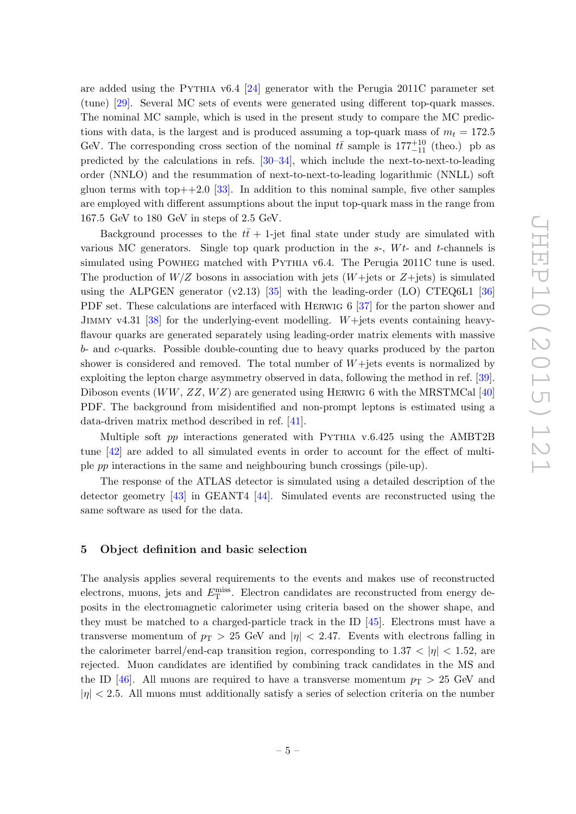are added using the PYTHIA v6.4  $[24]$  generator with the Perugia 2011C parameter set (tune) [\[29\]](#page-22-11). Several MC sets of events were generated using different top-quark masses. The nominal MC sample, which is used in the present study to compare the MC predictions with data, is the largest and is produced assuming a top-quark mass of  $m_t = 172.5$ GeV. The corresponding cross section of the nominal  $t\bar{t}$  sample is  $177^{+10}_{-11}$  (theo.) pb as predicted by the calculations in refs. [\[30](#page-22-12)[–34\]](#page-22-13), which include the next-to-next-to-leading order (NNLO) and the resummation of next-to-next-to-leading logarithmic (NNLL) soft gluon terms with top $++2.0$  [\[33\]](#page-22-14). In addition to this nominal sample, five other samples are employed with different assumptions about the input top-quark mass in the range from 167.5 GeV to 180 GeV in steps of 2.5 GeV.

Background processes to the  $t\bar{t}$  + 1-jet final state under study are simulated with various MC generators. Single top quark production in the  $s$ -,  $Wt$ - and  $t$ -channels is simulated using POWHEG matched with PYTHIA v6.4. The Perugia 2011C tune is used. The production of  $W/Z$  bosons in association with jets  $(W+\text{jets or } Z+\text{jets})$  is simulated using the ALPGEN generator  $(v2.13)$  [\[35\]](#page-22-15) with the leading-order (LO) CTEQ6L1 [\[36\]](#page-23-0) PDF set. These calculations are interfaced with HERWIG 6 [\[37\]](#page-23-1) for the parton shower and JIMMY v4.31 [\[38\]](#page-23-2) for the underlying-event modelling. W+jets events containing heavyflavour quarks are generated separately using leading-order matrix elements with massive b- and c-quarks. Possible double-counting due to heavy quarks produced by the parton shower is considered and removed. The total number of  $W+$ jets events is normalized by exploiting the lepton charge asymmetry observed in data, following the method in ref. [\[39\]](#page-23-3). Diboson events  $(WW, ZZ, WZ)$  are generated using HERWIG 6 with the MRSTMCal [\[40\]](#page-23-4) PDF. The background from misidentified and non-prompt leptons is estimated using a data-driven matrix method described in ref. [\[41\]](#page-23-5).

Multiple soft pp interactions generated with PYTHIA v.6.425 using the AMBT2B tune [\[42\]](#page-23-6) are added to all simulated events in order to account for the effect of multiple pp interactions in the same and neighbouring bunch crossings (pile-up).

The response of the ATLAS detector is simulated using a detailed description of the detector geometry [\[43\]](#page-23-7) in GEANT4 [\[44\]](#page-23-8). Simulated events are reconstructed using the same software as used for the data.

#### <span id="page-5-0"></span>5 Object definition and basic selection

The analysis applies several requirements to the events and makes use of reconstructed electrons, muons, jets and  $E_{\rm T}^{\rm miss}$ . Electron candidates are reconstructed from energy deposits in the electromagnetic calorimeter using criteria based on the shower shape, and they must be matched to a charged-particle track in the ID [\[45\]](#page-23-9). Electrons must have a transverse momentum of  $p_T > 25$  GeV and  $|\eta| < 2.47$ . Events with electrons falling in the calorimeter barrel/end-cap transition region, corresponding to  $1.37 < |\eta| < 1.52$ , are rejected. Muon candidates are identified by combining track candidates in the MS and the ID [\[46\]](#page-23-10). All muons are required to have a transverse momentum  $p_T > 25$  GeV and  $|\eta|$  < 2.5. All muons must additionally satisfy a series of selection criteria on the number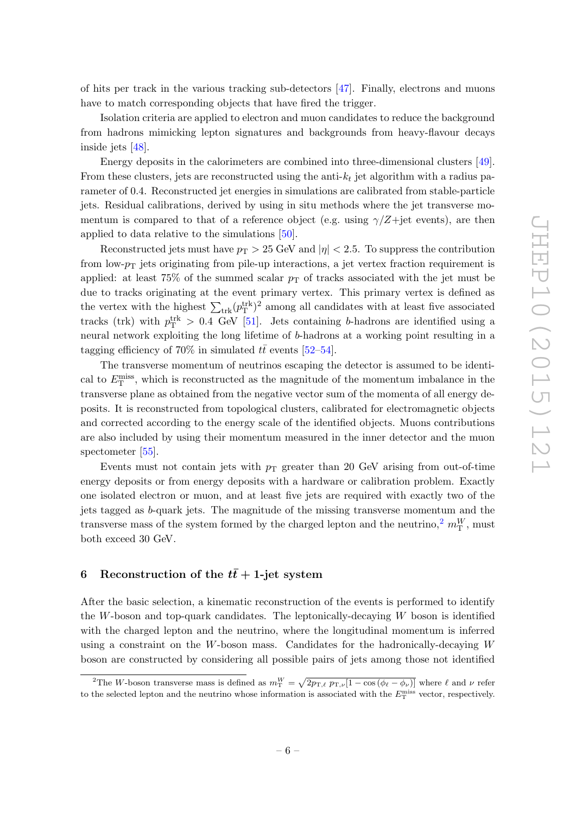of hits per track in the various tracking sub-detectors [\[47\]](#page-23-11). Finally, electrons and muons have to match corresponding objects that have fired the trigger.

Isolation criteria are applied to electron and muon candidates to reduce the background from hadrons mimicking lepton signatures and backgrounds from heavy-flavour decays inside jets [\[48\]](#page-23-12).

Energy deposits in the calorimeters are combined into three-dimensional clusters [\[49\]](#page-23-13). From these clusters, jets are reconstructed using the anti- $k_t$  jet algorithm with a radius parameter of 0.4. Reconstructed jet energies in simulations are calibrated from stable-particle jets. Residual calibrations, derived by using in situ methods where the jet transverse momentum is compared to that of a reference object (e.g. using  $\gamma/Z +$ jet events), are then applied to data relative to the simulations [\[50\]](#page-23-14).

Reconstructed jets must have  $p_T > 25$  GeV and  $|\eta| < 2.5$ . To suppress the contribution from low- $p_T$  jets originating from pile-up interactions, a jet vertex fraction requirement is applied: at least  $75\%$  of the summed scalar  $p<sub>T</sub>$  of tracks associated with the jet must be due to tracks originating at the event primary vertex. This primary vertex is defined as the vertex with the highest  $\sum_{\text{trk}} (p_T^{\text{trk}})^2$  among all candidates with at least five associated tracks (trk) with  $p_T^{\text{trk}} > 0.4$  GeV [\[51\]](#page-23-15). Jets containing b-hadrons are identified using a neural network exploiting the long lifetime of b-hadrons at a working point resulting in a tagging efficiency of 70% in simulated  $t\bar{t}$  events [\[52](#page-23-16)[–54\]](#page-24-0).

The transverse momentum of neutrinos escaping the detector is assumed to be identical to  $E_{\rm T}^{\rm miss}$ , which is reconstructed as the magnitude of the momentum imbalance in the transverse plane as obtained from the negative vector sum of the momenta of all energy deposits. It is reconstructed from topological clusters, calibrated for electromagnetic objects and corrected according to the energy scale of the identified objects. Muons contributions are also included by using their momentum measured in the inner detector and the muon spectometer [\[55\]](#page-24-1).

Events must not contain jets with  $p_T$  greater than 20 GeV arising from out-of-time energy deposits or from energy deposits with a hardware or calibration problem. Exactly one isolated electron or muon, and at least five jets are required with exactly two of the jets tagged as b-quark jets. The magnitude of the missing transverse momentum and the transverse mass of the system formed by the charged lepton and the neutrino,<sup>[2](#page-6-1)</sup>  $m_{\text{T}}^W$ , must both exceed 30 GeV.

# <span id="page-6-0"></span>6 Reconstruction of the  $t\bar{t}$  + 1-jet system

After the basic selection, a kinematic reconstruction of the events is performed to identify the W-boson and top-quark candidates. The leptonically-decaying  $W$  boson is identified with the charged lepton and the neutrino, where the longitudinal momentum is inferred using a constraint on the  $W$ -boson mass. Candidates for the hadronically-decaying  $W$ boson are constructed by considering all possible pairs of jets among those not identified

<span id="page-6-1"></span><sup>&</sup>lt;sup>2</sup>The W-boson transverse mass is defined as  $m_{\rm T}^W = \sqrt{2p_{\rm T,\ell} p_{\rm T,\nu}[1 - \cos(\phi_\ell - \phi_\nu)]}$  where  $\ell$  and  $\nu$  refer to the selected lepton and the neutrino whose information is associated with the  $E_{\rm T}^{\rm miss}$  vector, respectively.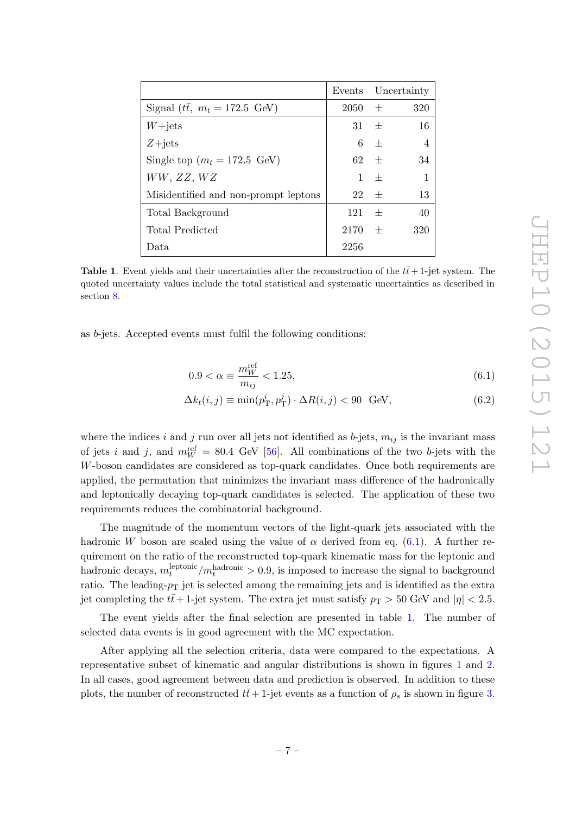|                                          |              |         | Events Uncertainty |
|------------------------------------------|--------------|---------|--------------------|
| Signal ( $t\bar{t}$ , $m_t = 172.5$ GeV) | $2050 \pm 1$ |         | 320                |
| $W + jets$                               | $31 \pm$     |         | 16                 |
| $Z + jets$                               |              | $6 \pm$ | -4                 |
| Single top $(m_t = 172.5 \text{ GeV})$   | $62 +$       |         | 34                 |
| WW, ZZ, WZ                               |              | $1 +$   | $\mathbf{1}$       |
| Misidentified and non-prompt leptons     | 22           | $+$     | 13                 |
| Total Background                         | 121          | $+$     | 40                 |
| Total Predicted                          | $2170 \pm$   |         | 320                |
| Data                                     | 2256         |         |                    |

<span id="page-7-1"></span>**Table 1.** Event yields and their uncertainties after the reconstruction of the  $t\bar{t}+1$ -jet system. The quoted uncertainty values include the total statistical and systematic uncertainties as described in section [8.](#page-14-0)

as b-jets. Accepted events must fulfil the following conditions:

<span id="page-7-0"></span>
$$
0.9 < \alpha \equiv \frac{m_W^{\text{ref}}}{m_{ij}} < 1.25,\tag{6.1}
$$

$$
\Delta k_t(i,j) \equiv \min(p_\text{T}^i, p_\text{T}^j) \cdot \Delta R(i,j) < 90 \quad \text{GeV},\tag{6.2}
$$

where the indices i and j run over all jets not identified as b-jets,  $m_{ij}$  is the invariant mass of jets i and j, and  $m_W^{\text{ref}} = 80.4 \text{ GeV}$  [\[56\]](#page-24-2). All combinations of the two b-jets with the W-boson candidates are considered as top-quark candidates. Once both requirements are applied, the permutation that minimizes the invariant mass difference of the hadronically and leptonically decaying top-quark candidates is selected. The application of these two requirements reduces the combinatorial background.

The magnitude of the momentum vectors of the light-quark jets associated with the hadronic W boson are scaled using the value of  $\alpha$  derived from eq. [\(6.1\)](#page-7-0). A further requirement on the ratio of the reconstructed top-quark kinematic mass for the leptonic and hadronic decays,  $m_t^{\text{leptonic}}$  $t_t^{\text{leptonic}}/m_t^{\text{hadronic}} > 0.9$ , is imposed to increase the signal to background ratio. The leading- $p_T$  jet is selected among the remaining jets and is identified as the extra jet completing the  $t\bar{t}$  + 1-jet system. The extra jet must satisfy  $p_T > 50$  GeV and  $|\eta| < 2.5$ .

The event yields after the final selection are presented in table [1.](#page-7-1) The number of selected data events is in good agreement with the MC expectation.

After applying all the selection criteria, data were compared to the expectations. A representative subset of kinematic and angular distributions is shown in figures [1](#page-8-1) and [2.](#page-9-0) In all cases, good agreement between data and prediction is observed. In addition to these plots, the number of reconstructed  $t\bar{t}$  + 1-jet events as a function of  $\rho_s$  is shown in figure [3.](#page-10-0)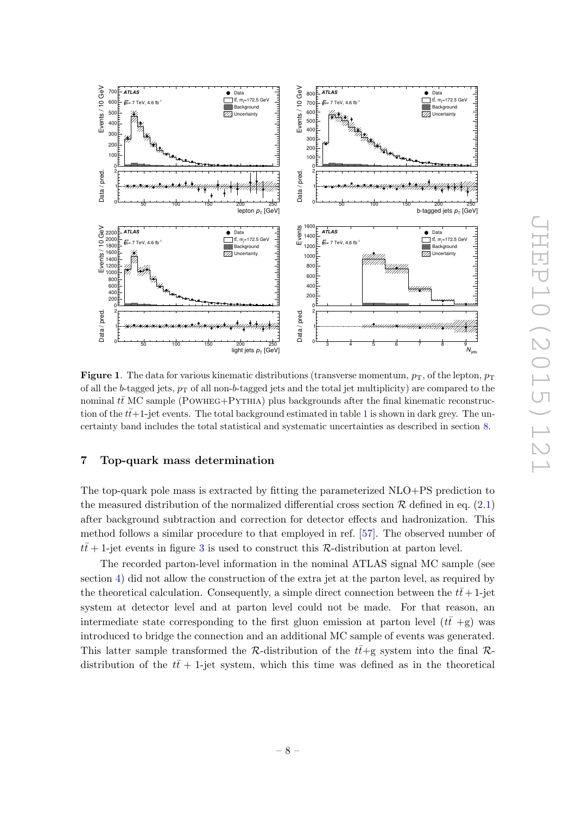

<span id="page-8-1"></span>**Figure 1.** The data for various kinematic distributions (transverse momentum,  $p_T$ , of the lepton,  $p_T$ of all the b-tagged jets,  $p_T$  of all non-b-tagged jets and the total jet multiplicity) are compared to the nominal tt $\overline{t}$  MC sample (POWHEG+PYTHIA) plus backgrounds after the final kinematic reconstruction of the  $t\bar{t}+1$  $t\bar{t}+1$ -jet events. The total background estimated in table 1 is shown in dark grey. The uncertainty band includes the total statistical and systematic uncertainties as described in section [8.](#page-14-0)

### <span id="page-8-0"></span>7 Top-quark mass determination

The top-quark pole mass is extracted by fitting the parameterized NLO+PS prediction to the measured distribution of the normalized differential cross section  $\mathcal R$  defined in eq. [\(2.1\)](#page-3-2) after background subtraction and correction for detector effects and hadronization. This method follows a similar procedure to that employed in ref. [\[57\]](#page-24-3). The observed number of  $t\bar{t}$  + 1-jet events in figure [3](#page-10-0) is used to construct this R-distribution at parton level.

The recorded parton-level information in the nominal ATLAS signal MC sample (see section [4\)](#page-4-1) did not allow the construction of the extra jet at the parton level, as required by the theoretical calculation. Consequently, a simple direct connection between the  $t\bar{t}$  + 1-jet system at detector level and at parton level could not be made. For that reason, an intermediate state corresponding to the first gluon emission at parton level  $(t\bar{t} + g)$  was introduced to bridge the connection and an additional MC sample of events was generated. This latter sample transformed the R-distribution of the  $t\bar{t}$ +g system into the final Rdistribution of the  $t\bar{t}$  + 1-jet system, which this time was defined as in the theoretical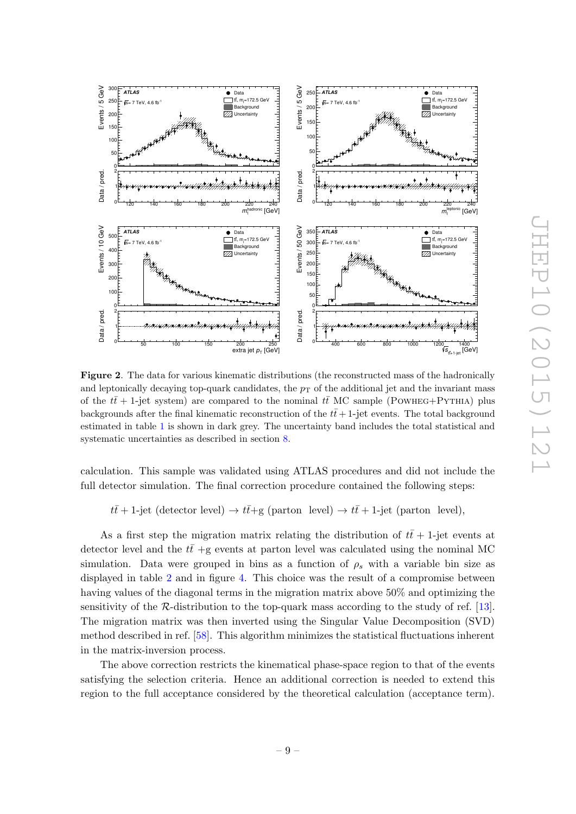

<span id="page-9-0"></span>Figure 2. The data for various kinematic distributions (the reconstructed mass of the hadronically and leptonically decaying top-quark candidates, the  $p<sub>T</sub>$  of the additional jet and the invariant mass of the  $t\bar{t}$  + 1-jet system) are compared to the nominal  $t\bar{t}$  MC sample (POWHEG+PYTHIA) plus backgrounds after the final kinematic reconstruction of the  $t\bar{t}+1$ -jet events. The total background estimated in table [1](#page-7-1) is shown in dark grey. The uncertainty band includes the total statistical and systematic uncertainties as described in section [8.](#page-14-0)

calculation. This sample was validated using ATLAS procedures and did not include the full detector simulation. The final correction procedure contained the following steps:

 $t\bar{t}$  + 1-jet (detector level)  $\rightarrow t\bar{t}$  + g (parton level)  $\rightarrow t\bar{t}$  + 1-jet (parton level),

As a first step the migration matrix relating the distribution of  $t\bar{t}$  + 1-jet events at detector level and the  $t\bar{t}$  +g events at parton level was calculated using the nominal MC simulation. Data were grouped in bins as a function of  $\rho_s$  with a variable bin size as displayed in table [2](#page-11-0) and in figure [4.](#page-12-0) This choice was the result of a compromise between having values of the diagonal terms in the migration matrix above 50% and optimizing the sensitivity of the  $R$ -distribution to the top-quark mass according to the study of ref. [\[13\]](#page-21-9). The migration matrix was then inverted using the Singular Value Decomposition (SVD) method described in ref. [\[58\]](#page-24-4). This algorithm minimizes the statistical fluctuations inherent in the matrix-inversion process.

The above correction restricts the kinematical phase-space region to that of the events satisfying the selection criteria. Hence an additional correction is needed to extend this region to the full acceptance considered by the theoretical calculation (acceptance term).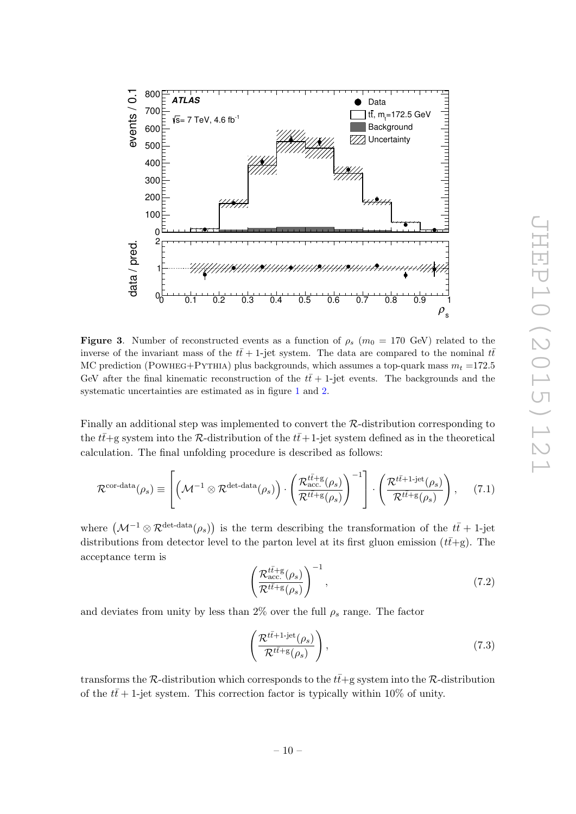

<span id="page-10-0"></span>**Figure 3.** Number of reconstructed events as a function of  $\rho_s$  ( $m_0 = 170$  GeV) related to the inverse of the invariant mass of the  $t\bar{t}$  + 1-jet system. The data are compared to the nominal  $t\bar{t}$ MC prediction (POWHEG+PYTHIA) plus backgrounds, which assumes a top-quark mass  $m_t = 172.5$ GeV after the final kinematic reconstruction of the  $t\bar{t}$  + 1-jet events. The backgrounds and the systematic uncertainties are estimated as in figure [1](#page-8-1) and [2.](#page-9-0)

Finally an additional step was implemented to convert the R-distribution corresponding to the  $t\bar{t}$ +g system into the R-distribution of the  $t\bar{t}$ +1-jet system defined as in the theoretical calculation. The final unfolding procedure is described as follows:

<span id="page-10-1"></span>
$$
\mathcal{R}^{\text{cor-data}}(\rho_s) \equiv \left[ \left( \mathcal{M}^{-1} \otimes \mathcal{R}^{\text{det-data}}(\rho_s) \right) \cdot \left( \frac{\mathcal{R}^{\tilde{t}^{\tilde{t}^{\prime}} + g}(\rho_s)}{\mathcal{R}^{\tilde{t}^{\tilde{t}^{\prime}} + g}(\rho_s)} \right)^{-1} \right] \cdot \left( \frac{\mathcal{R}^{\tilde{t}^{\tilde{t}^{\prime}} + 1 \cdot \text{jet}}(\rho_s)}{\mathcal{R}^{\tilde{t}^{\tilde{t}^{\prime}} + g}(\rho_s)} \right), \quad (7.1)
$$

where  $(\mathcal{M}^{-1}\otimes \mathcal{R}^{\text{det-data}}(\rho_s))$  is the term describing the transformation of the  $t\bar{t}+1$ -jet distributions from detector level to the parton level at its first gluon emission  $(t\bar{t}+g)$ . The acceptance term is

$$
\left(\frac{\mathcal{R}_{\text{acc.}}^{t\bar{t}+\text{g}}(\rho_s)}{\mathcal{R}^{t\bar{t}+\text{g}}(\rho_s)}\right)^{-1},\tag{7.2}
$$

and deviates from unity by less than 2% over the full  $\rho_s$  range. The factor

$$
\left(\frac{\mathcal{R}^{t\bar{t}+1\text{-jet}}(\rho_s)}{\mathcal{R}^{t\bar{t}+\mathrm{g}}(\rho_s)}\right),\tag{7.3}
$$

transforms the R-distribution which corresponds to the  $t\bar{t}$ +g system into the R-distribution of the  $t\bar{t}$  + 1-jet system. This correction factor is typically within 10% of unity.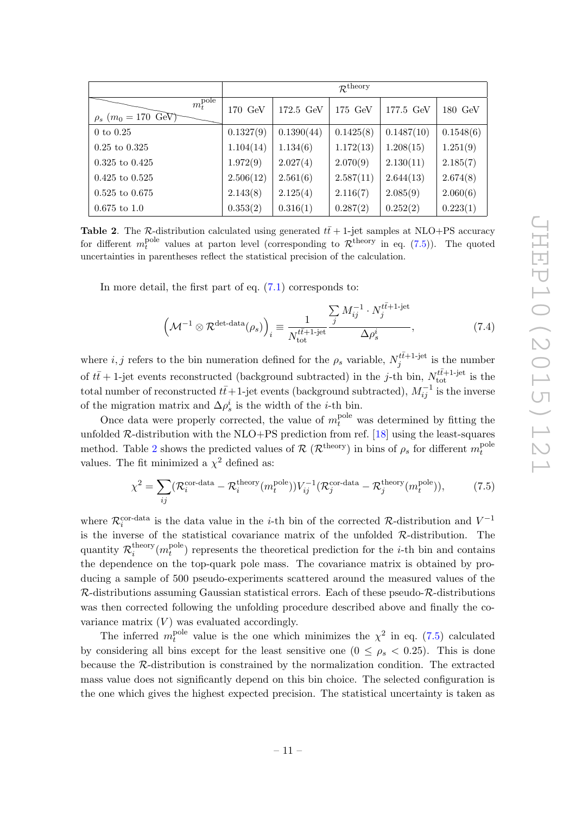|                                                                    | $\mathcal{R}^{\text{theory}}$ |            |           |            |           |
|--------------------------------------------------------------------|-------------------------------|------------|-----------|------------|-----------|
| $m_t^{\overline{\rm pole}}$<br>$\rho_s$ (m <sub>0</sub> = 170 GeV) | 170 GeV                       | 172.5 GeV  | 175 GeV   | 177.5 GeV  | 180 GeV   |
| $0 \text{ to } 0.25$                                               | 0.1327(9)                     | 0.1390(44) | 0.1425(8) | 0.1487(10) | 0.1548(6) |
| $0.25 \text{ to } 0.325$                                           | 1.104(14)                     | 1.134(6)   | 1.172(13) | 1.208(15)  | 1.251(9)  |
| $0.325$ to $0.425$                                                 | 1.972(9)                      | 2.027(4)   | 2.070(9)  | 2.130(11)  | 2.185(7)  |
| $0.425$ to $0.525$                                                 | 2.506(12)                     | 2.561(6)   | 2.587(11) | 2.644(13)  | 2.674(8)  |
| $0.525$ to $0.675$                                                 | 2.143(8)                      | 2.125(4)   | 2.116(7)  | 2.085(9)   | 2.060(6)  |
| $0.675$ to 1.0                                                     | 0.353(2)                      | 0.316(1)   | 0.287(2)  | 0.252(2)   | 0.223(1)  |

<span id="page-11-0"></span>Table 2. The R-distribution calculated using generated  $t\bar{t}$  + 1-jet samples at NLO+PS accuracy for different  $m_t^{\text{pole}}$  values at parton level (corresponding to  $\mathcal{R}^{\text{theory}}$  in eq. [\(7.5\)](#page-11-1)). The quoted uncertainties in parentheses reflect the statistical precision of the calculation.

In more detail, the first part of eq. [\(7.1\)](#page-10-1) corresponds to:

$$
\left(\mathcal{M}^{-1}\otimes\mathcal{R}^{\text{det-data}}(\rho_s)\right)_i \equiv \frac{1}{N_{\text{tot}}^{\tilde{t}\tilde{t}+1\text{-jet}}}\frac{\sum_j M_{ij}^{-1}\cdot N_j^{\tilde{t}\tilde{t}+1\text{-jet}}}{\Delta \rho_s^i},\tag{7.4}
$$

where  $i, j$  refers to the bin numeration defined for the  $\rho_s$  variable,  $N_i^{t\bar{t}+1\text{-jet}}$  $j^{tt+1-\text{jet}}$  is the number of  $t\bar{t}$  + 1-jet events reconstructed (background subtracted) in the *j*-th bin,  $N_{\text{tot}}^{t\bar{t}+1\text{-jet}}$  is the total number of reconstructed  $t\bar{t}+1$ -jet events (background subtracted),  $M_{ij}^{-1}$  is the inverse of the migration matrix and  $\Delta \rho_s^i$  is the width of the *i*-th bin.

Once data were properly corrected, the value of  $m_t^{\text{pole}}$  was determined by fitting the unfolded  $\mathcal{R}$ -distribution with the NLO+PS prediction from ref. [\[18\]](#page-22-0) using the least-squares method. Table [2](#page-11-0) shows the predicted values of  $\mathcal{R}$  ( $\mathcal{R}$ <sup>theory</sup>) in bins of  $\rho_s$  for different  $m_t^{\text{pole}}$ t values. The fit minimized a  $\chi^2$  defined as:

<span id="page-11-1"></span>
$$
\chi^2 = \sum_{ij} (\mathcal{R}_i^{\text{cor-data}} - \mathcal{R}_i^{\text{theory}}(m_t^{\text{pole}})) V_{ij}^{-1} (\mathcal{R}_j^{\text{cor-data}} - \mathcal{R}_j^{\text{theory}}(m_t^{\text{pole}})),\tag{7.5}
$$

where  $\mathcal{R}_i^{\text{cor-data}}$  is the data value in the *i*-th bin of the corrected  $\mathcal{R}$ -distribution and  $V^{-1}$ is the inverse of the statistical covariance matrix of the unfolded  $\mathcal{R}$ -distribution. The quantity  $\mathcal{R}_i^{\text{theory}}$  $i^{\text{theory}}(m_t^{\text{pole}})$  $t_t^{\text{pole}}$ ) represents the theoretical prediction for the *i*-th bin and contains the dependence on the top-quark pole mass. The covariance matrix is obtained by producing a sample of 500 pseudo-experiments scattered around the measured values of the  $\mathcal{R}$ -distributions assuming Gaussian statistical errors. Each of these pseudo- $\mathcal{R}$ -distributions was then corrected following the unfolding procedure described above and finally the covariance matrix  $(V)$  was evaluated accordingly.

The inferred  $m_t^{\text{pole}}$ <sup>pole</sup> value is the one which minimizes the  $\chi^2$  in eq. [\(7.5\)](#page-11-1) calculated by considering all bins except for the least sensitive one  $(0 \le \rho_s \le 0.25)$ . This is done because the R-distribution is constrained by the normalization condition. The extracted mass value does not significantly depend on this bin choice. The selected configuration is the one which gives the highest expected precision. The statistical uncertainty is taken as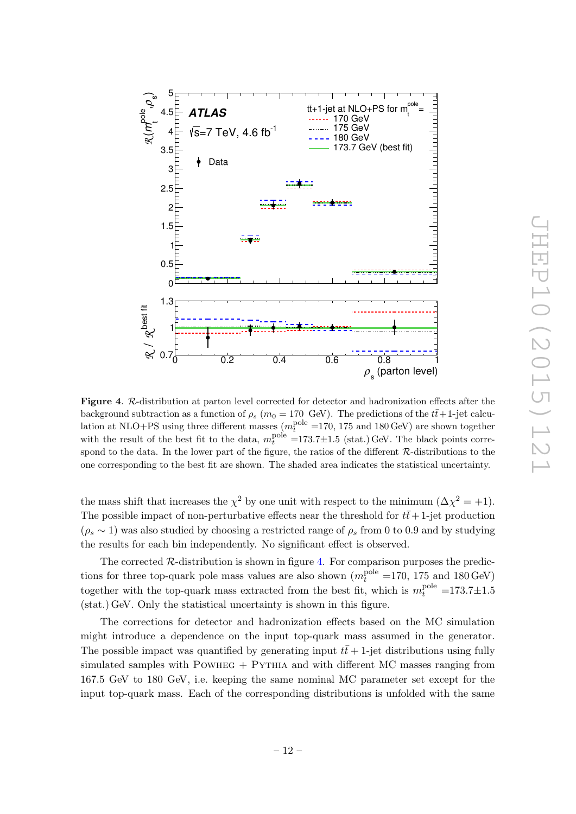

<span id="page-12-0"></span>Figure 4. R-distribution at parton level corrected for detector and hadronization effects after the background subtraction as a function of  $\rho_s$  ( $m_0 = 170$  GeV). The predictions of the  $t\bar{t}+1$ -jet calculation at NLO+PS using three different masses  $(m_t^{\text{pole}}=170, 175 \text{ and } 180 \text{ GeV})$  are shown together with the result of the best fit to the data,  $m_t^{\text{pole}} = 173.7 \pm 1.5$  (stat.) GeV. The black points correspond to the data. In the lower part of the figure, the ratios of the different  $\mathcal{R}\text{-}\text{distributions}$  to the one corresponding to the best fit are shown. The shaded area indicates the statistical uncertainty.

the mass shift that increases the  $\chi^2$  by one unit with respect to the minimum  $(\Delta \chi^2 = +1)$ . The possible impact of non-perturbative effects near the threshold for  $t\bar{t}+1$ -jet production  $(\rho_s \sim 1)$  was also studied by choosing a restricted range of  $\rho_s$  from 0 to 0.9 and by studying the results for each bin independently. No significant effect is observed.

The corrected  $\mathcal{R}$ -distribution is shown in figure [4.](#page-12-0) For comparison purposes the predictions for three top-quark pole mass values are also shown  $(m_t^{\text{pole}}=170, 175 \text{ and } 180 \text{ GeV})$ together with the top-quark mass extracted from the best fit, which is  $m_t^{\text{pole}} = 173.7 \pm 1.5$ (stat.) GeV. Only the statistical uncertainty is shown in this figure.

The corrections for detector and hadronization effects based on the MC simulation might introduce a dependence on the input top-quark mass assumed in the generator. The possible impact was quantified by generating input  $t\bar{t}+1$ -jet distributions using fully simulated samples with POWHEG  $+$  PYTHIA and with different MC masses ranging from 167.5 GeV to 180 GeV, i.e. keeping the same nominal MC parameter set except for the input top-quark mass. Each of the corresponding distributions is unfolded with the same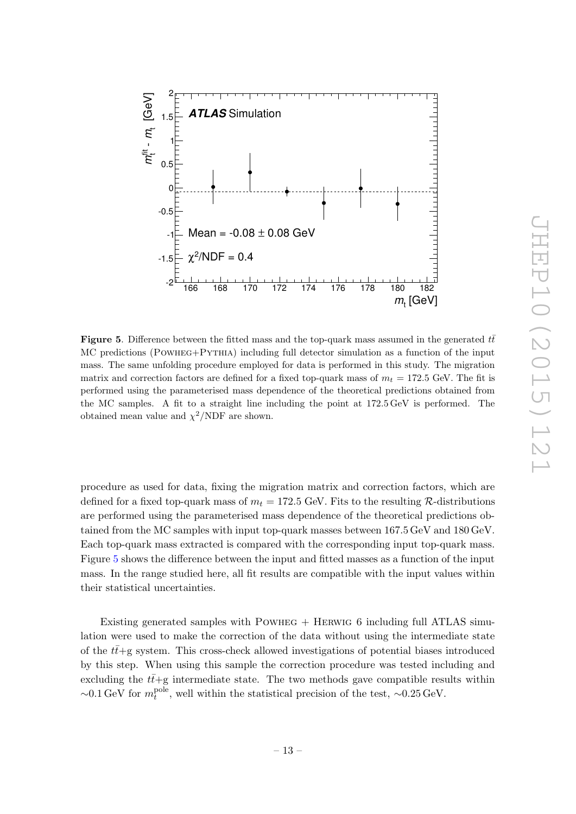

<span id="page-13-0"></span>**Figure 5.** Difference between the fitted mass and the top-quark mass assumed in the generated  $t\bar{t}$ MC predictions (Powheg+Pythia) including full detector simulation as a function of the input mass. The same unfolding procedure employed for data is performed in this study. The migration matrix and correction factors are defined for a fixed top-quark mass of  $m_t = 172.5$  GeV. The fit is performed using the parameterised mass dependence of the theoretical predictions obtained from the MC samples. A fit to a straight line including the point at 172.5 GeV is performed. The obtained mean value and  $\chi^2/NDF$  are shown.

procedure as used for data, fixing the migration matrix and correction factors, which are defined for a fixed top-quark mass of  $m_t = 172.5$  GeV. Fits to the resulting R-distributions are performed using the parameterised mass dependence of the theoretical predictions obtained from the MC samples with input top-quark masses between 167.5 GeV and 180 GeV. Each top-quark mass extracted is compared with the corresponding input top-quark mass. Figure [5](#page-13-0) shows the difference between the input and fitted masses as a function of the input mass. In the range studied here, all fit results are compatible with the input values within their statistical uncertainties.

Existing generated samples with Powheg + Herwig 6 including full ATLAS simulation were used to make the correction of the data without using the intermediate state of the  $t\bar{t}$ +g system. This cross-check allowed investigations of potential biases introduced by this step. When using this sample the correction procedure was tested including and excluding the  $t\bar{t}+g$  intermediate state. The two methods gave compatible results within  $\sim$ 0.1 GeV for  $m_t^{\text{pole}}$ <sup>pole</sup>, well within the statistical precision of the test, ~0.25 GeV.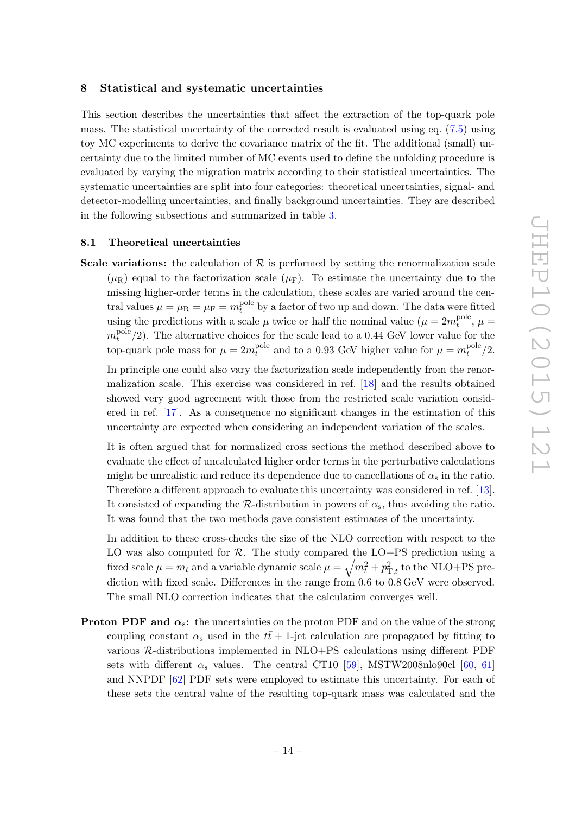#### <span id="page-14-0"></span>8 Statistical and systematic uncertainties

This section describes the uncertainties that affect the extraction of the top-quark pole mass. The statistical uncertainty of the corrected result is evaluated using eq. [\(7.5\)](#page-11-1) using toy MC experiments to derive the covariance matrix of the fit. The additional (small) uncertainty due to the limited number of MC events used to define the unfolding procedure is evaluated by varying the migration matrix according to their statistical uncertainties. The systematic uncertainties are split into four categories: theoretical uncertainties, signal- and detector-modelling uncertainties, and finally background uncertainties. They are described in the following subsections and summarized in table [3.](#page-18-1)

#### <span id="page-14-1"></span>8.1 Theoretical uncertainties

**Scale variations:** the calculation of  $\mathcal{R}$  is performed by setting the renormalization scale  $(\mu_R)$  equal to the factorization scale  $(\mu_F)$ . To estimate the uncertainty due to the missing higher-order terms in the calculation, these scales are varied around the central values  $\mu = \mu_R = \mu_F = m_t^{\text{pole}}$  by a factor of two up and down. The data were fitted using the predictions with a scale  $\mu$  twice or half the nominal value  $(\mu = 2m_t^{\text{pole}})$  $t^{\text{pole}}$ ,  $\mu =$  $m_t^{\rm pole}$  $t^{\text{pole}}(2)$ . The alternative choices for the scale lead to a 0.44 GeV lower value for the top-quark pole mass for  $\mu = 2m_t^{\text{pole}}$ <sup>pole</sup> and to a 0.93 GeV higher value for  $\mu = m_t^{\text{pole}}$  $t^{\rm pole}/2.$ 

In principle one could also vary the factorization scale independently from the renormalization scale. This exercise was considered in ref. [\[18\]](#page-22-0) and the results obtained showed very good agreement with those from the restricted scale variation considered in ref. [\[17\]](#page-21-13). As a consequence no significant changes in the estimation of this uncertainty are expected when considering an independent variation of the scales.

It is often argued that for normalized cross sections the method described above to evaluate the effect of uncalculated higher order terms in the perturbative calculations might be unrealistic and reduce its dependence due to cancellations of  $\alpha_s$  in the ratio. Therefore a different approach to evaluate this uncertainty was considered in ref. [\[13\]](#page-21-9). It consisted of expanding the  $\mathcal{R}$ -distribution in powers of  $\alpha_s$ , thus avoiding the ratio. It was found that the two methods gave consistent estimates of the uncertainty.

In addition to these cross-checks the size of the NLO correction with respect to the LO was also computed for  $R$ . The study compared the LO+PS prediction using a fixed scale  $\mu = m_t$  and a variable dynamic scale  $\mu = \sqrt{m_t^2 + p_{\text{T},t}^2}$  to the NLO+PS prediction with fixed scale. Differences in the range from 0.6 to 0.8 GeV were observed. The small NLO correction indicates that the calculation converges well.

**Proton PDF and**  $\alpha_s$ **:** the uncertainties on the proton PDF and on the value of the strong coupling constant  $\alpha_s$  used in the  $t\bar{t}$  + 1-jet calculation are propagated by fitting to various R-distributions implemented in NLO+PS calculations using different PDF sets with different  $\alpha_s$  values. The central CT10 [\[59\]](#page-24-5), MSTW2008nlo90cl [\[60,](#page-24-6) [61\]](#page-24-7) and NNPDF [\[62\]](#page-24-8) PDF sets were employed to estimate this uncertainty. For each of these sets the central value of the resulting top-quark mass was calculated and the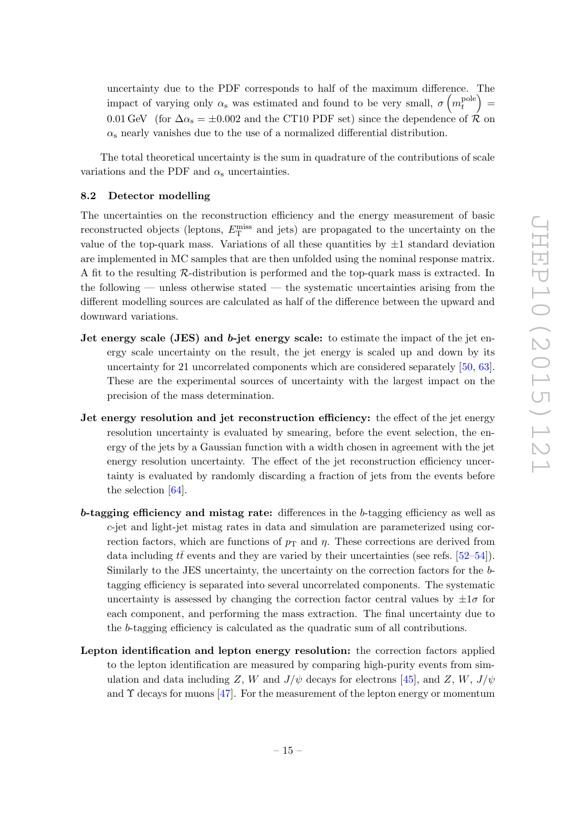uncertainty due to the PDF corresponds to half of the maximum difference. The impact of varying only  $\alpha_s$  was estimated and found to be very small,  $\sigma\left(m_t^{\text{pole}}\right)$  $t_t^{\text{pole}}$  = 0.01 GeV (for  $\Delta \alpha_s = \pm 0.002$  and the CT10 PDF set) since the dependence of  $\mathcal{R}$  on  $\alpha_s$  nearly vanishes due to the use of a normalized differential distribution.

The total theoretical uncertainty is the sum in quadrature of the contributions of scale variations and the PDF and  $\alpha_s$  uncertainties.

#### <span id="page-15-0"></span>8.2 Detector modelling

The uncertainties on the reconstruction efficiency and the energy measurement of basic reconstructed objects (leptons,  $E_{\text{T}}^{\text{miss}}$  and jets) are propagated to the uncertainty on the value of the top-quark mass. Variations of all these quantities by  $\pm 1$  standard deviation are implemented in MC samples that are then unfolded using the nominal response matrix. A fit to the resulting R-distribution is performed and the top-quark mass is extracted. In the following — unless otherwise stated — the systematic uncertainties arising from the different modelling sources are calculated as half of the difference between the upward and downward variations.

- Jet energy scale (JES) and b-jet energy scale: to estimate the impact of the jet energy scale uncertainty on the result, the jet energy is scaled up and down by its uncertainty for 21 uncorrelated components which are considered separately [\[50,](#page-23-14) [63\]](#page-24-9). These are the experimental sources of uncertainty with the largest impact on the precision of the mass determination.
- Jet energy resolution and jet reconstruction efficiency: the effect of the jet energy resolution uncertainty is evaluated by smearing, before the event selection, the energy of the jets by a Gaussian function with a width chosen in agreement with the jet energy resolution uncertainty. The effect of the jet reconstruction efficiency uncertainty is evaluated by randomly discarding a fraction of jets from the events before the selection [\[64\]](#page-24-10).
- b-tagging efficiency and mistag rate: differences in the b-tagging efficiency as well as c-jet and light-jet mistag rates in data and simulation are parameterized using correction factors, which are functions of  $p<sub>T</sub>$  and  $\eta$ . These corrections are derived from data including  $t\bar{t}$  events and they are varied by their uncertainties (see refs. [\[52](#page-23-16)[–54\]](#page-24-0)). Similarly to the JES uncertainty, the uncertainty on the correction factors for the btagging efficiency is separated into several uncorrelated components. The systematic uncertainty is assessed by changing the correction factor central values by  $\pm 1\sigma$  for each component, and performing the mass extraction. The final uncertainty due to the b-tagging efficiency is calculated as the quadratic sum of all contributions.
- Lepton identification and lepton energy resolution: the correction factors applied to the lepton identification are measured by comparing high-purity events from simulation and data including Z, W and  $J/\psi$  decays for electrons [\[45\]](#page-23-9), and Z, W,  $J/\psi$ and  $\Upsilon$  decays for muons [\[47\]](#page-23-11). For the measurement of the lepton energy or momentum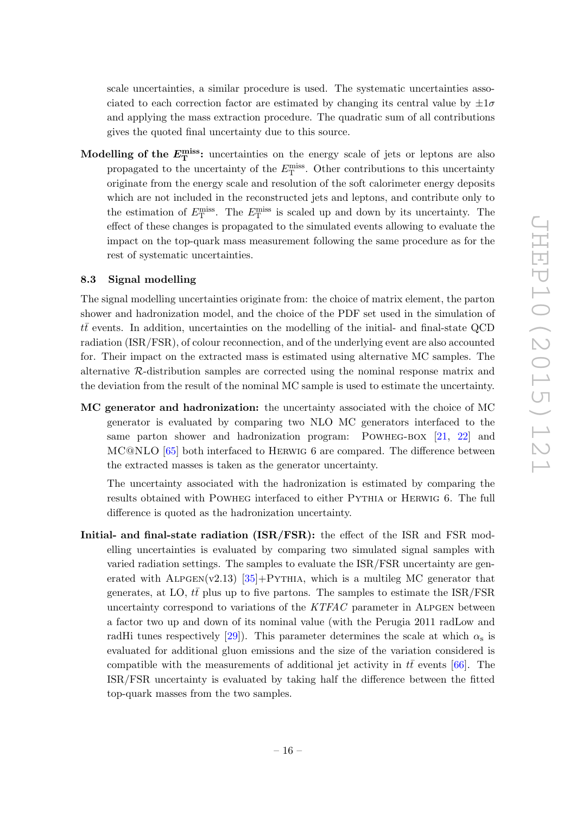scale uncertainties, a similar procedure is used. The systematic uncertainties associated to each correction factor are estimated by changing its central value by  $\pm 1\sigma$ and applying the mass extraction procedure. The quadratic sum of all contributions gives the quoted final uncertainty due to this source.

Modelling of the  $E_{\textrm{T}}^{\textrm{miss}}$ : uncertainties on the energy scale of jets or leptons are also propagated to the uncertainty of the  $E_{\rm T}^{\rm miss}$ . Other contributions to this uncertainty originate from the energy scale and resolution of the soft calorimeter energy deposits which are not included in the reconstructed jets and leptons, and contribute only to the estimation of  $E_{\rm T}^{\rm miss}$ . The  $E_{\rm T}^{\rm miss}$  is scaled up and down by its uncertainty. The effect of these changes is propagated to the simulated events allowing to evaluate the impact on the top-quark mass measurement following the same procedure as for the rest of systematic uncertainties.

#### <span id="page-16-0"></span>8.3 Signal modelling

The signal modelling uncertainties originate from: the choice of matrix element, the parton shower and hadronization model, and the choice of the PDF set used in the simulation of  $t\bar{t}$  events. In addition, uncertainties on the modelling of the initial- and final-state QCD radiation (ISR/FSR), of colour reconnection, and of the underlying event are also accounted for. Their impact on the extracted mass is estimated using alternative MC samples. The alternative R-distribution samples are corrected using the nominal response matrix and the deviation from the result of the nominal MC sample is used to estimate the uncertainty.

MC generator and hadronization: the uncertainty associated with the choice of MC generator is evaluated by comparing two NLO MC generators interfaced to the same parton shower and hadronization program: POWHEG-BOX [\[21,](#page-22-3) [22\]](#page-22-4) and MC@NLO [\[65\]](#page-24-11) both interfaced to Herwig 6 are compared. The difference between the extracted masses is taken as the generator uncertainty.

The uncertainty associated with the hadronization is estimated by comparing the results obtained with Powheg interfaced to either Pythia or Herwig 6. The full difference is quoted as the hadronization uncertainty.

Initial- and final-state radiation (ISR/FSR): the effect of the ISR and FSR modelling uncertainties is evaluated by comparing two simulated signal samples with varied radiation settings. The samples to evaluate the ISR/FSR uncertainty are generated with ALPGEN(v2.13)  $[35]+P$  $[35]+P$ YTHIA, which is a multileg MC generator that generates, at LO,  $t\bar{t}$  plus up to five partons. The samples to estimate the ISR/FSR uncertainty correspond to variations of the  $KTFAC$  parameter in ALPGEN between a factor two up and down of its nominal value (with the Perugia 2011 radLow and radHi tunes respectively [\[29\]](#page-22-11)). This parameter determines the scale at which  $\alpha_s$  is evaluated for additional gluon emissions and the size of the variation considered is compatible with the measurements of additional jet activity in  $t\bar{t}$  events [\[66\]](#page-24-12). The ISR/FSR uncertainty is evaluated by taking half the difference between the fitted top-quark masses from the two samples.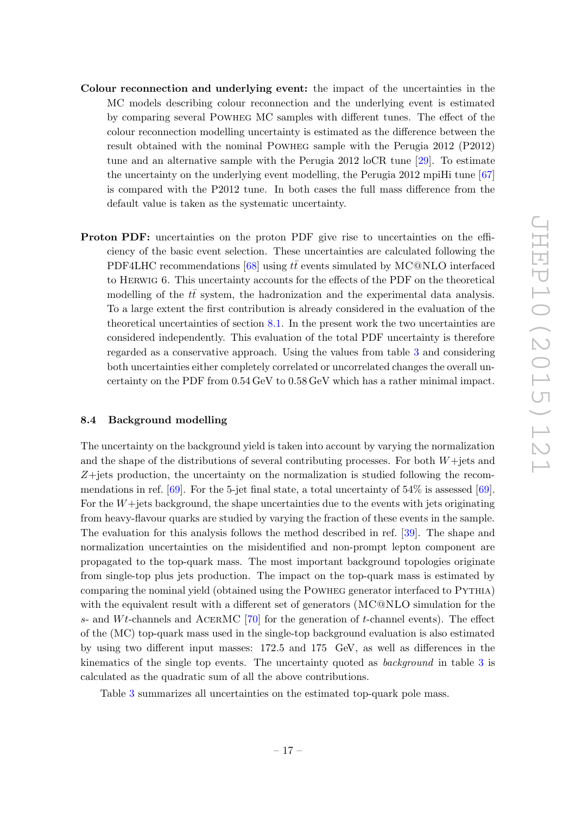- Colour reconnection and underlying event: the impact of the uncertainties in the MC models describing colour reconnection and the underlying event is estimated by comparing several Powheg MC samples with different tunes. The effect of the colour reconnection modelling uncertainty is estimated as the difference between the result obtained with the nominal Powheg sample with the Perugia 2012 (P2012) tune and an alternative sample with the Perugia 2012 loCR tune [\[29\]](#page-22-11). To estimate the uncertainty on the underlying event modelling, the Perugia 2012 mpiHi tune [\[67\]](#page-24-13) is compared with the P2012 tune. In both cases the full mass difference from the default value is taken as the systematic uncertainty.
- Proton PDF: uncertainties on the proton PDF give rise to uncertainties on the efficiency of the basic event selection. These uncertainties are calculated following the PDF4LHC recommendations [\[68\]](#page-24-14) using  $t\bar{t}$  events simulated by MC@NLO interfaced to Herwig 6. This uncertainty accounts for the effects of the PDF on the theoretical modelling of the  $t\bar{t}$  system, the hadronization and the experimental data analysis. To a large extent the first contribution is already considered in the evaluation of the theoretical uncertainties of section [8.1.](#page-14-1) In the present work the two uncertainties are considered independently. This evaluation of the total PDF uncertainty is therefore regarded as a conservative approach. Using the values from table [3](#page-18-1) and considering both uncertainties either completely correlated or uncorrelated changes the overall uncertainty on the PDF from 0.54 GeV to 0.58 GeV which has a rather minimal impact.

#### <span id="page-17-0"></span>8.4 Background modelling

The uncertainty on the background yield is taken into account by varying the normalization and the shape of the distributions of several contributing processes. For both  $W +$ iets and  $Z+$ jets production, the uncertainty on the normalization is studied following the recommendations in ref.  $[69]$ . For the 5-jet final state, a total uncertainty of  $54\%$  is assessed  $[69]$ . For the  $W +$ jets background, the shape uncertainties due to the events with jets originating from heavy-flavour quarks are studied by varying the fraction of these events in the sample. The evaluation for this analysis follows the method described in ref. [\[39\]](#page-23-3). The shape and normalization uncertainties on the misidentified and non-prompt lepton component are propagated to the top-quark mass. The most important background topologies originate from single-top plus jets production. The impact on the top-quark mass is estimated by comparing the nominal yield (obtained using the Powheg generator interfaced to Pythia) with the equivalent result with a different set of generators (MC@NLO simulation for the s- and  $Wt$ -channels and ACERMC [\[70\]](#page-24-16) for the generation of t-channel events). The effect of the (MC) top-quark mass used in the single-top background evaluation is also estimated by using two different input masses: 172.5 and 175 GeV, as well as differences in the kinematics of the single top events. The uncertainty quoted as background in table [3](#page-18-1) is calculated as the quadratic sum of all the above contributions.

Table [3](#page-18-1) summarizes all uncertainties on the estimated top-quark pole mass.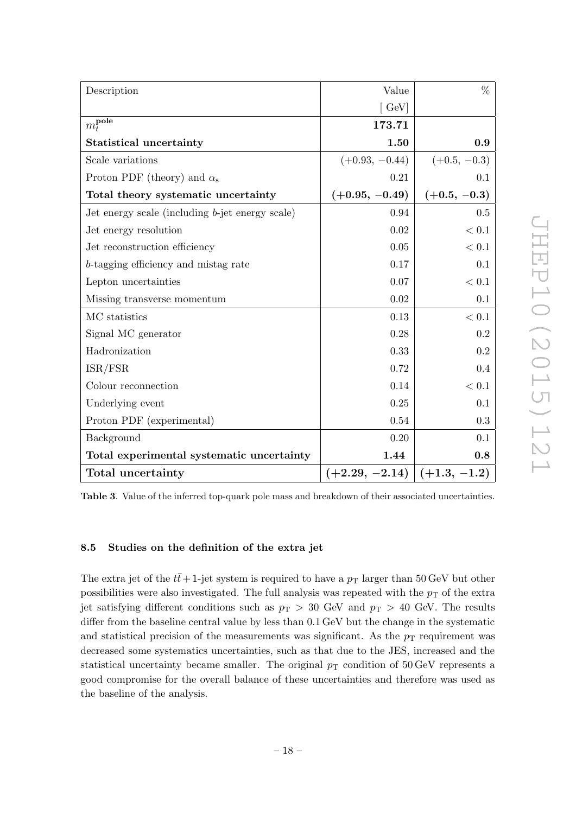| Description                                        | Value                 | $\%$           |
|----------------------------------------------------|-----------------------|----------------|
|                                                    | $\lceil$ GeV $\rceil$ |                |
| $\overline{m_t^{\rm pole}}$                        | 173.71                |                |
| <b>Statistical uncertainty</b>                     | 1.50                  | 0.9            |
| Scale variations                                   | $(+0.93, -0.44)$      | $(+0.5, -0.3)$ |
| Proton PDF (theory) and $\alpha_s$                 | 0.21                  | 0.1            |
| Total theory systematic uncertainty                | $(+0.95, -0.49)$      | $(+0.5, -0.3)$ |
| Jet energy scale (including $b$ -jet energy scale) | 0.94                  | 0.5            |
| Jet energy resolution                              | 0.02                  | $< 0.1\,$      |
| Jet reconstruction efficiency                      | $0.05\,$              | < 0.1          |
| b-tagging efficiency and mistag rate               | 0.17                  | 0.1            |
| Lepton uncertainties                               | 0.07                  | $< 0.1$        |
| Missing transverse momentum                        | 0.02                  | 0.1            |
| MC statistics                                      | 0.13                  | < 0.1          |
| Signal MC generator                                | 0.28                  | 0.2            |
| Hadronization                                      | 0.33                  | 0.2            |
| ISR/FSR                                            | 0.72                  | 0.4            |
| Colour reconnection                                | 0.14                  | < 0.1          |
| Underlying event                                   | 0.25                  | 0.1            |
| Proton PDF (experimental)                          | 0.54                  | 0.3            |
| Background                                         | 0.20                  | 0.1            |
| Total experimental systematic uncertainty          | 1.44                  | 0.8            |
| Total uncertainty                                  | $(+2.29, -2.14)$      | $(+1.3, -1.2)$ |

<span id="page-18-1"></span>Table 3. Value of the inferred top-quark pole mass and breakdown of their associated uncertainties.

# <span id="page-18-0"></span>8.5 Studies on the definition of the extra jet

The extra jet of the  $t\bar{t}$  + 1-jet system is required to have a  $p_T$  larger than 50 GeV but other possibilities were also investigated. The full analysis was repeated with the  $p<sub>T</sub>$  of the extra jet satisfying different conditions such as  $p_T > 30$  GeV and  $p_T > 40$  GeV. The results differ from the baseline central value by less than 0.1 GeV but the change in the systematic and statistical precision of the measurements was significant. As the  $p_T$  requirement was decreased some systematics uncertainties, such as that due to the JES, increased and the statistical uncertainty became smaller. The original  $p_T$  condition of 50 GeV represents a good compromise for the overall balance of these uncertainties and therefore was used as the baseline of the analysis.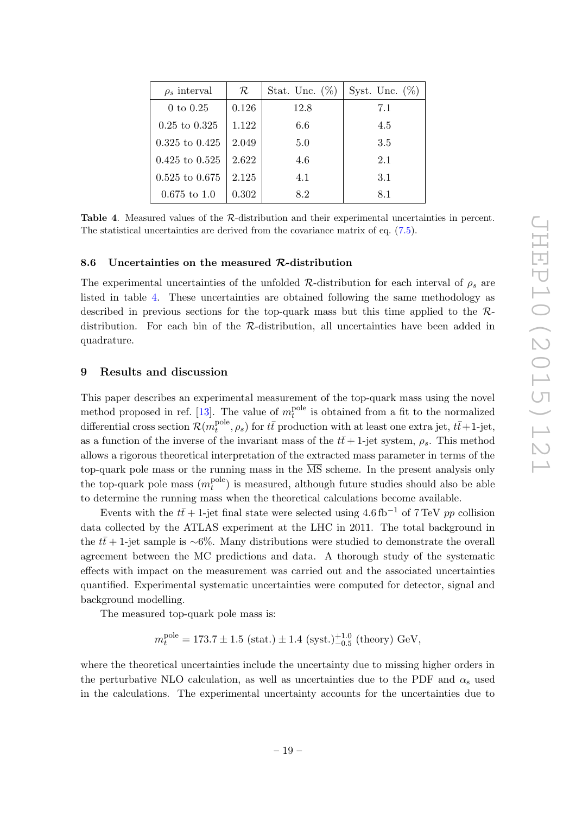| $\rho_s$ interval        | $\mathcal{R}^-$ | Stat. Unc. $(\%)$ | Syst. Unc. $(\%)$ |
|--------------------------|-----------------|-------------------|-------------------|
| $0 \text{ to } 0.25$     | 0.126           | 12.8              | 7.1               |
| $0.25 \text{ to } 0.325$ | 1.122           | 6.6               | 4.5               |
| $0.325$ to $0.425$       | 2.049           | 5.0               | 3.5               |
| $0.425$ to $0.525$       | 2.622           | 4.6               | 2.1               |
| $0.525$ to $0.675$       | 2.125           | 4.1               | 3.1               |
| $0.675$ to 1.0           | 0.302           | 8.2               | 8.1               |

<span id="page-19-2"></span>Table 4. Measured values of the R-distribution and their experimental uncertainties in percent. The statistical uncertainties are derived from the covariance matrix of eq. [\(7.5\)](#page-11-1).

#### <span id="page-19-0"></span>8.6 Uncertainties on the measured  $\mathcal{R}$ -distribution

The experimental uncertainties of the unfolded  $\mathcal{R}$ -distribution for each interval of  $\rho_s$  are listed in table [4.](#page-19-2) These uncertainties are obtained following the same methodology as described in previous sections for the top-quark mass but this time applied to the Rdistribution. For each bin of the R-distribution, all uncertainties have been added in quadrature.

#### <span id="page-19-1"></span>9 Results and discussion

This paper describes an experimental measurement of the top-quark mass using the novel method proposed in ref. [\[13\]](#page-21-9). The value of  $m_t^{\text{pole}}$  $t_t^{\text{pole}}$  is obtained from a fit to the normalized differential cross section  $\mathcal{R}(m_t^{\text{pole}})$  $t_t^{\text{pole}}, \rho_s$ ) for  $t\bar{t}$  production with at least one extra jet,  $t\bar{t}+1$ -jet, as a function of the inverse of the invariant mass of the  $t\bar{t}+1$ -jet system,  $\rho_s$ . This method allows a rigorous theoretical interpretation of the extracted mass parameter in terms of the top-quark pole mass or the running mass in the  $\overline{\text{MS}}$  scheme. In the present analysis only the top-quark pole mass  $(m_t^{\text{pole}})$  $_t^{\text{pole}}$ ) is measured, although future studies should also be able to determine the running mass when the theoretical calculations become available.

Events with the  $t\bar{t}$  + 1-jet final state were selected using 4.6 fb<sup>-1</sup> of 7 TeV pp collision data collected by the ATLAS experiment at the LHC in 2011. The total background in the  $t\bar{t}$ + 1-jet sample is ∼6%. Many distributions were studied to demonstrate the overall agreement between the MC predictions and data. A thorough study of the systematic effects with impact on the measurement was carried out and the associated uncertainties quantified. Experimental systematic uncertainties were computed for detector, signal and background modelling.

The measured top-quark pole mass is:

$$
m_t^{\rm pole} = 173.7 \pm 1.5
$$
 (stat.)  $\pm$  1.4 (syst.)<sup>+1.0</sup><sub>-0.5</sub> (theory) GeV,

where the theoretical uncertainties include the uncertainty due to missing higher orders in the perturbative NLO calculation, as well as uncertainties due to the PDF and  $\alpha_s$  used in the calculations. The experimental uncertainty accounts for the uncertainties due to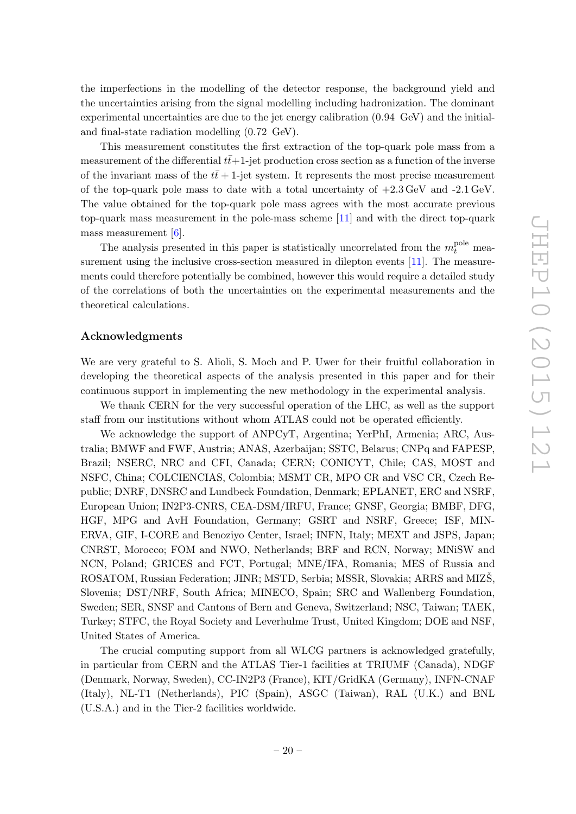the imperfections in the modelling of the detector response, the background yield and the uncertainties arising from the signal modelling including hadronization. The dominant experimental uncertainties are due to the jet energy calibration (0.94 GeV) and the initialand final-state radiation modelling (0.72 GeV).

This measurement constitutes the first extraction of the top-quark pole mass from a measurement of the differential  $t\bar{t}+1$ -jet production cross section as a function of the inverse of the invariant mass of the  $t\bar{t}$  + 1-jet system. It represents the most precise measurement of the top-quark pole mass to date with a total uncertainty of  $+2.3 \,\text{GeV}$  and  $-2.1 \,\text{GeV}$ . The value obtained for the top-quark pole mass agrees with the most accurate previous top-quark mass measurement in the pole-mass scheme [\[11\]](#page-21-7) and with the direct top-quark mass measurement  $[6]$ .

The analysis presented in this paper is statistically uncorrelated from the  $m_t^{\text{pole}}$  measurement using the inclusive cross-section measured in dilepton events [\[11\]](#page-21-7). The measurements could therefore potentially be combined, however this would require a detailed study of the correlations of both the uncertainties on the experimental measurements and the theoretical calculations.

### Acknowledgments

We are very grateful to S. Alioli, S. Moch and P. Uwer for their fruitful collaboration in developing the theoretical aspects of the analysis presented in this paper and for their continuous support in implementing the new methodology in the experimental analysis.

We thank CERN for the very successful operation of the LHC, as well as the support staff from our institutions without whom ATLAS could not be operated efficiently.

We acknowledge the support of ANPCyT, Argentina; YerPhI, Armenia; ARC, Australia; BMWF and FWF, Austria; ANAS, Azerbaijan; SSTC, Belarus; CNPq and FAPESP, Brazil; NSERC, NRC and CFI, Canada; CERN; CONICYT, Chile; CAS, MOST and NSFC, China; COLCIENCIAS, Colombia; MSMT CR, MPO CR and VSC CR, Czech Republic; DNRF, DNSRC and Lundbeck Foundation, Denmark; EPLANET, ERC and NSRF, European Union; IN2P3-CNRS, CEA-DSM/IRFU, France; GNSF, Georgia; BMBF, DFG, HGF, MPG and AvH Foundation, Germany; GSRT and NSRF, Greece; ISF, MIN-ERVA, GIF, I-CORE and Benoziyo Center, Israel; INFN, Italy; MEXT and JSPS, Japan; CNRST, Morocco; FOM and NWO, Netherlands; BRF and RCN, Norway; MNiSW and NCN, Poland; GRICES and FCT, Portugal; MNE/IFA, Romania; MES of Russia and ROSATOM, Russian Federation; JINR; MSTD, Serbia; MSSR, Slovakia; ARRS and MIZS, Slovenia; DST/NRF, South Africa; MINECO, Spain; SRC and Wallenberg Foundation, Sweden; SER, SNSF and Cantons of Bern and Geneva, Switzerland; NSC, Taiwan; TAEK, Turkey; STFC, the Royal Society and Leverhulme Trust, United Kingdom; DOE and NSF, United States of America.

The crucial computing support from all WLCG partners is acknowledged gratefully, in particular from CERN and the ATLAS Tier-1 facilities at TRIUMF (Canada), NDGF (Denmark, Norway, Sweden), CC-IN2P3 (France), KIT/GridKA (Germany), INFN-CNAF (Italy), NL-T1 (Netherlands), PIC (Spain), ASGC (Taiwan), RAL (U.K.) and BNL (U.S.A.) and in the Tier-2 facilities worldwide.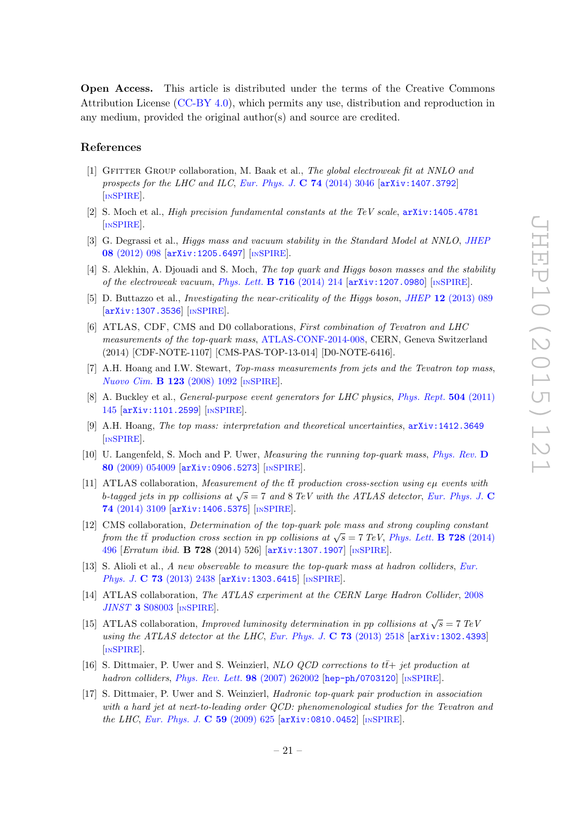Open Access. This article is distributed under the terms of the Creative Commons Attribution License [\(CC-BY 4.0\)](http://creativecommons.org/licenses/by/4.0/), which permits any use, distribution and reproduction in any medium, provided the original author(s) and source are credited.

#### References

- <span id="page-21-0"></span>[1] Gfitter Group collaboration, M. Baak et al., The global electroweak fit at NNLO and prospects for the LHC and ILC, [Eur. Phys. J.](http://dx.doi.org/10.1140/epjc/s10052-014-3046-5) C  $74$  (2014) 3046 [[arXiv:1407.3792](http://arxiv.org/abs/1407.3792)] [IN[SPIRE](http://inspirehep.net/search?p=find+EPRINT+arXiv:1407.3792)].
- <span id="page-21-1"></span>[2] S. Moch et al., High precision fundamental constants at the TeV scale, [arXiv:1405.4781](http://arxiv.org/abs/1405.4781) [IN[SPIRE](http://inspirehep.net/search?p=find+EPRINT+arXiv:1405.4781)].
- <span id="page-21-2"></span>[3] G. Degrassi et al., *Higgs mass and vacuum stability in the Standard Model at NNLO*, *[JHEP](http://dx.doi.org/10.1007/JHEP08(2012)098)* 08 [\(2012\) 098](http://dx.doi.org/10.1007/JHEP08(2012)098) [[arXiv:1205.6497](http://arxiv.org/abs/1205.6497)] [IN[SPIRE](http://inspirehep.net/search?p=find+EPRINT+arXiv:1205.6497)].
- [4] S. Alekhin, A. Djouadi and S. Moch, The top quark and Higgs boson masses and the stability of the electroweak vacuum, [Phys. Lett.](http://dx.doi.org/10.1016/j.physletb.2012.08.024)  $\bf{B}$  716 (2014) 214  $\ar{xiv:1207.0980}$  [IN[SPIRE](http://inspirehep.net/search?p=find+EPRINT+arXiv:1207.0980)].
- <span id="page-21-3"></span>[5] D. Buttazzo et al., *Investigating the near-criticality of the Higgs boson, JHEP* 12 [\(2013\) 089](http://dx.doi.org/10.1007/JHEP12(2013)089) [[arXiv:1307.3536](http://arxiv.org/abs/1307.3536)] [IN[SPIRE](http://inspirehep.net/search?p=find+EPRINT+arXiv:1307.3536)].
- <span id="page-21-4"></span>[6] ATLAS, CDF, CMS and D0 collaborations, First combination of Tevatron and LHC measurements of the top-quark mass, [ATLAS-CONF-2014-008,](http://cds.cern.ch/record/1669819) CERN, Geneva Switzerland (2014) [CDF-NOTE-1107] [CMS-PAS-TOP-13-014] [D0-NOTE-6416].
- [7] A.H. Hoang and I.W. Stewart, Top-mass measurements from jets and the Tevatron top mass, [Nuovo Cim.](http://dx.doi.org/10.1393/ncb/i2008-10666-7) B 123 (2008) 1092 [IN[SPIRE](http://inspirehep.net/search?p=find+J+"NuovoCim.,B123,1092")].
- [8] A. Buckley et al., *General-purpose event generators for LHC physics, [Phys. Rept.](http://dx.doi.org/10.1016/j.physrep.2011.03.005)* **504** (2011) [145](http://dx.doi.org/10.1016/j.physrep.2011.03.005) [[arXiv:1101.2599](http://arxiv.org/abs/1101.2599)] [IN[SPIRE](http://inspirehep.net/search?p=find+EPRINT+arXiv:1101.2599)].
- <span id="page-21-5"></span>[9] A.H. Hoang, The top mass: interpretation and theoretical uncertainties, [arXiv:1412.3649](http://arxiv.org/abs/1412.3649) [IN[SPIRE](http://inspirehep.net/search?p=find+EPRINT+arXiv:1412.3649)].
- <span id="page-21-6"></span>[10] U. Langenfeld, S. Moch and P. Uwer, *Measuring the running top-quark mass, [Phys. Rev.](http://dx.doi.org/10.1103/PhysRevD.80.054009)* D 80 [\(2009\) 054009](http://dx.doi.org/10.1103/PhysRevD.80.054009) [[arXiv:0906.5273](http://arxiv.org/abs/0906.5273)] [IN[SPIRE](http://inspirehep.net/search?p=find+EPRINT+arXiv:0906.5273)].
- <span id="page-21-7"></span>[11] ATLAS collaboration, *Measurement of the*  $t\bar{t}$  production cross-section using eµ events with b-tagged jets in pp collisions at  $\sqrt{s} = 7$  and 8 TeV with the ATLAS detector, [Eur. Phys. J.](http://dx.doi.org/10.1140/epjc/s10052-014-3109-7) C 74 [\(2014\) 3109](http://dx.doi.org/10.1140/epjc/s10052-014-3109-7) [[arXiv:1406.5375](http://arxiv.org/abs/1406.5375)] [IN[SPIRE](http://inspirehep.net/search?p=find+EPRINT+arXiv:1406.5375)].
- <span id="page-21-8"></span>[12] CMS collaboration, Determination of the top-quark pole mass and strong coupling constant from the tt̄ production cross section in pp collisions at  $\sqrt{s} = 7$  TeV, [Phys. Lett.](http://dx.doi.org/10.1016/j.physletb.2014.08.040) **B 728** (2014) [496](http://dx.doi.org/10.1016/j.physletb.2014.08.040) [Erratum ibid. B 728 (2014) 526] [[arXiv:1307.1907](http://arxiv.org/abs/1307.1907)] [IN[SPIRE](http://inspirehep.net/search?p=find+EPRINT+arXiv:1307.1907)].
- <span id="page-21-9"></span>[13] S. Alioli et al., A new observable to measure the top-quark mass at hadron colliders, [Eur.](http://dx.doi.org/10.1140/epjc/s10052-013-2438-2) Phys. J. C 73 [\(2013\) 2438](http://dx.doi.org/10.1140/epjc/s10052-013-2438-2) [[arXiv:1303.6415](http://arxiv.org/abs/1303.6415)] [IN[SPIRE](http://inspirehep.net/search?p=find+EPRINT+arXiv:1303.6415)].
- <span id="page-21-10"></span>[14] ATLAS collaboration, The ATLAS experiment at the CERN Large Hadron Collider, [2008](http://dx.doi.org/10.1088/1748-0221/3/08/S08003) JINST 3 [S08003](http://dx.doi.org/10.1088/1748-0221/3/08/S08003) [IN[SPIRE](http://inspirehep.net/search?p=find+J+"JINST,3,S08003")].
- <span id="page-21-11"></span>[15] ATLAS collaboration, *Improved luminosity determination in pp collisions at*  $\sqrt{s} = 7 \text{ TeV}$ using the ATLAS detector at the LHC, [Eur. Phys. J.](http://dx.doi.org/10.1140/epjc/s10052-013-2518-3)  $C$  73 (2013) 2518  $arXiv:1302.4393$ [IN[SPIRE](http://inspirehep.net/search?p=find+EPRINT+arXiv:1302.4393)].
- <span id="page-21-12"></span>[16] S. Dittmaier, P. Uwer and S. Weinzierl, NLO QCD corrections to  $t\bar{t}$ + jet production at hadron colliders, [Phys. Rev. Lett.](http://dx.doi.org/10.1103/PhysRevLett.98.262002)  $98$  (2007) 262002 [[hep-ph/0703120](http://arxiv.org/abs/hep-ph/0703120)] [IN[SPIRE](http://inspirehep.net/search?p=find+EPRINT+hep-ph/0703120)].
- <span id="page-21-13"></span>[17] S. Dittmaier, P. Uwer and S. Weinzierl, Hadronic top-quark pair production in association with a hard jet at next-to-leading order QCD: phenomenological studies for the Tevatron and the LHC, [Eur. Phys. J.](http://dx.doi.org/10.1140/epjc/s10052-008-0816-y) C 59 (2009) 625 [[arXiv:0810.0452](http://arxiv.org/abs/0810.0452)] [IN[SPIRE](http://inspirehep.net/search?p=find+EPRINT+arXiv:0810.0452)].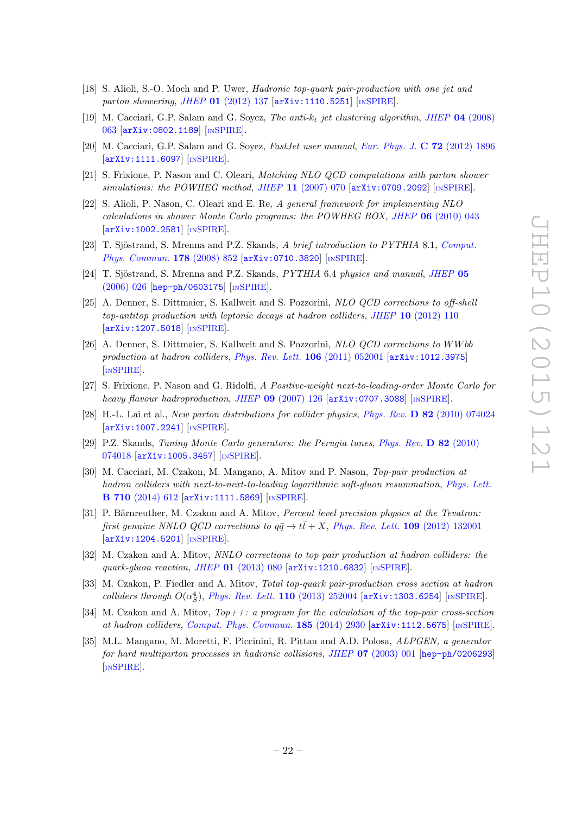- <span id="page-22-0"></span>[18] S. Alioli, S.-O. Moch and P. Uwer, Hadronic top-quark pair-production with one jet and parton showering, JHEP 01 [\(2012\) 137](http://dx.doi.org/10.1007/JHEP01(2012)137) [[arXiv:1110.5251](http://arxiv.org/abs/1110.5251)] [IN[SPIRE](http://inspirehep.net/search?p=find+EPRINT+arXiv:1110.5251)].
- <span id="page-22-1"></span>[19] M. Cacciari, G.P. Salam and G. Soyez, The anti- $k_t$  jet clustering algorithm, JHEP 04 [\(2008\)](http://dx.doi.org/10.1088/1126-6708/2008/04/063) [063](http://dx.doi.org/10.1088/1126-6708/2008/04/063) [[arXiv:0802.1189](http://arxiv.org/abs/0802.1189)] [IN[SPIRE](http://inspirehep.net/search?p=find+EPRINT+arXiv:0802.1189)].
- <span id="page-22-2"></span>[20] M. Cacciari, G.P. Salam and G. Soyez, FastJet user manual, [Eur. Phys. J.](http://dx.doi.org/10.1140/epjc/s10052-012-1896-2) C 72 (2012) 1896 [[arXiv:1111.6097](http://arxiv.org/abs/1111.6097)] [IN[SPIRE](http://inspirehep.net/search?p=find+EPRINT+arXiv:1111.6097)].
- <span id="page-22-3"></span>[21] S. Frixione, P. Nason and C. Oleari, Matching NLO QCD computations with parton shower simulations: the POWHEG method, JHEP 11 [\(2007\) 070](http://dx.doi.org/10.1088/1126-6708/2007/11/070)  $\left[$ [arXiv:0709.2092](http://arxiv.org/abs/0709.2092) $\right]$   $\left[$ IN[SPIRE](http://inspirehep.net/search?p=find+EPRINT+arXiv:0709.2092) $\right]$ .
- <span id="page-22-4"></span>[22] S. Alioli, P. Nason, C. Oleari and E. Re, A general framework for implementing NLO calculations in shower Monte Carlo programs: the POWHEG BOX, JHEP 06 [\(2010\) 043](http://dx.doi.org/10.1007/JHEP06(2010)043) [[arXiv:1002.2581](http://arxiv.org/abs/1002.2581)] [IN[SPIRE](http://inspirehep.net/search?p=find+EPRINT+arXiv:1002.2581)].
- <span id="page-22-5"></span>[23] T. Sjöstrand, S. Mrenna and P.Z. Skands, A brief introduction to PYTHIA 8.1, [Comput.](http://dx.doi.org/10.1016/j.cpc.2008.01.036) [Phys. Commun.](http://dx.doi.org/10.1016/j.cpc.2008.01.036) 178 (2008) 852 [[arXiv:0710.3820](http://arxiv.org/abs/0710.3820)] [IN[SPIRE](http://inspirehep.net/search?p=find+EPRINT+arXiv:0710.3820)].
- <span id="page-22-6"></span>[24] T. Sjöstrand, S. Mrenna and P.Z. Skands, *PYTHIA* 6.4 *physics and manual, [JHEP](http://dx.doi.org/10.1088/1126-6708/2006/05/026)* 05 [\(2006\) 026](http://dx.doi.org/10.1088/1126-6708/2006/05/026) [[hep-ph/0603175](http://arxiv.org/abs/hep-ph/0603175)] [IN[SPIRE](http://inspirehep.net/search?p=find+EPRINT+hep-ph/0603175)].
- <span id="page-22-7"></span>[25] A. Denner, S. Dittmaier, S. Kallweit and S. Pozzorini, NLO QCD corrections to off-shell top-antitop production with leptonic decays at hadron colliders, JHEP 10 [\(2012\) 110](http://dx.doi.org/10.1007/JHEP10(2012)110) [[arXiv:1207.5018](http://arxiv.org/abs/1207.5018)] [IN[SPIRE](http://inspirehep.net/search?p=find+EPRINT+arXiv:1207.5018)].
- <span id="page-22-8"></span>[26] A. Denner, S. Dittmaier, S. Kallweit and S. Pozzorini, NLO QCD corrections to WW bb production at hadron colliders, [Phys. Rev. Lett.](http://dx.doi.org/10.1103/PhysRevLett.106.052001) 106 (2011) 052001 [[arXiv:1012.3975](http://arxiv.org/abs/1012.3975)] [IN[SPIRE](http://inspirehep.net/search?p=find+EPRINT+arXiv:1012.3975)].
- <span id="page-22-9"></span>[27] S. Frixione, P. Nason and G. Ridolfi, A Positive-weight next-to-leading-order Monte Carlo for heavy flavour hadroproduction, JHEP  $\overline{09}$  [\(2007\) 126](http://dx.doi.org/10.1088/1126-6708/2007/09/126) [[arXiv:0707.3088](http://arxiv.org/abs/0707.3088)] [IN[SPIRE](http://inspirehep.net/search?p=find+EPRINT+arXiv:0707.3088)].
- <span id="page-22-10"></span>[28] H.-L. Lai et al., New parton distributions for collider physics, Phys. Rev. D 82 [\(2010\) 074024](http://dx.doi.org/10.1103/PhysRevD.82.074024) [[arXiv:1007.2241](http://arxiv.org/abs/1007.2241)] [IN[SPIRE](http://inspirehep.net/search?p=find+EPRINT+arXiv:1007.2241)].
- <span id="page-22-11"></span>[29] P.Z. Skands, Tuning Monte Carlo generators: the Perugia tunes, [Phys. Rev.](http://dx.doi.org/10.1103/PhysRevD.82.074018) D 82 (2010) [074018](http://dx.doi.org/10.1103/PhysRevD.82.074018) [[arXiv:1005.3457](http://arxiv.org/abs/1005.3457)] [IN[SPIRE](http://inspirehep.net/search?p=find+EPRINT+arXiv:1005.3457)].
- <span id="page-22-12"></span>[30] M. Cacciari, M. Czakon, M. Mangano, A. Mitov and P. Nason, Top-pair production at hadron colliders with next-to-next-to-leading logarithmic soft-gluon resummation, [Phys. Lett.](http://dx.doi.org/10.1016/j.physletb.2012.03.013) B 710 [\(2014\) 612](http://dx.doi.org/10.1016/j.physletb.2012.03.013) [[arXiv:1111.5869](http://arxiv.org/abs/1111.5869)] [IN[SPIRE](http://inspirehep.net/search?p=find+EPRINT+arXiv:1111.5869)].
- [31] P. Bärnreuther, M. Czakon and A. Mitov, Percent level precision physics at the Tevatron: first genuine NNLO QCD corrections to  $q\bar{q} \rightarrow t\bar{t} + X$ , [Phys. Rev. Lett.](http://dx.doi.org/10.1103/PhysRevLett.109.132001) 109 (2012) 132001 [[arXiv:1204.5201](http://arxiv.org/abs/1204.5201)] [IN[SPIRE](http://inspirehep.net/search?p=find+EPRINT+arXiv:1204.5201)].
- [32] M. Czakon and A. Mitov, NNLO corrections to top pair production at hadron colliders: the quark-qluon reaction, JHEP  $01$  [\(2013\) 080](http://dx.doi.org/10.1007/JHEP01(2013)080)  $\text{arXiv:1210.6832}$  $\text{arXiv:1210.6832}$  $\text{arXiv:1210.6832}$  [IN[SPIRE](http://inspirehep.net/search?p=find+EPRINT+arXiv:1210.6832)].
- <span id="page-22-14"></span>[33] M. Czakon, P. Fiedler and A. Mitov, Total top-quark pair-production cross section at hadron colliders through  $O(\alpha_S^4)$ , [Phys. Rev. Lett.](http://dx.doi.org/10.1103/PhysRevLett.110.252004) 110 (2013) 252004 [[arXiv:1303.6254](http://arxiv.org/abs/1303.6254)] [IN[SPIRE](http://inspirehep.net/search?p=find+EPRINT+arXiv:1303.6254)].
- <span id="page-22-13"></span>[34] M. Czakon and A. Mitov,  $Top++: a program for the calculation of the top-pair cross-section$ at hadron colliders, [Comput. Phys. Commun.](http://dx.doi.org/10.1016/j.cpc.2014.06.021) 185 (2014) 2930 [[arXiv:1112.5675](http://arxiv.org/abs/1112.5675)] [IN[SPIRE](http://inspirehep.net/search?p=find+EPRINT+arXiv:1112.5675)].
- <span id="page-22-15"></span>[35] M.L. Mangano, M. Moretti, F. Piccinini, R. Pittau and A.D. Polosa, ALPGEN, a generator for hard multiparton processes in hadronic collisions, JHEP 07 [\(2003\) 001](http://dx.doi.org/10.1088/1126-6708/2003/07/001) [[hep-ph/0206293](http://arxiv.org/abs/hep-ph/0206293)] [IN[SPIRE](http://inspirehep.net/search?p=find+EPRINT+hep-ph/0206293)].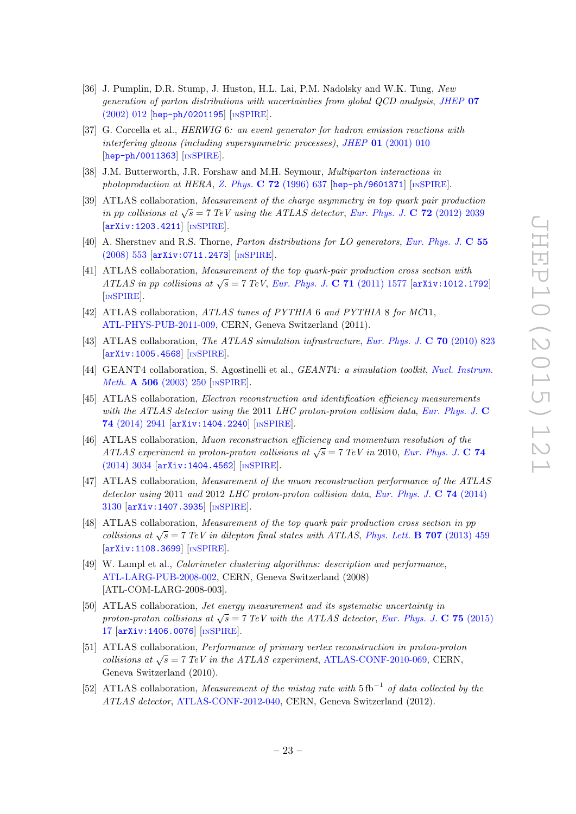- <span id="page-23-0"></span>[36] J. Pumplin, D.R. Stump, J. Huston, H.L. Lai, P.M. Nadolsky and W.K. Tung, New generation of parton distributions with uncertainties from global QCD analysis, [JHEP](http://dx.doi.org/10.1088/1126-6708/2002/07/012) 07 [\(2002\) 012](http://dx.doi.org/10.1088/1126-6708/2002/07/012) [[hep-ph/0201195](http://arxiv.org/abs/hep-ph/0201195)] [IN[SPIRE](http://inspirehep.net/search?p=find+EPRINT+hep-ph/0201195)].
- <span id="page-23-1"></span>[37] G. Corcella et al., HERWIG 6: an event generator for hadron emission reactions with interfering gluons (including supersymmetric processes), JHEP 01 [\(2001\) 010](http://dx.doi.org/10.1088/1126-6708/2001/01/010) [[hep-ph/0011363](http://arxiv.org/abs/hep-ph/0011363)] [IN[SPIRE](http://inspirehep.net/search?p=find+EPRINT+hep-ph/0011363)].
- <span id="page-23-2"></span>[38] J.M. Butterworth, J.R. Forshaw and M.H. Seymour, Multiparton interactions in photoproduction at HERA, Z. Phys. C 72 [\(1996\) 637](http://dx.doi.org/10.1007/s002880050286) [[hep-ph/9601371](http://arxiv.org/abs/hep-ph/9601371)] [IN[SPIRE](http://inspirehep.net/search?p=find+EPRINT+hep-ph/9601371)].
- <span id="page-23-3"></span>[39] ATLAS collaboration, Measurement of the charge asymmetry in top quark pair production in pp collisions at  $\sqrt{s} = 7 \text{ TeV}$  using the ATLAS detector, [Eur. Phys. J.](http://dx.doi.org/10.1140/epjc/s10052-012-2039-5) C 72 (2012) 2039 [[arXiv:1203.4211](http://arxiv.org/abs/1203.4211)] [IN[SPIRE](http://inspirehep.net/search?p=find+EPRINT+arXiv:1203.4211)].
- <span id="page-23-4"></span>[40] A. Sherstnev and R.S. Thorne, Parton distributions for LO generators, [Eur. Phys. J.](http://dx.doi.org/10.1140/epjc/s10052-008-0610-x) C 55 [\(2008\) 553](http://dx.doi.org/10.1140/epjc/s10052-008-0610-x) [[arXiv:0711.2473](http://arxiv.org/abs/0711.2473)] [IN[SPIRE](http://inspirehep.net/search?p=find+EPRINT+arXiv:0711.2473)].
- <span id="page-23-5"></span>[41] ATLAS collaboration, Measurement of the top quark-pair production cross section with ATLAS in pp collisions at  $\sqrt{s} = 7$  TeV, [Eur. Phys. J.](http://dx.doi.org/10.1140/epjc/s10052-011-1577-6) C 71 (2011) 1577 [[arXiv:1012.1792](http://arxiv.org/abs/1012.1792)] [IN[SPIRE](http://inspirehep.net/search?p=find+EPRINT+arXiv:1012.1792)].
- <span id="page-23-6"></span>[42] ATLAS collaboration, ATLAS tunes of PYTHIA 6 and PYTHIA 8 for MC11, [ATL-PHYS-PUB-2011-009,](http://cds.cern.ch/record/1363300) CERN, Geneva Switzerland (2011).
- <span id="page-23-7"></span>[43] ATLAS collaboration, The ATLAS simulation infrastructure, [Eur. Phys. J.](http://dx.doi.org/10.1140/epjc/s10052-010-1429-9) C 70 (2010) 823 [[arXiv:1005.4568](http://arxiv.org/abs/1005.4568)] [IN[SPIRE](http://inspirehep.net/search?p=find+EPRINT+arXiv:1005.4568)].
- <span id="page-23-8"></span>[44] GEANT4 collaboration, S. Agostinelli et al., *GEANT4: a simulation toolkit, [Nucl. Instrum.](http://dx.doi.org/10.1016/S0168-9002(03)01368-8)* Meth. A 506 [\(2003\) 250](http://dx.doi.org/10.1016/S0168-9002(03)01368-8) [IN[SPIRE](http://inspirehep.net/search?p=find+J+"Nucl.Instrum.Meth.,A506,250")].
- <span id="page-23-9"></span>[45] ATLAS collaboration, Electron reconstruction and identification efficiency measurements with the ATLAS detector using the 2011 LHC proton-proton collision data, [Eur. Phys. J.](http://dx.doi.org/10.1140/epjc/s10052-014-2941-0) C 74 [\(2014\) 2941](http://dx.doi.org/10.1140/epjc/s10052-014-2941-0) [[arXiv:1404.2240](http://arxiv.org/abs/1404.2240)] [IN[SPIRE](http://inspirehep.net/search?p=find+EPRINT+arXiv:1404.2240)].
- <span id="page-23-10"></span>[46] ATLAS collaboration, Muon reconstruction efficiency and momentum resolution of the ATLAS experiment in proton-proton collisions at  $\sqrt{s} = 7$  TeV in 2010, [Eur. Phys. J.](http://dx.doi.org/10.1140/epjc/s10052-014-3034-9) C 74 [\(2014\) 3034](http://dx.doi.org/10.1140/epjc/s10052-014-3034-9) [[arXiv:1404.4562](http://arxiv.org/abs/1404.4562)] [IN[SPIRE](http://inspirehep.net/search?p=find+EPRINT+arXiv:1404.4562)].
- <span id="page-23-11"></span>[47] ATLAS collaboration, Measurement of the muon reconstruction performance of the ATLAS detector using 2011 and 2012 LHC proton-proton collision data, [Eur. Phys. J.](http://dx.doi.org/10.1140/epjc/s10052-014-3130-x) **C 74** (2014) [3130](http://dx.doi.org/10.1140/epjc/s10052-014-3130-x) [[arXiv:1407.3935](http://arxiv.org/abs/1407.3935)] [IN[SPIRE](http://inspirehep.net/search?p=find+EPRINT+arXiv:1407.3935)].
- <span id="page-23-12"></span>[48] ATLAS collaboration, Measurement of the top quark pair production cross section in pp collisions at  $\sqrt{s} = 7$  TeV in dilepton final states with ATLAS, [Phys. Lett.](http://dx.doi.org/10.1016/j.physletb.2011.12.055) **B 707** (2013) 459 [[arXiv:1108.3699](http://arxiv.org/abs/1108.3699)] [IN[SPIRE](http://inspirehep.net/search?p=find+EPRINT+arXiv:1108.3699)].
- <span id="page-23-13"></span>[49] W. Lampl et al., Calorimeter clustering algorithms: description and performance, [ATL-LARG-PUB-2008-002,](http://cds.cern.ch/record/1099735) CERN, Geneva Switzerland (2008) [ATL-COM-LARG-2008-003].
- <span id="page-23-14"></span>[50] ATLAS collaboration, Jet energy measurement and its systematic uncertainty in proton-proton collisions at  $\sqrt{s} = 7$  TeV with the ATLAS detector, [Eur. Phys. J.](http://dx.doi.org/10.1140/epjc/s10052-014-3190-y) C 75 (2015) [17](http://dx.doi.org/10.1140/epjc/s10052-014-3190-y) [[arXiv:1406.0076](http://arxiv.org/abs/1406.0076)] [IN[SPIRE](http://inspirehep.net/search?p=find+EPRINT+arXiv:1406.0076)].
- <span id="page-23-15"></span>[51] ATLAS collaboration, Performance of primary vertex reconstruction in proton-proton collisions at  $\sqrt{s} = 7$  TeV in the ATLAS experiment, [ATLAS-CONF-2010-069,](http://cds.cern.ch/record/1281344) CERN, Geneva Switzerland (2010).
- <span id="page-23-16"></span>[52] ATLAS collaboration, Measurement of the mistag rate with  $5 \text{ fb}^{-1}$  of data collected by the ATLAS detector, [ATLAS-CONF-2012-040,](http://cds.cern.ch/record/1435194) CERN, Geneva Switzerland (2012).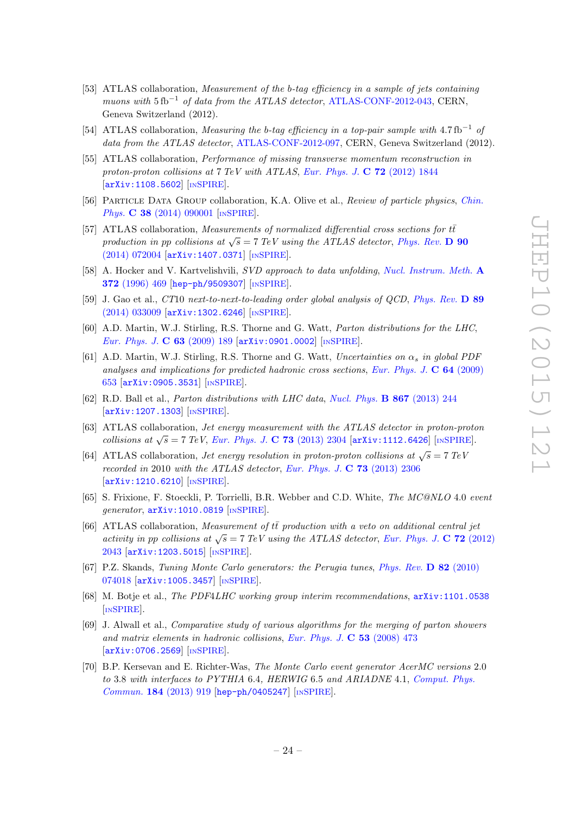- [53] ATLAS collaboration, *Measurement of the b-tag efficiency in a sample of jets containing* muons with  $5 \text{ fb}^{-1}$  of data from the ATLAS detector, [ATLAS-CONF-2012-043,](http://cds.cern.ch/record/1435197) CERN, Geneva Switzerland (2012).
- <span id="page-24-0"></span>[54] ATLAS collaboration, Measuring the b-tag efficiency in a top-pair sample with  $4.7 \text{ fb}^{-1}$  of data from the ATLAS detector, [ATLAS-CONF-2012-097,](http://cds.cern.ch/record/1460443) CERN, Geneva Switzerland (2012).
- <span id="page-24-1"></span>[55] ATLAS collaboration, Performance of missing transverse momentum reconstruction in proton-proton collisions at 7 TeV with ATLAS, [Eur. Phys. J.](http://dx.doi.org/10.1140/epjc/s10052-011-1844-6)  $C$  72 (2012) 1844 [[arXiv:1108.5602](http://arxiv.org/abs/1108.5602)] [IN[SPIRE](http://inspirehep.net/search?p=find+EPRINT+arXiv:1108.5602)].
- <span id="page-24-2"></span>[56] Particle Data Group collaboration, K.A. Olive et al., Review of particle physics, [Chin.](http://dx.doi.org/10.1088/1674-1137/38/9/090001) Phys. **C 38** [\(2014\) 090001](http://dx.doi.org/10.1088/1674-1137/38/9/090001) [IN[SPIRE](http://inspirehep.net/search?p=find+J+"Chin.Phys.,C38,090001")].
- <span id="page-24-3"></span>[57] ATLAS collaboration, Measurements of normalized differential cross sections for  $t\bar{t}$ production in pp collisions at  $\sqrt{s} = 7$  TeV using the ATLAS detector, [Phys. Rev.](http://dx.doi.org/10.1103/PhysRevD.90.072004) **D** 90 [\(2014\) 072004](http://dx.doi.org/10.1103/PhysRevD.90.072004) [[arXiv:1407.0371](http://arxiv.org/abs/1407.0371)] [IN[SPIRE](http://inspirehep.net/search?p=find+EPRINT+arXiv:1407.0371)].
- <span id="page-24-4"></span>[58] A. Hocker and V. Kartvelishvili, SVD approach to data unfolding, [Nucl. Instrum. Meth.](http://dx.doi.org/10.1016/0168-9002(95)01478-0) A 372 [\(1996\) 469](http://dx.doi.org/10.1016/0168-9002(95)01478-0) [[hep-ph/9509307](http://arxiv.org/abs/hep-ph/9509307)] [IN[SPIRE](http://inspirehep.net/search?p=find+EPRINT+hep-ph/9509307)].
- <span id="page-24-5"></span>[59] J. Gao et al., CT10 next-to-next-to-leading order global analysis of QCD, [Phys. Rev.](http://dx.doi.org/10.1103/PhysRevD.89.033009) D 89 [\(2014\) 033009](http://dx.doi.org/10.1103/PhysRevD.89.033009) [[arXiv:1302.6246](http://arxiv.org/abs/1302.6246)] [IN[SPIRE](http://inspirehep.net/search?p=find+EPRINT+arXiv:1302.6246)].
- <span id="page-24-6"></span>[60] A.D. Martin, W.J. Stirling, R.S. Thorne and G. Watt, Parton distributions for the LHC, [Eur. Phys. J.](http://dx.doi.org/10.1140/epjc/s10052-009-1072-5) C 63 (2009) 189  $\text{arXiv:}$ 0901.0002 $\text{[insPIRE]}$ .
- <span id="page-24-7"></span>[61] A.D. Martin, W.J. Stirling, R.S. Thorne and G. Watt, Uncertainties on  $\alpha_s$  in global PDF analyses and implications for predicted hadronic cross sections, [Eur. Phys. J.](http://dx.doi.org/10.1140/epjc/s10052-009-1164-2)  $\bf{C}$  64 (2009) [653](http://dx.doi.org/10.1140/epjc/s10052-009-1164-2) [[arXiv:0905.3531](http://arxiv.org/abs/0905.3531)] [IN[SPIRE](http://inspirehep.net/search?p=find+EPRINT+arXiv:0905.3531)].
- <span id="page-24-8"></span>[62] R.D. Ball et al., Parton distributions with LHC data, [Nucl. Phys.](http://dx.doi.org/10.1016/j.nuclphysb.2012.10.003) B 867 (2013) 244 [[arXiv:1207.1303](http://arxiv.org/abs/1207.1303)] [IN[SPIRE](http://inspirehep.net/search?p=find+EPRINT+arXiv:1207.1303)].
- <span id="page-24-9"></span>[63] ATLAS collaboration, Jet energy measurement with the ATLAS detector in proton-proton collisions at  $\sqrt{s} = 7$  TeV, [Eur. Phys. J.](http://dx.doi.org/10.1140/epjc/s10052-013-2304-2) C 73 (2013) 2304 [[arXiv:1112.6426](http://arxiv.org/abs/1112.6426)] [IN[SPIRE](http://inspirehep.net/search?p=find+EPRINT+arXiv:1112.6426)].
- <span id="page-24-10"></span>[64] ATLAS collaboration, Jet energy resolution in proton-proton collisions at  $\sqrt{s} = 7 \text{ TeV}$ recorded in 2010 with the ATLAS detector, [Eur. Phys. J.](http://dx.doi.org/10.1140/epjc/s10052-013-2306-0) C 73 (2013) 2306 [[arXiv:1210.6210](http://arxiv.org/abs/1210.6210)] [IN[SPIRE](http://inspirehep.net/search?p=find+EPRINT+arXiv:1210.6210)].
- <span id="page-24-11"></span>[65] S. Frixione, F. Stoeckli, P. Torrielli, B.R. Webber and C.D. White, The MC@NLO 4.0 event generator,  $arXiv:1010.0819$  [IN[SPIRE](http://inspirehep.net/search?p=find+EPRINT+arXiv:1010.0819)].
- <span id="page-24-12"></span>[66] ATLAS collaboration, Measurement of  $t\bar{t}$  production with a veto on additional central jet activity in pp collisions at  $\sqrt{s} = 7$  TeV using the ATLAS detector, [Eur. Phys. J.](http://dx.doi.org/10.1140/epjc/s10052-012-2043-9) C 72 (2012) [2043](http://dx.doi.org/10.1140/epjc/s10052-012-2043-9) [[arXiv:1203.5015](http://arxiv.org/abs/1203.5015)] [IN[SPIRE](http://inspirehep.net/search?p=find+EPRINT+arXiv:1203.5015)].
- <span id="page-24-13"></span>[67] P.Z. Skands, Tuning Monte Carlo generators: the Perugia tunes, [Phys. Rev.](http://dx.doi.org/10.1103/PhysRevD.82.074018) D 82 (2010) [074018](http://dx.doi.org/10.1103/PhysRevD.82.074018) [[arXiv:1005.3457](http://arxiv.org/abs/1005.3457)] [IN[SPIRE](http://inspirehep.net/search?p=find+EPRINT+arXiv:1005.3457)].
- <span id="page-24-14"></span>[68] M. Botje et al., The PDF4LHC working group interim recommendations, [arXiv:1101.0538](http://arxiv.org/abs/1101.0538) [IN[SPIRE](http://inspirehep.net/search?p=find+EPRINT+arXiv:1101.0538)].
- <span id="page-24-15"></span>[69] J. Alwall et al., Comparative study of various algorithms for the merging of parton showers and matrix elements in hadronic collisions, [Eur. Phys. J.](http://dx.doi.org/10.1140/epjc/s10052-007-0490-5) C 53 (2008) 473 [[arXiv:0706.2569](http://arxiv.org/abs/0706.2569)] [IN[SPIRE](http://inspirehep.net/search?p=find+EPRINT+arXiv:0706.2569)].
- <span id="page-24-16"></span>[70] B.P. Kersevan and E. Richter-Was, The Monte Carlo event generator AcerMC versions 2.0 to 3.8 with interfaces to PYTHIA 6.4, HERWIG 6.5 and ARIADNE 4.1, [Comput. Phys.](http://dx.doi.org/10.1016/j.cpc.2012.10.032) Commun. 184 [\(2013\) 919](http://dx.doi.org/10.1016/j.cpc.2012.10.032) [[hep-ph/0405247](http://arxiv.org/abs/hep-ph/0405247)] [IN[SPIRE](http://inspirehep.net/search?p=find+EPRINT+hep-ph/0405247)].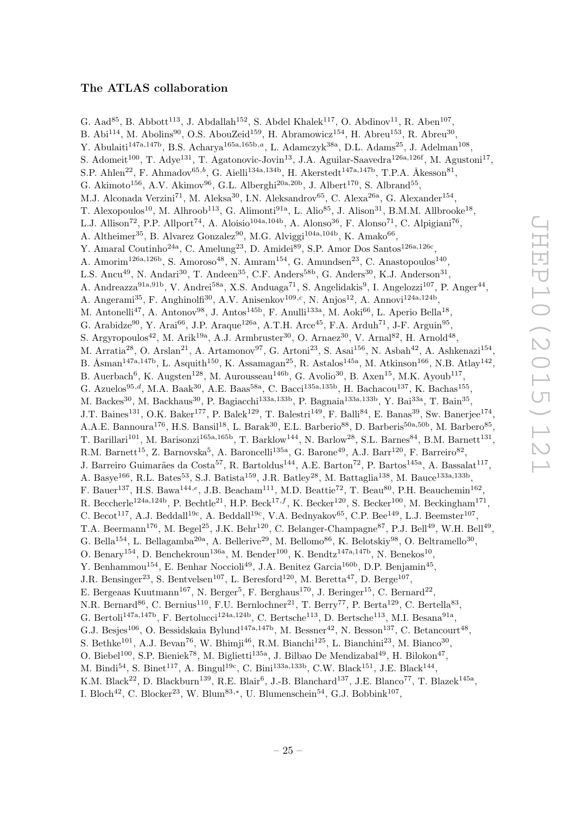# The ATLAS collaboration

<span id="page-25-0"></span>G. Aad<sup>85</sup>, B. Abbott<sup>113</sup>, J. Abdallah<sup>152</sup>, S. Abdel Khalek<sup>117</sup>, O. Abdinov<sup>11</sup>, R. Aben<sup>107</sup>, B. Abi<sup>114</sup>, M. Abolins<sup>90</sup>, O.S. AbouZeid<sup>159</sup>, H. Abramowicz<sup>154</sup>, H. Abreu<sup>153</sup>, R. Abreu<sup>30</sup>, Y. Abulaiti<sup>147a,147b</sup>, B.S. Acharya<sup>165a,165b,a</sup>, L. Adamczyk<sup>38a</sup>, D.L. Adams<sup>25</sup>, J. Adelman<sup>108</sup>, S. Adomeit<sup>100</sup>, T. Adye<sup>131</sup>, T. Agatonovic-Jovin<sup>13</sup>, J.A. Aguilar-Saavedra<sup>126a,126f</sup>, M. Agustoni<sup>17</sup>, S.P. Ahlen<sup>22</sup>, F. Ahmadov<sup>65,b</sup>, G. Aielli<sup>134a,134b</sup>, H. Akerstedt<sup>147a,147b</sup>, T.P.A. Åkesson<sup>81</sup>, G. Akimoto<sup>156</sup>, A.V. Akimov<sup>96</sup>, G.L. Alberghi<sup>20a, 20b</sup>, J. Albert<sup>170</sup>, S. Albrand<sup>55</sup>, M.J. Alconada Verzini<sup>71</sup>, M. Aleksa<sup>30</sup>, I.N. Aleksandrov<sup>65</sup>, C. Alexa<sup>26a</sup>, G. Alexander<sup>154</sup>, T. Alexopoulos<sup>10</sup>, M. Alhroob<sup>113</sup>, G. Alimonti<sup>91a</sup>, L. Alio<sup>85</sup>, J. Alison<sup>31</sup>, B.M.M. Allbrooke<sup>18</sup>, L.J. Allison<sup>72</sup>, P.P. Allport<sup>74</sup>, A. Aloisio<sup>104a,104b</sup>, A. Alonso<sup>36</sup>, F. Alonso<sup>71</sup>, C. Alpigiani<sup>76</sup>, A. Altheimer<sup>35</sup>, B. Alvarez Gonzalez<sup>90</sup>, M.G. Alviggi<sup>104a,104b</sup>, K. Amako<sup>66</sup>, Y. Amaral Coutinho<sup>24a</sup>, C. Amelung<sup>23</sup>, D. Amidei<sup>89</sup>, S.P. Amor Dos Santos<sup>126a,126c</sup>, A. Amorim<sup>126a,126b</sup>, S. Amoroso<sup>48</sup>, N. Amram<sup>154</sup>, G. Amundsen<sup>23</sup>, C. Anastopoulos<sup>140</sup>, L.S. Ancu<sup>49</sup>, N. Andari<sup>30</sup>, T. Andeen<sup>35</sup>, C.F. Anders<sup>58b</sup>, G. Anders<sup>30</sup>, K.J. Anderson<sup>31</sup>, A. Andreazza<sup>91a,91b</sup>, V. Andrei<sup>58a</sup>, X.S. Anduaga<sup>71</sup>, S. Angelidakis<sup>9</sup>, I. Angelozzi<sup>107</sup>, P. Anger<sup>44</sup>, A. Angerami<sup>35</sup>, F. Anghinolfi<sup>30</sup>, A.V. Anisenkov<sup>109,c</sup>, N. Anjos<sup>12</sup>, A. Annovi<sup>124a,124b</sup>, M. Antonelli<sup>47</sup>, A. Antonov<sup>98</sup>, J. Antos<sup>145b</sup>, F. Anulli<sup>133a</sup>, M. Aoki<sup>66</sup>, L. Aperio Bella<sup>18</sup>, G. Arabidze<sup>90</sup>, Y. Arai<sup>66</sup>, J.P. Araque<sup>126a</sup>, A.T.H. Arce<sup>45</sup>, F.A. Arduh<sup>71</sup>, J-F. Arguin<sup>95</sup>, S. Argyropoulos<sup>42</sup>, M. Arik<sup>19a</sup>, A.J. Armbruster<sup>30</sup>, O. Arnaez<sup>30</sup>, V. Arnal<sup>82</sup>, H. Arnold<sup>48</sup>, M. Arratia<sup>28</sup>, O. Arslan<sup>21</sup>, A. Artamonov<sup>97</sup>, G. Artoni<sup>23</sup>, S. Asai<sup>156</sup>, N. Asbah<sup>42</sup>, A. Ashkenazi<sup>154</sup>, B. Åsman<sup>147a,147b</sup>, L. Asquith<sup>150</sup>, K. Assamagan<sup>25</sup>, R. Astalos<sup>145a</sup>, M. Atkinson<sup>166</sup>, N.B. Atlay<sup>142</sup>, B. Auerbach<sup>6</sup>, K. Augsten<sup>128</sup>, M. Aurousseau<sup>146b</sup>, G. Avolio<sup>30</sup>, B. Axen<sup>15</sup>, M.K. Ayoub<sup>117</sup>, G. Azuelos<sup>95,d</sup>, M.A. Baak<sup>30</sup>, A.E. Baas<sup>58a</sup>, C. Bacci<sup>135a,135b</sup>, H. Bachacou<sup>137</sup>, K. Bachas<sup>155</sup>, M. Backes<sup>30</sup>, M. Backhaus<sup>30</sup>, P. Bagiacchi<sup>133a,133b</sup>, P. Bagnaia<sup>133a,133b</sup>, Y. Bai<sup>33a</sup>, T. Bain<sup>35</sup>, J.T. Baines<sup>131</sup>, O.K. Baker<sup>177</sup>, P. Balek<sup>129</sup>, T. Balestri<sup>149</sup>, F. Balli<sup>84</sup>, E. Banas<sup>39</sup>, Sw. Banerjee<sup>174</sup>, A.A.E. Bannoura<sup>176</sup>, H.S. Bansil<sup>18</sup>, L. Barak<sup>30</sup>, E.L. Barberio<sup>88</sup>, D. Barberis<sup>50a,50b</sup>, M. Barbero<sup>85</sup>, T. Barillari<sup>101</sup>, M. Barisonzi<sup>165a,165b</sup>, T. Barklow<sup>144</sup>, N. Barlow<sup>28</sup>, S.L. Barnes<sup>84</sup>, B.M. Barnett<sup>131</sup>, R.M. Barnett<sup>15</sup>, Z. Barnovska<sup>5</sup>, A. Baroncelli<sup>135a</sup>, G. Barone<sup>49</sup>, A.J. Barr<sup>120</sup>, F. Barreiro<sup>82</sup>, J. Barreiro Guimarães da Costa<sup>57</sup>, R. Bartoldus<sup>144</sup>, A.E. Barton<sup>72</sup>, P. Bartos<sup>145a</sup>, A. Bassalat<sup>117</sup>, A. Basye<sup>166</sup>, R.L. Bates<sup>53</sup>, S.J. Batista<sup>159</sup>, J.R. Batley<sup>28</sup>, M. Battaglia<sup>138</sup>, M. Bauce<sup>133a,133b</sup>, F. Bauer<sup>137</sup>, H.S. Bawa<sup>144,e</sup>, J.B. Beacham<sup>111</sup>, M.D. Beattie<sup>72</sup>, T. Beau<sup>80</sup>, P.H. Beauchemin<sup>162</sup>, R. Beccherle<sup>124a,124b</sup>, P. Bechtle<sup>21</sup>, H.P. Beck<sup>17,f</sup>, K. Becker<sup>120</sup>, S. Becker<sup>100</sup>, M. Beckingham<sup>171</sup>, C. Becot<sup>117</sup>, A.J. Beddall<sup>19c</sup>, A. Beddall<sup>19c</sup>, V.A. Bednyakov<sup>65</sup>, C.P. Bee<sup>149</sup>, L.J. Beemster<sup>107</sup>, T.A. Beermann<sup>176</sup>, M. Begel<sup>25</sup>, J.K. Behr<sup>120</sup>, C. Belanger-Champagne<sup>87</sup>, P.J. Bell<sup>49</sup>, W.H. Bell<sup>49</sup>, G. Bella<sup>154</sup>, L. Bellagamba<sup>20a</sup>, A. Bellerive<sup>29</sup>, M. Bellomo<sup>86</sup>, K. Belotskiy<sup>98</sup>, O. Beltramello<sup>30</sup>, O. Benary<sup>154</sup>, D. Benchekroun<sup>136a</sup>, M. Bender<sup>100</sup>, K. Bendtz<sup>147a,147b</sup>, N. Benekos<sup>10</sup>, Y. Benhammou<sup>154</sup>, E. Benhar Noccioli<sup>49</sup>, J.A. Benitez Garcia<sup>160b</sup>, D.P. Benjamin<sup>45</sup>, J.R. Bensinger<sup>23</sup>, S. Bentvelsen<sup>107</sup>, L. Beresford<sup>120</sup>, M. Beretta<sup>47</sup>, D. Berge<sup>107</sup>, E. Bergeaas Kuutmann<sup>167</sup>, N. Berger<sup>5</sup>, F. Berghaus<sup>170</sup>, J. Beringer<sup>15</sup>, C. Bernard<sup>22</sup>, N.R. Bernard<sup>86</sup>, C. Bernius<sup>110</sup>, F.U. Bernlochner<sup>21</sup>, T. Berry<sup>77</sup>, P. Berta<sup>129</sup>, C. Bertella<sup>83</sup>, G. Bertoli<sup>147a,147b</sup>, F. Bertolucci<sup>124a,124b</sup>, C. Bertsche<sup>113</sup>, D. Bertsche<sup>113</sup>, M.I. Besana<sup>91a</sup>, G.J. Besjes<sup>106</sup>, O. Bessidskaia Bylund<sup>147a,147b</sup>, M. Bessner<sup>42</sup>, N. Besson<sup>137</sup>, C. Betancourt<sup>48</sup>, S. Bethke<sup>101</sup>, A.J. Bevan<sup>76</sup>, W. Bhimji<sup>46</sup>, R.M. Bianchi<sup>125</sup>, L. Bianchini<sup>23</sup>, M. Bianco<sup>30</sup>, O. Biebel<sup>100</sup>, S.P. Bieniek<sup>78</sup>, M. Biglietti<sup>135a</sup>, J. Bilbao De Mendizabal<sup>49</sup>, H. Bilokon<sup>47</sup>, M. Bindi<sup>54</sup>, S. Binet<sup>117</sup>, A. Bingul<sup>19c</sup>, C. Bini<sup>133a,133b</sup>, C.W. Black<sup>151</sup>, J.E. Black<sup>144</sup>, K.M. Black<sup>22</sup>, D. Blackburn<sup>139</sup>, R.E. Blair<sup>6</sup>, J.-B. Blanchard<sup>137</sup>, J.E. Blanco<sup>77</sup>, T. Blazek<sup>145a</sup>,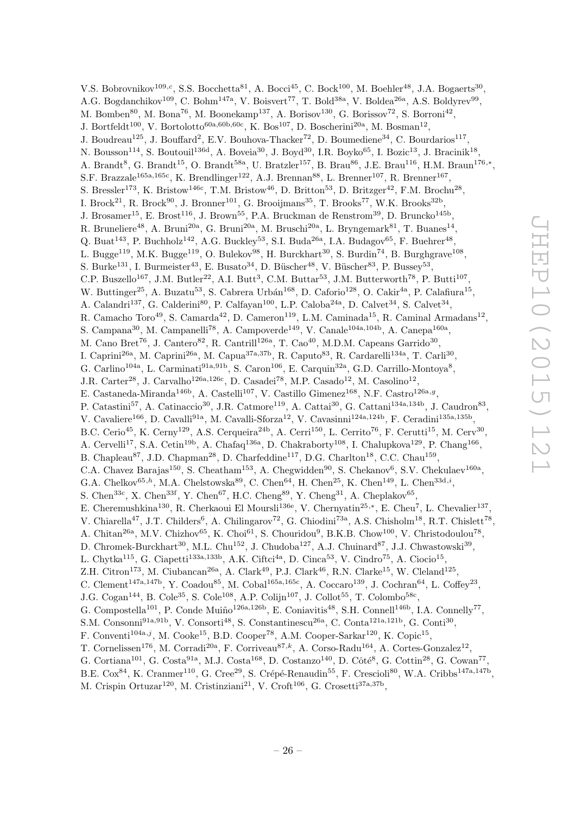V.S. Bobrovnikov<sup>109,c</sup>, S.S. Bocchetta<sup>81</sup>, A. Bocci<sup>45</sup>, C. Bock<sup>100</sup>, M. Boehler<sup>48</sup>, J.A. Bogaerts<sup>30</sup>, A.G. Bogdanchikov<sup>109</sup>, C. Bohm<sup>147a</sup>, V. Boisvert<sup>77</sup>, T. Bold<sup>38a</sup>, V. Boldea<sup>26a</sup>, A.S. Boldyrev<sup>99</sup>, M. Bomben<sup>80</sup>, M. Bona<sup>76</sup>, M. Boonekamp<sup>137</sup>, A. Borisov<sup>130</sup>, G. Borissov<sup>72</sup>, S. Borroni<sup>42</sup>, J. Bortfeldt<sup>100</sup>, V. Bortolotto<sup>60a,60b,60c</sup>, K. Bos<sup>107</sup>, D. Boscherini<sup>20a</sup>, M. Bosman<sup>12</sup>, J. Boudreau<sup>125</sup>, J. Bouffard<sup>2</sup>, E.V. Bouhova-Thacker<sup>72</sup>, D. Boumediene<sup>34</sup>, C. Bourdarios<sup>117</sup>, N. Bousson<sup>114</sup>, S. Boutouil<sup>136d</sup>, A. Boveia<sup>30</sup>, J. Boyd<sup>30</sup>, I.R. Boyko<sup>65</sup>, I. Bozic<sup>13</sup>, J. Bracinik<sup>18</sup>, A. Brandt<sup>8</sup>, G. Brandt<sup>15</sup>, O. Brandt<sup>58a</sup>, U. Bratzler<sup>157</sup>, B. Brau<sup>86</sup>, J.E. Brau<sup>116</sup>, H.M. Braun<sup>176,\*</sup>, S.F. Brazzale<sup>165a,165c</sup>, K. Brendlinger<sup>122</sup>, A.J. Brennan<sup>88</sup>, L. Brenner<sup>107</sup>, R. Brenner<sup>167</sup>, S. Bressler<sup>173</sup>, K. Bristow<sup>146c</sup>, T.M. Bristow<sup>46</sup>, D. Britton<sup>53</sup>, D. Britzger<sup>42</sup>, F.M. Brochu<sup>28</sup>, I. Brock<sup>21</sup>, R. Brock<sup>90</sup>, J. Bronner<sup>101</sup>, G. Brooijmans<sup>35</sup>, T. Brooks<sup>77</sup>, W.K. Brooks<sup>32b</sup>, J. Brosamer<sup>15</sup>, E. Brost<sup>116</sup>, J. Brown<sup>55</sup>, P.A. Bruckman de Renstrom<sup>39</sup>, D. Bruncko<sup>145b</sup>, R. Bruneliere<sup>48</sup>, A. Bruni<sup>20a</sup>, G. Bruni<sup>20a</sup>, M. Bruschi<sup>20a</sup>, L. Bryngemark<sup>81</sup>, T. Buanes<sup>14</sup>, Q. Buat<sup>143</sup>, P. Buchholz<sup>142</sup>, A.G. Buckley<sup>53</sup>, S.I. Buda<sup>26a</sup>, I.A. Budagov<sup>65</sup>, F. Buehrer<sup>48</sup>, L. Bugge<sup>119</sup>, M.K. Bugge<sup>119</sup>, O. Bulekov<sup>98</sup>, H. Burckhart<sup>30</sup>, S. Burdin<sup>74</sup>, B. Burghgrave<sup>108</sup>, S. Burke<sup>131</sup>, I. Burmeister<sup>43</sup>, E. Busato<sup>34</sup>, D. Büscher<sup>48</sup>, V. Büscher<sup>83</sup>, P. Bussey<sup>53</sup>, C.P. Buszello<sup>167</sup>, J.M. Butler<sup>22</sup>, A.I. Butt<sup>3</sup>, C.M. Buttar<sup>53</sup>, J.M. Butterworth<sup>78</sup>, P. Butti<sup>107</sup>, W. Buttinger<sup>25</sup>, A. Buzatu<sup>53</sup>, S. Cabrera Urbán<sup>168</sup>, D. Caforio<sup>128</sup>, O. Cakir<sup>4a</sup>, P. Calafiura<sup>15</sup>, A. Calandri<sup>137</sup>, G. Calderini<sup>80</sup>, P. Calfayan<sup>100</sup>, L.P. Caloba<sup>24a</sup>, D. Calvet<sup>34</sup>, S. Calvet<sup>34</sup>, R. Camacho Toro<sup>49</sup>, S. Camarda<sup>42</sup>, D. Cameron<sup>119</sup>, L.M. Caminada<sup>15</sup>, R. Caminal Armadans<sup>12</sup>, S. Campana<sup>30</sup>, M. Campanelli<sup>78</sup>, A. Campoverde<sup>149</sup>, V. Canale<sup>104a,104b</sup>, A. Canepa<sup>160a</sup>, M. Cano Bret<sup>76</sup>, J. Cantero<sup>82</sup>, R. Cantrill<sup>126a</sup>, T. Cao<sup>40</sup>, M.D.M. Capeans Garrido<sup>30</sup>, I. Caprini<sup>26a</sup>, M. Caprini<sup>26a</sup>, M. Capua<sup>37a,37b</sup>, R. Caputo<sup>83</sup>, R. Cardarelli<sup>134a</sup>, T. Carli<sup>30</sup>, G. Carlino<sup>104a</sup>, L. Carminati<sup>91a,91b</sup>, S. Caron<sup>106</sup>, E. Carquin<sup>32a</sup>, G.D. Carrillo-Montoya<sup>8</sup>, J.R. Carter<sup>28</sup>, J. Carvalho<sup>126a,126c</sup>, D. Casadei<sup>78</sup>, M.P. Casado<sup>12</sup>, M. Casolino<sup>12</sup>, E. Castaneda-Miranda<sup>146b</sup>, A. Castelli<sup>107</sup>, V. Castillo Gimenez<sup>168</sup>, N.F. Castro<sup>126a,g</sup>, P. Catastini<sup>57</sup>, A. Catinaccio<sup>30</sup>, J.R. Catmore<sup>119</sup>, A. Cattai<sup>30</sup>, G. Cattani<sup>134a,134b</sup>, J. Caudron<sup>83</sup>, V. Cavaliere<sup>166</sup>, D. Cavalli<sup>91a</sup>, M. Cavalli-Sforza<sup>12</sup>, V. Cavasinni<sup>124a,124b</sup>, F. Ceradini<sup>135a,135b</sup>, B.C. Cerio<sup>45</sup>, K. Cerny<sup>129</sup>, A.S. Cerqueira<sup>24b</sup>, A. Cerri<sup>150</sup>, L. Cerrito<sup>76</sup>, F. Cerutti<sup>15</sup>, M. Cerv<sup>30</sup>, A. Cervelli<sup>17</sup>, S.A. Cetin<sup>19b</sup>, A. Chafaq<sup>136a</sup>, D. Chakraborty<sup>108</sup>, I. Chalupkova<sup>129</sup>, P. Chang<sup>166</sup>, B. Chapleau<sup>87</sup>, J.D. Chapman<sup>28</sup>, D. Charfeddine<sup>117</sup>, D.G. Charlton<sup>18</sup>, C.C. Chau<sup>159</sup>, C.A. Chavez Barajas<sup>150</sup>, S. Cheatham<sup>153</sup>, A. Chegwidden<sup>90</sup>, S. Chekanov<sup>6</sup>, S.V. Chekulaev<sup>160a</sup>, G.A. Chelkov<sup>65,h</sup>, M.A. Chelstowska<sup>89</sup>, C. Chen<sup>64</sup>, H. Chen<sup>25</sup>, K. Chen<sup>149</sup>, L. Chen<sup>33d,i</sup>, S. Chen<sup>33c</sup>, X. Chen<sup>33f</sup>, Y. Chen<sup>67</sup>, H.C. Cheng<sup>89</sup>, Y. Cheng<sup>31</sup>, A. Cheplakov<sup>65</sup>, E. Cheremushkina<sup>130</sup>, R. Cherkaoui El Moursli<sup>136e</sup>, V. Chernyatin<sup>25,∗</sup>, E. Cheu<sup>7</sup>, L. Chevalier<sup>137</sup>, V. Chiarella<sup>47</sup>, J.T. Childers<sup>6</sup>, A. Chilingarov<sup>72</sup>, G. Chiodini<sup>73a</sup>, A.S. Chisholm<sup>18</sup>, R.T. Chislett<sup>78</sup>, A. Chitan<sup>26a</sup>, M.V. Chizhov<sup>65</sup>, K. Choi<sup>61</sup>, S. Chouridou<sup>9</sup>, B.K.B. Chow<sup>100</sup>, V. Christodoulou<sup>78</sup>, D. Chromek-Burckhart<sup>30</sup>, M.L. Chu<sup>152</sup>, J. Chudoba<sup>127</sup>, A.J. Chuinard<sup>87</sup>, J.J. Chwastowski<sup>39</sup>, L. Chytka<sup>115</sup>, G. Ciapetti<sup>133a,133b</sup>, A.K. Ciftci<sup>4a</sup>, D. Cinca<sup>53</sup>, V. Cindro<sup>75</sup>, A. Ciocio<sup>15</sup>, Z.H. Citron<sup>173</sup>, M. Ciubancan<sup>26a</sup>, A. Clark<sup>49</sup>, P.J. Clark<sup>46</sup>, R.N. Clarke<sup>15</sup>, W. Cleland<sup>125</sup>, C. Clement<sup>147a,147b</sup>, Y. Coadou<sup>85</sup>, M. Cobal<sup>165a,165c</sup>, A. Coccaro<sup>139</sup>, J. Cochran<sup>64</sup>, L. Coffey<sup>23</sup>, J.G. Cogan<sup>144</sup>, B. Cole<sup>35</sup>, S. Cole<sup>108</sup>, A.P. Colijn<sup>107</sup>, J. Collot<sup>55</sup>, T. Colombo<sup>58c</sup>, G. Compostella<sup>101</sup>, P. Conde Muiño<sup>126a,126b</sup>, E. Coniavitis<sup>48</sup>, S.H. Connell<sup>146b</sup>, I.A. Connelly<sup>77</sup>, S.M. Consonni<sup>91a,91b</sup>, V. Consorti<sup>48</sup>, S. Constantinescu<sup>26a</sup>, C. Conta<sup>121a,121b</sup>, G. Conti<sup>30</sup>, F. Conventi<sup>104a,j</sup>, M. Cooke<sup>15</sup>, B.D. Cooper<sup>78</sup>, A.M. Cooper-Sarkar<sup>120</sup>, K. Copic<sup>15</sup>, T. Cornelissen<sup>176</sup>, M. Corradi<sup>20a</sup>, F. Corriveau<sup>87,k</sup>, A. Corso-Radu<sup>164</sup>, A. Cortes-Gonzalez<sup>12</sup>, G. Cortiana<sup>101</sup>, G. Costa<sup>91a</sup>, M.J. Costa<sup>168</sup>, D. Costanzo<sup>140</sup>, D. Côté<sup>8</sup>, G. Cottin<sup>28</sup>, G. Cowan<sup>77</sup>, B.E. Cox<sup>84</sup>, K. Cranmer<sup>110</sup>, G. Cree<sup>29</sup>, S. Crépé-Renaudin<sup>55</sup>, F. Crescioli<sup>80</sup>, W.A. Cribbs<sup>147a,147b</sup>,

M. Crispin Ortuzar<sup>120</sup>, M. Cristinziani<sup>21</sup>, V. Croft<sup>106</sup>, G. Crosetti<sup>37a,37b</sup>,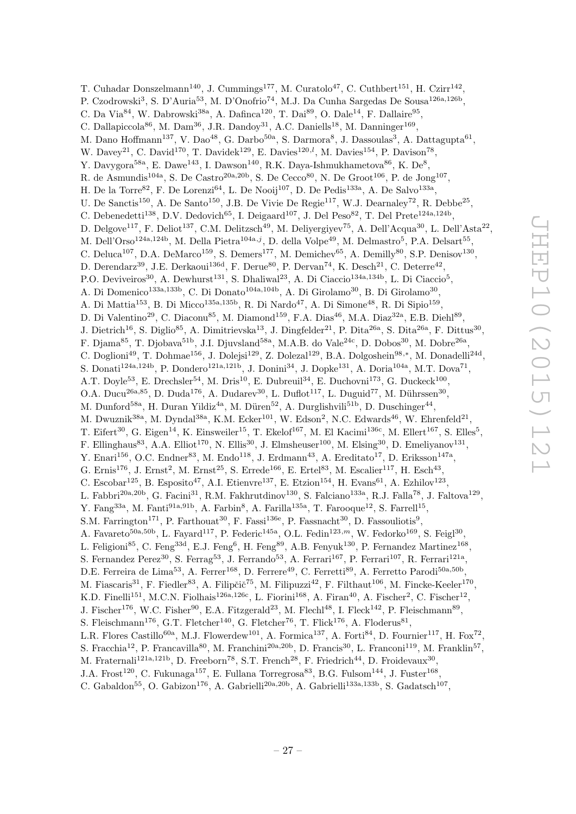T. Cuhadar Donszelmann<sup>140</sup>, J. Cummings<sup>177</sup>, M. Curatolo<sup>47</sup>, C. Cuthbert<sup>151</sup>, H. Czirr<sup>142</sup>, P. Czodrowski<sup>3</sup>, S. D'Auria<sup>53</sup>, M. D'Onofrio<sup>74</sup>, M.J. Da Cunha Sargedas De Sousa<sup>126a,126b</sup>, C. Da Via $^{84}$ , W. Dabrowski<sup>38a</sup>, A. Dafinca<sup>120</sup>, T. Dai<sup>89</sup>, O. Dale<sup>14</sup>, F. Dallaire<sup>95</sup>, C. Dallapiccola<sup>86</sup>, M. Dam<sup>36</sup>, J.R. Dandoy<sup>31</sup>, A.C. Daniells<sup>18</sup>, M. Danninger<sup>169</sup>, M. Dano Hoffmann<sup>137</sup>, V. Dao<sup>48</sup>, G. Darbo<sup>50a</sup>, S. Darmora<sup>8</sup>, J. Dassoulas<sup>3</sup>, A. Dattagupta<sup>61</sup>, W. Davey<sup>21</sup>, C. David<sup>170</sup>, T. Davidek<sup>129</sup>, E. Davies<sup>120,*l*</sup>, M. Davies<sup>154</sup>, P. Davison<sup>78</sup>, Y. Davygora<sup>58a</sup>, E. Dawe<sup>143</sup>, I. Dawson<sup>140</sup>, R.K. Daya-Ishmukhametova<sup>86</sup>, K. De<sup>8</sup>, R. de Asmundis<sup>104a</sup>, S. De Castro<sup>20a, 20b</sup>, S. De Cecco<sup>80</sup>, N. De Groot<sup>106</sup>, P. de Jong<sup>107</sup>, H. De la Torre<sup>82</sup>, F. De Lorenzi<sup>64</sup>, L. De Nooij<sup>107</sup>, D. De Pedis<sup>133a</sup>, A. De Salvo<sup>133a</sup>, U. De Sanctis<sup>150</sup>, A. De Santo<sup>150</sup>, J.B. De Vivie De Regie<sup>117</sup>, W.J. Dearnaley<sup>72</sup>, R. Debbe<sup>25</sup>, C. Debenedetti<sup>138</sup>, D.V. Dedovich<sup>65</sup>, I. Deigaard<sup>107</sup>, J. Del Peso<sup>82</sup>, T. Del Prete<sup>124a,124b</sup>, D. Delgove<sup>117</sup>, F. Deliot<sup>137</sup>, C.M. Delitzsch<sup>49</sup>, M. Deliyergiyev<sup>75</sup>, A. Dell'Acqua<sup>30</sup>, L. Dell'Asta<sup>22</sup>, M. Dell'Orso<sup>124a,124b</sup>, M. Della Pietra<sup>104a, j</sup>, D. della Volpe<sup>49</sup>, M. Delmastro<sup>5</sup>, P.A. Delsart<sup>55</sup>, C. Deluca<sup>107</sup>, D.A. DeMarco<sup>159</sup>, S. Demers<sup>177</sup>, M. Demichev<sup>65</sup>, A. Demilly<sup>80</sup>, S.P. Denisov<sup>130</sup>, D. Derendarz<sup>39</sup>, J.E. Derkaoui<sup>136d</sup>, F. Derue<sup>80</sup>, P. Dervan<sup>74</sup>, K. Desch<sup>21</sup>, C. Deterre<sup>42</sup>, P.O. Deviveiros<sup>30</sup>, A. Dewhurst<sup>131</sup>, S. Dhaliwal<sup>23</sup>, A. Di Ciaccio<sup>134a,134b</sup>, L. Di Ciaccio<sup>5</sup>, A. Di Domenico<sup>133a,133b</sup>, C. Di Donato<sup>104a,104b</sup>, A. Di Girolamo<sup>30</sup>, B. Di Girolamo<sup>30</sup>, A. Di Mattia<sup>153</sup>, B. Di Micco<sup>135a,135b</sup>, R. Di Nardo<sup>47</sup>, A. Di Simone<sup>48</sup>, R. Di Sipio<sup>159</sup>, D. Di Valentino<sup>29</sup>, C. Diaconu<sup>85</sup>, M. Diamond<sup>159</sup>, F.A. Dias<sup>46</sup>, M.A. Diaz<sup>32a</sup>, E.B. Diehl<sup>89</sup>, J. Dietrich<sup>16</sup>, S. Diglio<sup>85</sup>, A. Dimitrievska<sup>13</sup>, J. Dingfelder<sup>21</sup>, P. Dita<sup>26a</sup>, S. Dita<sup>26a</sup>, F. Dittus<sup>30</sup>, F. Djama $^{85}$ , T. Djobava $^{51b}$ , J.I. Djuvsland $^{58a}$ , M.A.B. do Vale $^{24c}$ , D. Dobos $^{30}$ , M. Dobre $^{26a}$ , C. Doglioni<sup>49</sup>, T. Dohmae<sup>156</sup>, J. Dolejsi<sup>129</sup>, Z. Dolezal<sup>129</sup>, B.A. Dolgoshein<sup>98,\*</sup>, M. Donadelli<sup>24d</sup>, S. Donati<sup>124a,124b</sup>, P. Dondero<sup>121a,121b</sup>, J. Donini<sup>34</sup>, J. Dopke<sup>131</sup>, A. Doria<sup>104a</sup>, M.T. Dova<sup>71</sup>, A.T. Doyle<sup>53</sup>, E. Drechsler<sup>54</sup>, M. Dris<sup>10</sup>, E. Dubreuil<sup>34</sup>, E. Duchovni<sup>173</sup>, G. Duckeck<sup>100</sup>, O.A. Ducu<sup>26a, 85</sup>, D. Duda<sup>176</sup>, A. Dudarev<sup>30</sup>, L. Duflot<sup>117</sup>, L. Duguid<sup>77</sup>, M. Dührssen<sup>30</sup>, M. Dunford<sup>58a</sup>, H. Duran Yildiz<sup>4a</sup>, M. Düren<sup>52</sup>, A. Durglishvili<sup>51b</sup>, D. Duschinger<sup>44</sup>, M. Dwuznik<sup>38a</sup>, M. Dyndal<sup>38a</sup>, K.M. Ecker<sup>101</sup>, W. Edson<sup>2</sup>, N.C. Edwards<sup>46</sup>, W. Ehrenfeld<sup>21</sup>, T. Eifert<sup>30</sup>, G. Eigen<sup>14</sup>, K. Einsweiler<sup>15</sup>, T. Ekelof<sup>167</sup>, M. El Kacimi<sup>136c</sup>, M. Ellert<sup>167</sup>, S. Elles<sup>5</sup>, F. Ellinghaus<sup>83</sup>, A.A. Elliot<sup>170</sup>, N. Ellis<sup>30</sup>, J. Elmsheuser<sup>100</sup>, M. Elsing<sup>30</sup>, D. Emeliyanov<sup>131</sup>, Y. Enari<sup>156</sup>, O.C. Endner<sup>83</sup>, M. Endo<sup>118</sup>, J. Erdmann<sup>43</sup>, A. Ereditato<sup>17</sup>, D. Eriksson<sup>147a</sup>, G. Ernis<sup>176</sup>, J. Ernst<sup>2</sup>, M. Ernst<sup>25</sup>, S. Errede<sup>166</sup>, E. Ertel<sup>83</sup>, M. Escalier<sup>117</sup>, H. Esch<sup>43</sup>, C. Escobar<sup>125</sup>, B. Esposito<sup>47</sup>, A.I. Etienvre<sup>137</sup>, E. Etzion<sup>154</sup>, H. Evans<sup>61</sup>, A. Ezhilov<sup>123</sup>, L. Fabbri<sup>20a,20b</sup>, G. Facini<sup>31</sup>, R.M. Fakhrutdinov<sup>130</sup>, S. Falciano<sup>133a</sup>, R.J. Falla<sup>78</sup>, J. Faltova<sup>129</sup>, Y. Fang<sup>33a</sup>, M. Fanti<sup>91a,91b</sup>, A. Farbin<sup>8</sup>, A. Farilla<sup>135a</sup>, T. Farooque<sup>12</sup>, S. Farrell<sup>15</sup>, S.M. Farrington<sup>171</sup>, P. Farthouat<sup>30</sup>, F. Fassi<sup>136e</sup>, P. Fassnacht<sup>30</sup>, D. Fassouliotis<sup>9</sup>, A. Favareto<sup>50a,50b</sup>, L. Fayard<sup>117</sup>, P. Federic<sup>145a</sup>, O.L. Fedin<sup>123,*m*</sup>, W. Fedorko<sup>169</sup>, S. Feigl<sup>30</sup>, L. Feligioni<sup>85</sup>, C. Feng<sup>33d</sup>, E.J. Feng<sup>6</sup>, H. Feng<sup>89</sup>, A.B. Fenyuk<sup>130</sup>, P. Fernandez Martinez<sup>168</sup>, S. Fernandez Perez<sup>30</sup>, S. Ferrag<sup>53</sup>, J. Ferrando<sup>53</sup>, A. Ferrari<sup>167</sup>, P. Ferrari<sup>107</sup>, R. Ferrari<sup>121a</sup>, D.E. Ferreira de Lima<sup>53</sup>, A. Ferrer<sup>168</sup>, D. Ferrere<sup>49</sup>, C. Ferretti<sup>89</sup>, A. Ferretto Parodi<sup>50a,50b</sup>, M. Fiascaris<sup>31</sup>, F. Fiedler<sup>83</sup>, A. Filipčič<sup>75</sup>, M. Filipuzzi<sup>42</sup>, F. Filthaut<sup>106</sup>, M. Fincke-Keeler<sup>170</sup>, K.D. Finelli<sup>151</sup>, M.C.N. Fiolhais<sup>126a,126c</sup>, L. Fiorini<sup>168</sup>, A. Firan<sup>40</sup>, A. Fischer<sup>2</sup>, C. Fischer<sup>12</sup>, J. Fischer<sup>176</sup>, W.C. Fisher<sup>90</sup>, E.A. Fitzgerald<sup>23</sup>, M. Flech<sup>148</sup>, I. Fleck<sup>142</sup>, P. Fleischmann<sup>89</sup>, S. Fleischmann<sup>176</sup>, G.T. Fletcher<sup>140</sup>, G. Fletcher<sup>76</sup>, T. Flick<sup>176</sup>, A. Floderus<sup>81</sup>, L.R. Flores Castillo<sup>60a</sup>, M.J. Flowerdew<sup>101</sup>, A. Formica<sup>137</sup>, A. Forti<sup>84</sup>, D. Fournier<sup>117</sup>, H. Fox<sup>72</sup>, S. Fracchia<sup>12</sup>, P. Francavilla<sup>80</sup>, M. Franchini<sup>20a,20b</sup>, D. Francis<sup>30</sup>, L. Franconi<sup>119</sup>, M. Franklin<sup>57</sup>, M. Fraternali<sup>121a,121b</sup>, D. Freeborn<sup>78</sup>, S.T. French<sup>28</sup>, F. Friedrich<sup>44</sup>, D. Froidevaux<sup>30</sup>,

- J.A. Frost<sup>120</sup>, C. Fukunaga<sup>157</sup>, E. Fullana Torregrosa<sup>83</sup>, B.G. Fulsom<sup>144</sup>, J. Fuster<sup>168</sup>,
- C. Gabaldon<sup>55</sup>, O. Gabizon<sup>176</sup>, A. Gabrielli<sup>20a, 20b</sup>, A. Gabrielli<sup>133a, 133b</sup>, S. Gadatsch<sup>107</sup>,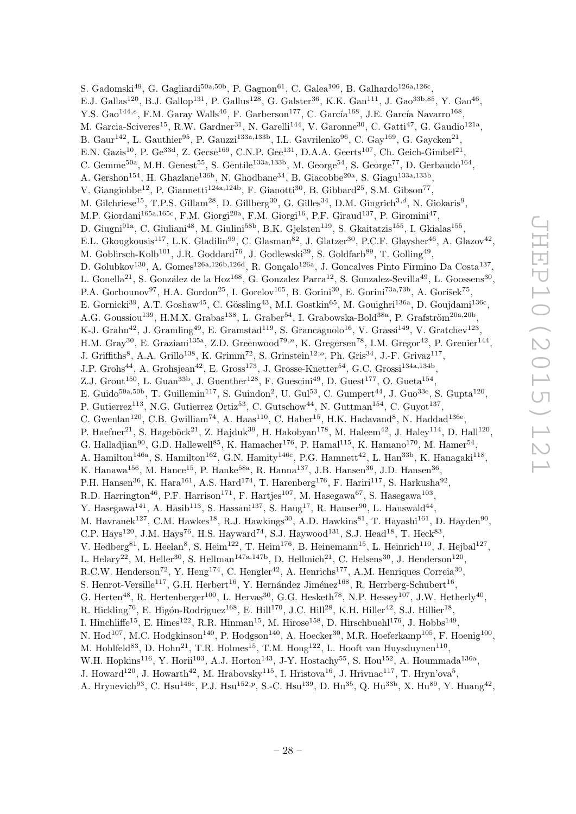S. Gadomski<sup>49</sup>, G. Gagliardi<sup>50a,50b</sup>, P. Gagnon<sup>61</sup>, C. Galea<sup>106</sup>, B. Galhardo<sup>126a,126c</sup>, E.J. Gallas<sup>120</sup>, B.J. Gallop<sup>131</sup>, P. Gallus<sup>128</sup>, G. Galster<sup>36</sup>, K.K. Gan<sup>111</sup>, J. Gao<sup>33b,85</sup>, Y. Gao<sup>46</sup>, Y.S. Gao $^{144,e}$ , F.M. Garay Walls<sup>46</sup>, F. Garberson<sup>177</sup>, C. García<sup>168</sup>, J.E. García Navarro<sup>168</sup>, M. Garcia-Sciveres<sup>15</sup>, R.W. Gardner<sup>31</sup>, N. Garelli<sup>144</sup>, V. Garonne<sup>30</sup>, C. Gatti<sup>47</sup>, G. Gaudio<sup>121a</sup>, B. Gaur<sup>142</sup>, L. Gauthier<sup>95</sup>, P. Gauzzi<sup>133a,133b</sup>, I.L. Gavrilenko<sup>96</sup>, C. Gay<sup>169</sup>, G. Gaycken<sup>21</sup>, E.N. Gazis<sup>10</sup>, P. Ge<sup>33d</sup>, Z. Gecse<sup>169</sup>, C.N.P. Gee<sup>131</sup>, D.A.A. Geerts<sup>107</sup>, Ch. Geich-Gimbel<sup>21</sup>, C. Gemme<sup>50a</sup>, M.H. Genest<sup>55</sup>, S. Gentile<sup>133a,133b</sup>, M. George<sup>54</sup>, S. George<sup>77</sup>, D. Gerbaudo<sup>164</sup>, A. Gershon<sup>154</sup>, H. Ghazlane<sup>136b</sup>, N. Ghodbane<sup>34</sup>, B. Giacobbe<sup>20a</sup>, S. Giagu<sup>133a,133b</sup>, V. Giangiobbe<sup>12</sup>, P. Giannetti<sup>124a,124b</sup>, F. Gianotti<sup>30</sup>, B. Gibbard<sup>25</sup>, S.M. Gibson<sup>77</sup>, M. Gilchriese<sup>15</sup>, T.P.S. Gillam<sup>28</sup>, D. Gillberg<sup>30</sup>, G. Gilles<sup>34</sup>, D.M. Gingrich<sup>3,d</sup>, N. Giokaris<sup>9</sup>, M.P. Giordani<sup>165a,165c</sup>, F.M. Giorgi<sup>20a</sup>, F.M. Giorgi<sup>16</sup>, P.F. Giraud<sup>137</sup>, P. Giromini<sup>47</sup>, D. Giugni<sup>91a</sup>, C. Giuliani<sup>48</sup>, M. Giulini<sup>58b</sup>, B.K. Gjelsten<sup>119</sup>, S. Gkaitatzis<sup>155</sup>, I. Gkialas<sup>155</sup>, E.L. Gkougkousis<sup>117</sup>, L.K. Gladilin<sup>99</sup>, C. Glasman<sup>82</sup>, J. Glatzer<sup>30</sup>, P.C.F. Glaysher<sup>46</sup>, A. Glazov<sup>42</sup>, M. Goblirsch-Kolb<sup>101</sup>, J.R. Goddard<sup>76</sup>, J. Godlewski<sup>39</sup>, S. Goldfarb<sup>89</sup>, T. Golling<sup>49</sup>, D. Golubkov<sup>130</sup>, A. Gomes<sup>126a,126b,126d</sup>, R. Gonçalo<sup>126a</sup>, J. Goncalves Pinto Firmino Da Costa<sup>137</sup>, L. Gonella<sup>21</sup>, S. González de la Hoz<sup>168</sup>, G. Gonzalez Parra<sup>12</sup>, S. Gonzalez-Sevilla<sup>49</sup>, L. Goossens<sup>30</sup>, P.A. Gorbounov<sup>97</sup>, H.A. Gordon<sup>25</sup>, I. Gorelov<sup>105</sup>, B. Gorini<sup>30</sup>, E. Gorini<sup>73a,73b</sup>, A. Gorišek<sup>75</sup>, E. Gornicki<sup>39</sup>, A.T. Goshaw<sup>45</sup>, C. Gössling<sup>43</sup>, M.I. Gostkin<sup>65</sup>, M. Gouighri<sup>136a</sup>, D. Goujdami<sup>136c</sup>, A.G. Goussiou<sup>139</sup>, H.M.X. Grabas<sup>138</sup>, L. Graber<sup>54</sup>, I. Grabowska-Bold<sup>38a</sup>, P. Grafström<sup>20a,20b</sup>, K-J. Grahn<sup>42</sup>, J. Gramling<sup>49</sup>, E. Gramstad<sup>119</sup>, S. Grancagnolo<sup>16</sup>, V. Grassi<sup>149</sup>, V. Gratchev<sup>123</sup>, H.M. Gray<sup>30</sup>, E. Graziani<sup>135a</sup>, Z.D. Greenwood<sup>79,n</sup>, K. Gregersen<sup>78</sup>, I.M. Gregor<sup>42</sup>, P. Grenier<sup>144</sup>, J. Griffiths<sup>8</sup>, A.A. Grillo<sup>138</sup>, K. Grimm<sup>72</sup>, S. Grinstein<sup>12,0</sup>, Ph. Gris<sup>34</sup>, J.-F. Grivaz<sup>117</sup>, J.P. Grohs<sup>44</sup>, A. Grohsjean<sup>42</sup>, E. Gross<sup>173</sup>, J. Grosse-Knetter<sup>54</sup>, G.C. Grossi<sup>134a,134b</sup>, Z.J. Grout<sup>150</sup>, L. Guan<sup>33b</sup>, J. Guenther<sup>128</sup>, F. Guescini<sup>49</sup>, D. Guest<sup>177</sup>, O. Gueta<sup>154</sup>, E. Guido<sup>50a,50b</sup>, T. Guillemin<sup>117</sup>, S. Guindon<sup>2</sup>, U. Gul<sup>53</sup>, C. Gumpert<sup>44</sup>, J. Guo<sup>33e</sup>, S. Gupta<sup>120</sup>, P. Gutierrez<sup>113</sup>, N.G. Gutierrez Ortiz<sup>53</sup>, C. Gutschow<sup>44</sup>, N. Guttman<sup>154</sup>, C. Guyot<sup>137</sup>, C. Gwenlan<sup>120</sup>, C.B. Gwilliam<sup>74</sup>, A. Haas<sup>110</sup>, C. Haber<sup>15</sup>, H.K. Hadavand<sup>8</sup>, N. Haddad<sup>136e</sup>, P. Haefner<sup>21</sup>, S. Hageböck<sup>21</sup>, Z. Hajduk<sup>39</sup>, H. Hakobyan<sup>178</sup>, M. Haleem<sup>42</sup>, J. Haley<sup>114</sup>, D. Hall<sup>120</sup>, G. Halladjian<sup>90</sup>, G.D. Hallewell<sup>85</sup>, K. Hamacher<sup>176</sup>, P. Hamal<sup>115</sup>, K. Hamano<sup>170</sup>, M. Hamer<sup>54</sup>, A. Hamilton<sup>146a</sup>, S. Hamilton<sup>162</sup>, G.N. Hamity<sup>146c</sup>, P.G. Hamnett<sup>42</sup>, L. Han<sup>33b</sup>, K. Hanagaki<sup>118</sup>, K. Hanawa<sup>156</sup>, M. Hance<sup>15</sup>, P. Hanke<sup>58a</sup>, R. Hanna<sup>137</sup>, J.B. Hansen<sup>36</sup>, J.D. Hansen<sup>36</sup>, P.H. Hansen<sup>36</sup>, K. Hara<sup>161</sup>, A.S. Hard<sup>174</sup>, T. Harenberg<sup>176</sup>, F. Hariri<sup>117</sup>, S. Harkusha<sup>92</sup>, R.D. Harrington<sup>46</sup>, P.F. Harrison<sup>171</sup>, F. Hartjes<sup>107</sup>, M. Hasegawa<sup>67</sup>, S. Hasegawa<sup>103</sup>, Y. Hasegawa<sup>141</sup>, A. Hasib<sup>113</sup>, S. Hassani<sup>137</sup>, S. Haug<sup>17</sup>, R. Hauser<sup>90</sup>, L. Hauswald<sup>44</sup>, M. Havranek<sup>127</sup>, C.M. Hawkes<sup>18</sup>, R.J. Hawkings<sup>30</sup>, A.D. Hawkins<sup>81</sup>, T. Hayashi<sup>161</sup>, D. Hayden<sup>90</sup>, C.P. Hays<sup>120</sup>, J.M. Hays<sup>76</sup>, H.S. Hayward<sup>74</sup>, S.J. Haywood<sup>131</sup>, S.J. Head<sup>18</sup>, T. Heck<sup>83</sup>, V. Hedberg<sup>81</sup>, L. Heelan<sup>8</sup>, S. Heim<sup>122</sup>, T. Heim<sup>176</sup>, B. Heinemann<sup>15</sup>, L. Heinrich<sup>110</sup>, J. Hejbal<sup>127</sup>, L. Helary<sup>22</sup>, M. Heller<sup>30</sup>, S. Hellman<sup>147a,147b</sup>, D. Hellmich<sup>21</sup>, C. Helsens<sup>30</sup>, J. Henderson<sup>120</sup>, R.C.W. Henderson<sup>72</sup>, Y. Heng<sup>174</sup>, C. Hengler<sup>42</sup>, A. Henrichs<sup>177</sup>, A.M. Henriques Correia<sup>30</sup>, S. Henrot-Versille<sup>117</sup>, G.H. Herbert<sup>16</sup>, Y. Hernández Jiménez<sup>168</sup>, R. Herrberg-Schubert<sup>16</sup>, G. Herten<sup>48</sup>, R. Hertenberger<sup>100</sup>, L. Hervas<sup>30</sup>, G.G. Hesketh<sup>78</sup>, N.P. Hessey<sup>107</sup>, J.W. Hetherly<sup>40</sup>, R. Hickling<sup>76</sup>, E. Higón-Rodriguez<sup>168</sup>, E. Hill<sup>170</sup>, J.C. Hill<sup>28</sup>, K.H. Hiller<sup>42</sup>, S.J. Hillier<sup>18</sup>, I. Hinchliffe<sup>15</sup>, E. Hines<sup>122</sup>, R.R. Hinman<sup>15</sup>, M. Hirose<sup>158</sup>, D. Hirschbuehl<sup>176</sup>, J. Hobbs<sup>149</sup>, N. Hod<sup>107</sup>, M.C. Hodgkinson<sup>140</sup>, P. Hodgson<sup>140</sup>, A. Hoecker<sup>30</sup>, M.R. Hoeferkamp<sup>105</sup>, F. Hoenig<sup>100</sup>, M. Hohlfeld<sup>83</sup>, D. Hohn<sup>21</sup>, T.R. Holmes<sup>15</sup>, T.M. Hong<sup>122</sup>, L. Hooft van Huysduynen<sup>110</sup>, W.H. Hopkins<sup>116</sup>, Y. Horii<sup>103</sup>, A.J. Horton<sup>143</sup>, J-Y. Hostachy<sup>55</sup>, S. Hou<sup>152</sup>, A. Hoummada<sup>136a</sup>, J. Howard<sup>120</sup>, J. Howarth<sup>42</sup>, M. Hrabovsky<sup>115</sup>, I. Hristova<sup>16</sup>, J. Hrivnac<sup>117</sup>, T. Hryn'ova<sup>5</sup>,

A. Hrynevich<sup>93</sup>, C. Hsu<sup>146c</sup>, P.J. Hsu<sup>152,p</sup>, S.-C. Hsu<sup>139</sup>, D. Hu<sup>35</sup>, Q. Hu<sup>33b</sup>, X. Hu<sup>89</sup>, Y. Huang<sup>42</sup>,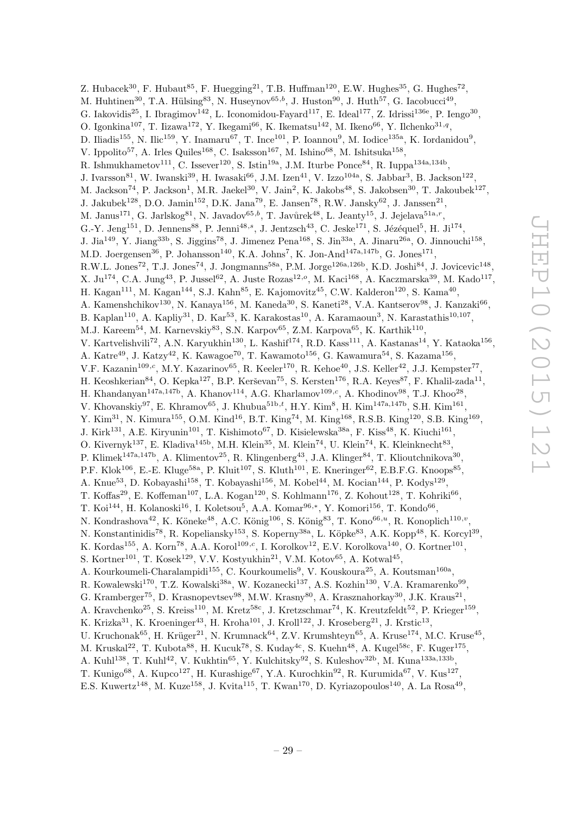Z. Hubacek<sup>30</sup>, F. Hubaut<sup>85</sup>, F. Huegging<sup>21</sup>, T.B. Huffman<sup>120</sup>, E.W. Hughes<sup>35</sup>, G. Hughes<sup>72</sup>, M. Huhtinen<sup>30</sup>, T.A. Hülsing<sup>83</sup>, N. Huseynov<sup>65,b</sup>, J. Huston<sup>90</sup>, J. Huth<sup>57</sup>, G. Iacobucci<sup>49</sup>, G. Iakovidis<sup>25</sup>, I. Ibragimov<sup>142</sup>, L. Iconomidou-Fayard<sup>117</sup>, E. Ideal<sup>177</sup>, Z. Idrissi<sup>136e</sup>, P. Iengo<sup>30</sup>, O. Igonkina<sup>107</sup>, T. Iizawa<sup>172</sup>, Y. Ikegami<sup>66</sup>, K. Ikematsu<sup>142</sup>, M. Ikeno<sup>66</sup>, Y. Ilchenko<sup>31,q</sup>, D. Iliadis<sup>155</sup>, N. Ilic<sup>159</sup>, Y. Inamaru<sup>67</sup>, T. Ince<sup>101</sup>, P. Ioannou<sup>9</sup>, M. Iodice<sup>135a</sup>, K. Iordanidou<sup>9</sup>, V. Ippolito<sup>57</sup>, A. Irles Quiles<sup>168</sup>, C. Isaksson<sup>167</sup>, M. Ishino<sup>68</sup>, M. Ishitsuka<sup>158</sup>, R. Ishmukhametov<sup>111</sup>, C. Issever<sup>120</sup>, S. Istin<sup>19a</sup>, J.M. Iturbe Ponce<sup>84</sup>, R. Iuppa<sup>134a,134b</sup>, J. Ivarsson $^{81}$ , W. Iwanski $^{39}$ , H. Iwasaki $^{66}$ , J.M. Izen $^{41}$ , V. Izzo<sup>104a</sup>, S. Jabbar<sup>3</sup>, B. Jackson<sup>122</sup>, M. Jackson<sup>74</sup>, P. Jackson<sup>1</sup>, M.R. Jaekel<sup>30</sup>, V. Jain<sup>2</sup>, K. Jakobs<sup>48</sup>, S. Jakobsen<sup>30</sup>, T. Jakoubek<sup>127</sup>, J. Jakubek<sup>128</sup>, D.O. Jamin<sup>152</sup>, D.K. Jana<sup>79</sup>, E. Jansen<sup>78</sup>, R.W. Jansky<sup>62</sup>, J. Janssen<sup>21</sup>, M. Janus<sup>171</sup>, G. Jarlskog<sup>81</sup>, N. Javadov<sup>65,b</sup>, T. Javůrek<sup>48</sup>, L. Jeanty<sup>15</sup>, J. Jejelava<sup>51a,r</sup>, G.-Y. Jeng<sup>151</sup>, D. Jennens<sup>88</sup>, P. Jenni<sup>48,s</sup>, J. Jentzsch<sup>43</sup>, C. Jeske<sup>171</sup>, S. Jézéquel<sup>5</sup>, H. Ji<sup>174</sup>, J. Jia<sup>149</sup>, Y. Jiang<sup>33b</sup>, S. Jiggins<sup>78</sup>, J. Jimenez Pena<sup>168</sup>, S. Jin<sup>33a</sup>, A. Jinaru<sup>26a</sup>, O. Jinnouchi<sup>158</sup>, M.D. Joergensen<sup>36</sup>, P. Johansson<sup>140</sup>, K.A. Johns<sup>7</sup>, K. Jon-And<sup>147a,147b</sup>, G. Jones<sup>171</sup>, R.W.L. Jones<sup>72</sup>, T.J. Jones<sup>74</sup>, J. Jongmanns<sup>58a</sup>, P.M. Jorge<sup>126a,126b</sup>, K.D. Joshi<sup>84</sup>, J. Jovicevic<sup>148</sup>, X. Ju<sup>174</sup>, C.A. Jung<sup>43</sup>, P. Jussel<sup>62</sup>, A. Juste Rozas<sup>12,0</sup>, M. Kaci<sup>168</sup>, A. Kaczmarska<sup>39</sup>, M. Kado<sup>117</sup>, H. Kagan<sup>111</sup>, M. Kagan<sup>144</sup>, S.J. Kahn<sup>85</sup>, E. Kajomovitz<sup>45</sup>, C.W. Kalderon<sup>120</sup>, S. Kama<sup>40</sup>, A. Kamenshchikov<sup>130</sup>, N. Kanaya<sup>156</sup>, M. Kaneda<sup>30</sup>, S. Kaneti<sup>28</sup>, V.A. Kantserov<sup>98</sup>, J. Kanzaki<sup>66</sup>, B. Kaplan<sup>110</sup>, A. Kapliy<sup>31</sup>, D. Kar<sup>53</sup>, K. Karakostas<sup>10</sup>, A. Karamaoun<sup>3</sup>, N. Karastathis<sup>10,107</sup>, M.J. Kareem<sup>54</sup>, M. Karnevskiy<sup>83</sup>, S.N. Karpov<sup>65</sup>, Z.M. Karpova<sup>65</sup>, K. Karthik<sup>110</sup>, V. Kartvelishvili<sup>72</sup>, A.N. Karyukhin<sup>130</sup>, L. Kashif<sup>174</sup>, R.D. Kass<sup>111</sup>, A. Kastanas<sup>14</sup>, Y. Kataoka<sup>156</sup>, A. Katre<sup>49</sup>, J. Katzy<sup>42</sup>, K. Kawagoe<sup>70</sup>, T. Kawamoto<sup>156</sup>, G. Kawamura<sup>54</sup>, S. Kazama<sup>156</sup>, V.F. Kazanin<sup>109,c</sup>, M.Y. Kazarinov<sup>65</sup>, R. Keeler<sup>170</sup>, R. Kehoe<sup>40</sup>, J.S. Keller<sup>42</sup>, J.J. Kempster<sup>77</sup>, H. Keoshkerian<sup>84</sup>, O. Kepka<sup>127</sup>, B.P. Kerševan<sup>75</sup>, S. Kersten<sup>176</sup>, R.A. Keyes<sup>87</sup>, F. Khalil-zada<sup>11</sup>, H. Khandanyan<sup>147a,147b</sup>, A. Khanov<sup>114</sup>, A.G. Kharlamov<sup>109,c</sup>, A. Khodinov<sup>98</sup>, T.J. Khoo<sup>28</sup>, V. Khovanskiy<sup>97</sup>, E. Khramov<sup>65</sup>, J. Khubua<sup>51b,*t*</sup>, H.Y. Kim<sup>8</sup>, H. Kim<sup>147a,147b</sup>, S.H. Kim<sup>161</sup>, Y. Kim<sup>31</sup>, N. Kimura<sup>155</sup>, O.M. Kind<sup>16</sup>, B.T. King<sup>74</sup>, M. King<sup>168</sup>, R.S.B. King<sup>120</sup>, S.B. King<sup>169</sup>, J. Kirk<sup>131</sup>, A.E. Kiryunin<sup>101</sup>, T. Kishimoto<sup>67</sup>, D. Kisielewska<sup>38a</sup>, F. Kiss<sup>48</sup>, K. Kiuchi<sup>161</sup>, O. Kivernyk<sup>137</sup>, E. Kladiva<sup>145b</sup>, M.H. Klein<sup>35</sup>, M. Klein<sup>74</sup>, U. Klein<sup>74</sup>, K. Kleinknecht<sup>83</sup>, P. Klimek<sup>147a,147b</sup>, A. Klimentov<sup>25</sup>, R. Klingenberg<sup>43</sup>, J.A. Klinger<sup>84</sup>, T. Klioutchnikova<sup>30</sup>, P.F. Klok<sup>106</sup>, E.-E. Kluge<sup>58a</sup>, P. Kluit<sup>107</sup>, S. Kluth<sup>101</sup>, E. Kneringer<sup>62</sup>, E.B.F.G. Knoops<sup>85</sup>, A. Knue<sup>53</sup>, D. Kobayashi<sup>158</sup>, T. Kobayashi<sup>156</sup>, M. Kobel<sup>44</sup>, M. Kocian<sup>144</sup>, P. Kodys<sup>129</sup>, T. Koffas<sup>29</sup>, E. Koffeman<sup>107</sup>, L.A. Kogan<sup>120</sup>, S. Kohlmann<sup>176</sup>, Z. Kohout<sup>128</sup>, T. Kohriki<sup>66</sup>, T. Koi $^{144}$ , H. Kolanoski $^{16}$ , I. Koletsou<sup>5</sup>, A.A. Komar $^{96,*}$ , Y. Komori $^{156}$ , T. Kondo $^{66}$ , N. Kondrashova<sup>42</sup>, K. Köneke<sup>48</sup>, A.C. König<sup>106</sup>, S. König<sup>83</sup>, T. Kono<sup>66,*u*</sup>, R. Konoplich<sup>110,*v*</sup>, N. Konstantinidis<sup>78</sup>, R. Kopeliansky<sup>153</sup>, S. Koperny<sup>38a</sup>, L. Köpke<sup>83</sup>, A.K. Kopp<sup>48</sup>, K. Korcyl<sup>39</sup>, K. Kordas<sup>155</sup>, A. Korn<sup>78</sup>, A.A. Korol<sup>109,c</sup>, I. Korolkov<sup>12</sup>, E.V. Korolkova<sup>140</sup>, O. Kortner<sup>101</sup>, S. Kortner<sup>101</sup>, T. Kosek<sup>129</sup>, V.V. Kostyukhin<sup>21</sup>, V.M. Kotov<sup>65</sup>, A. Kotwal<sup>45</sup>, A. Kourkoumeli-Charalampidi<sup>155</sup>, C. Kourkoumelis<sup>9</sup>, V. Kouskoura<sup>25</sup>, A. Koutsman<sup>160a</sup>, R. Kowalewski<sup>170</sup>, T.Z. Kowalski<sup>38a</sup>, W. Kozanecki<sup>137</sup>, A.S. Kozhin<sup>130</sup>, V.A. Kramarenko<sup>99</sup>, G. Kramberger<sup>75</sup>, D. Krasnopevtsev<sup>98</sup>, M.W. Krasny<sup>80</sup>, A. Krasznahorkay<sup>30</sup>, J.K. Kraus<sup>21</sup>, A. Kravchenko<sup>25</sup>, S. Kreiss<sup>110</sup>, M. Kretz<sup>58c</sup>, J. Kretzschmar<sup>74</sup>, K. Kreutzfeldt<sup>52</sup>, P. Krieger<sup>159</sup>, K. Krizka<sup>31</sup>, K. Kroeninger<sup>43</sup>, H. Kroha<sup>101</sup>, J. Kroll<sup>122</sup>, J. Kroseberg<sup>21</sup>, J. Krstic<sup>13</sup>, U. Kruchonak<sup>65</sup>, H. Krüger<sup>21</sup>, N. Krumnack<sup>64</sup>, Z.V. Krumshteyn<sup>65</sup>, A. Kruse<sup>174</sup>, M.C. Kruse<sup>45</sup>, M. Kruskal $^{22}$ , T. Kubota $^{88}$ , H. Kucuk $^{78}$ , S. Kuday $^{4c}$ , S. Kuehn $^{48}$ , A. Kugel $^{58c}$ , F. Kuger $^{175}$ , A. Kuhl<sup>138</sup>, T. Kuhl<sup>42</sup>, V. Kukhtin<sup>65</sup>, Y. Kulchitsky<sup>92</sup>, S. Kuleshov<sup>32b</sup>, M. Kuna<sup>133a,133b</sup>,

T. Kunigo<sup>68</sup>, A. Kupco<sup>127</sup>, H. Kurashige<sup>67</sup>, Y.A. Kurochkin<sup>92</sup>, R. Kurumida<sup>67</sup>, V. Kus<sup>127</sup>, E.S. Kuwertz<sup>148</sup>, M. Kuze<sup>158</sup>, J. Kvita<sup>115</sup>, T. Kwan<sup>170</sup>, D. Kyriazopoulos<sup>140</sup>, A. La Rosa<sup>49</sup>,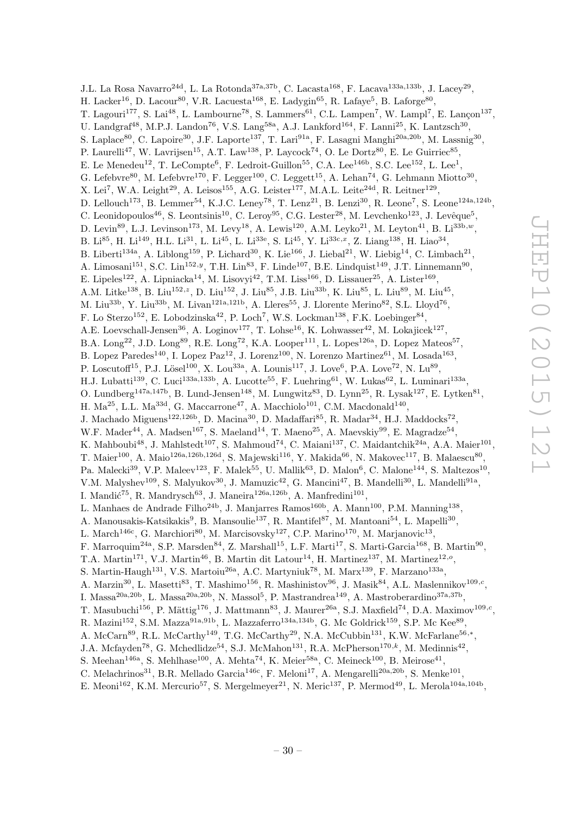J.L. La Rosa Navarro<sup>24d</sup>, L. La Rotonda<sup>37a,37b</sup>, C. Lacasta<sup>168</sup>, F. Lacava<sup>133a,133b</sup>, J. Lacey<sup>29</sup>, H. Lacker<sup>16</sup>, D. Lacour<sup>80</sup>, V.R. Lacuesta<sup>168</sup>, E. Ladygin<sup>65</sup>, R. Lafaye<sup>5</sup>, B. Laforge<sup>80</sup>, T. Lagouri<sup>177</sup>, S. Lai<sup>48</sup>, L. Lambourne<sup>78</sup>, S. Lammers<sup>61</sup>, C.L. Lampen<sup>7</sup>, W. Lampl<sup>7</sup>, E. Lançon<sup>137</sup>, U. Landgraf<sup>48</sup>, M.P.J. Landon<sup>76</sup>, V.S. Lang<sup>58a</sup>, A.J. Lankford<sup>164</sup>, F. Lanni<sup>25</sup>, K. Lantzsch<sup>30</sup>, S. Laplace<sup>80</sup>, C. Lapoire<sup>30</sup>, J.F. Laporte<sup>137</sup>, T. Lari<sup>91a</sup>, F. Lasagni Manghi<sup>20a, 20b</sup>, M. Lassnig<sup>30</sup>, P. Laurelli<sup>47</sup>, W. Lavrijsen<sup>15</sup>, A.T. Law<sup>138</sup>, P. Laycock<sup>74</sup>, O. Le Dortz<sup>80</sup>, E. Le Guirriec<sup>85</sup>, E. Le Menedeu<sup>12</sup>, T. LeCompte<sup>6</sup>, F. Ledroit-Guillon<sup>55</sup>, C.A. Lee<sup>146b</sup>, S.C. Lee<sup>152</sup>, L. Lee<sup>1</sup>, G. Lefebvre<sup>80</sup>, M. Lefebvre<sup>170</sup>, F. Legger<sup>100</sup>, C. Leggett<sup>15</sup>, A. Lehan<sup>74</sup>, G. Lehmann Miotto<sup>30</sup>, X. Lei<sup>7</sup>, W.A. Leight<sup>29</sup>, A. Leisos<sup>155</sup>, A.G. Leister<sup>177</sup>, M.A.L. Leite<sup>24d</sup>, R. Leitner<sup>129</sup>, D. Lellouch<sup>173</sup>, B. Lemmer<sup>54</sup>, K.J.C. Leney<sup>78</sup>, T. Lenz<sup>21</sup>, B. Lenzi<sup>30</sup>, R. Leone<sup>7</sup>, S. Leone<sup>124a,124b</sup>, C. Leonidopoulos<sup>46</sup>, S. Leontsinis<sup>10</sup>, C. Leroy<sup>95</sup>, C.G. Lester<sup>28</sup>, M. Levchenko<sup>123</sup>, J. Levêque<sup>5</sup>, D. Levin<sup>89</sup>, L.J. Levinson<sup>173</sup>, M. Levy<sup>18</sup>, A. Lewis<sup>120</sup>, A.M. Leyko<sup>21</sup>, M. Leyton<sup>41</sup>, B. Li<sup>33b,w</sup>, B. Li<sup>85</sup>, H. Li<sup>149</sup>, H.L. Li<sup>31</sup>, L. Li<sup>45</sup>, L. Li<sup>33e</sup>, S. Li<sup>45</sup>, Y. Li<sup>33c,x</sup>, Z. Liang<sup>138</sup>, H. Liao<sup>34</sup>, B. Liberti<sup>134a</sup>, A. Liblong<sup>159</sup>, P. Lichard<sup>30</sup>, K. Lie<sup>166</sup>, J. Liebal<sup>21</sup>, W. Liebig<sup>14</sup>, C. Limbach<sup>21</sup>, A. Limosani<sup>151</sup>, S.C. Lin<sup>152, y</sup>, T.H. Lin<sup>83</sup>, F. Linde<sup>107</sup>, B.E. Lindquist<sup>149</sup>, J.T. Linnemann<sup>90</sup>, E. Lipeles<sup>122</sup>, A. Lipniacka<sup>14</sup>, M. Lisovyi<sup>42</sup>, T.M. Liss<sup>166</sup>, D. Lissauer<sup>25</sup>, A. Lister<sup>169</sup>, A.M. Litke<sup>138</sup>, B. Liu<sup>152,z</sup>, D. Liu<sup>152</sup>, J. Liu<sup>85</sup>, J.B. Liu<sup>33b</sup>, K. Liu<sup>85</sup>, L. Liu<sup>89</sup>, M. Liu<sup>45</sup>, M. Liu<sup>33b</sup>, Y. Liu<sup>33b</sup>, M. Livan<sup>121a,121b</sup>, A. Lleres<sup>55</sup>, J. Llorente Merino<sup>82</sup>, S.L. Lloyd<sup>76</sup>, F. Lo Sterzo<sup>152</sup>, E. Lobodzinska<sup>42</sup>, P. Loch<sup>7</sup>, W.S. Lockman<sup>138</sup>, F.K. Loebinger<sup>84</sup>, A.E. Loevschall-Jensen<sup>36</sup>, A. Loginov<sup>177</sup>, T. Lohse<sup>16</sup>, K. Lohwasser<sup>42</sup>, M. Lokajicek<sup>127</sup>, B.A. Long<sup>22</sup>, J.D. Long<sup>89</sup>, R.E. Long<sup>72</sup>, K.A. Looper<sup>111</sup>, L. Lopes<sup>126a</sup>, D. Lopez Mateos<sup>57</sup>, B. Lopez Paredes<sup>140</sup>, I. Lopez Paz<sup>12</sup>, J. Lorenz<sup>100</sup>, N. Lorenzo Martinez<sup>61</sup>, M. Losada<sup>163</sup>, P. Loscutoff<sup>15</sup>, P.J. Lösel<sup>100</sup>, X. Lou<sup>33a</sup>, A. Lounis<sup>117</sup>, J. Love<sup>6</sup>, P.A. Love<sup>72</sup>, N. Lu<sup>89</sup>, H.J. Lubatti<sup>139</sup>, C. Luci<sup>133a,133b</sup>, A. Lucotte<sup>55</sup>, F. Luehring<sup>61</sup>, W. Lukas<sup>62</sup>, L. Luminari<sup>133a</sup>, O. Lundberg<sup>147a,147b</sup>, B. Lund-Jensen<sup>148</sup>, M. Lungwitz<sup>83</sup>, D. Lynn<sup>25</sup>, R. Lysak<sup>127</sup>, E. Lytken<sup>81</sup>, H.  $Ma^{25}$ , L.L.  $Ma^{33d}$ , G. Maccarrone<sup>47</sup>, A. Macchiolo<sup>101</sup>, C.M. Macdonald<sup>140</sup>, J. Machado Miguens<sup>122,126b</sup>, D. Macina<sup>30</sup>, D. Madaffari<sup>85</sup>, R. Madar<sup>34</sup>, H.J. Maddocks<sup>72</sup>, W.F. Mader<sup>44</sup>, A. Madsen<sup>167</sup>, S. Maeland<sup>14</sup>, T. Maeno<sup>25</sup>, A. Maevskiy<sup>99</sup>, E. Magradze<sup>54</sup>, K. Mahboubi<sup>48</sup>, J. Mahlstedt<sup>107</sup>, S. Mahmoud<sup>74</sup>, C. Maiani<sup>137</sup>, C. Maidantchik<sup>24a</sup>, A.A. Maier<sup>101</sup>, T. Maier $^{100}$ , A. Maio $^{126a,126b,126d}$ , S. Majewski $^{116}$ , Y. Makida<sup>66</sup>, N. Makovec<sup>117</sup>, B. Malaescu<sup>80</sup>, Pa. Malecki<sup>39</sup>, V.P. Maleev<sup>123</sup>, F. Malek<sup>55</sup>, U. Mallik<sup>63</sup>, D. Malon<sup>6</sup>, C. Malone<sup>144</sup>, S. Maltezos<sup>10</sup>, V.M. Malyshev<sup>109</sup>, S. Malyukov<sup>30</sup>, J. Mamuzic<sup>42</sup>, G. Mancini<sup>47</sup>, B. Mandelli<sup>30</sup>, L. Mandelli<sup>91a</sup>, I. Mandić<sup>75</sup>, R. Mandrysch<sup>63</sup>, J. Maneira<sup>126a,126b</sup>, A. Manfredini<sup>101</sup>, L. Manhaes de Andrade Filho<sup>24b</sup>, J. Manjarres Ramos<sup>160b</sup>, A. Mann<sup>100</sup>, P.M. Manning<sup>138</sup>, A. Manousakis-Katsikakis<sup>9</sup>, B. Mansoulie<sup>137</sup>, R. Mantifel<sup>87</sup>, M. Mantoani<sup>54</sup>, L. Mapelli<sup>30</sup>, L. March<sup>146c</sup>, G. Marchiori<sup>80</sup>, M. Marcisovsky<sup>127</sup>, C.P. Marino<sup>170</sup>, M. Marjanovic<sup>13</sup>, F. Marroquim<sup>24a</sup>, S.P. Marsden<sup>84</sup>, Z. Marshall<sup>15</sup>, L.F. Marti<sup>17</sup>, S. Marti-Garcia<sup>168</sup>, B. Martin<sup>90</sup>, T.A. Martin<sup>171</sup>, V.J. Martin<sup>46</sup>, B. Martin dit Latour<sup>14</sup>, H. Martinez<sup>137</sup>, M. Martinez<sup>12,0</sup>, S. Martin-Haugh<sup>131</sup>, V.S. Martoiu<sup>26a</sup>, A.C. Martyniuk<sup>78</sup>, M. Marx<sup>139</sup>, F. Marzano<sup>133a</sup>, A. Marzin<sup>30</sup>, L. Masetti<sup>83</sup>, T. Mashimo<sup>156</sup>, R. Mashinistov<sup>96</sup>, J. Masik<sup>84</sup>, A.L. Maslennikov<sup>109,*c*</sup>, I. Massa<sup>20a, 20b</sup>, L. Massa<sup>20a, 20b</sup>, N. Massol<sup>5</sup>, P. Mastrandrea<sup>149</sup>, A. Mastroberardino<sup>37a, 37b</sup>, T. Masubuchi<sup>156</sup>, P. Mättig<sup>176</sup>, J. Mattmann<sup>83</sup>, J. Maurer<sup>26a</sup>, S.J. Maxfield<sup>74</sup>, D.A. Maximov<sup>109,c</sup>, R. Mazini<sup>152</sup>, S.M. Mazza<sup>91a,91b</sup>, L. Mazzaferro<sup>134a,134b</sup>, G. Mc Goldrick<sup>159</sup>, S.P. Mc Kee<sup>89</sup>, A. McCarn<sup>89</sup>, R.L. McCarthy<sup>149</sup>, T.G. McCarthy<sup>29</sup>, N.A. McCubbin<sup>131</sup>, K.W. McFarlane<sup>56,\*</sup>, J.A. Mcfayden<sup>78</sup>, G. Mchedlidze<sup>54</sup>, S.J. McMahon<sup>131</sup>, R.A. McPherson<sup>170,k</sup>, M. Medinnis<sup>42</sup>, S. Meehan<sup>146a</sup>, S. Mehlhase<sup>100</sup>, A. Mehta<sup>74</sup>, K. Meier<sup>58a</sup>, C. Meineck<sup>100</sup>, B. Meirose<sup>41</sup>, C. Melachrinos<sup>31</sup>, B.R. Mellado Garcia<sup>146c</sup>, F. Meloni<sup>17</sup>, A. Mengarelli<sup>20a, 20b</sup>, S. Menke<sup>101</sup>,

E. Meoni<sup>162</sup>, K.M. Mercurio<sup>57</sup>, S. Mergelmeyer<sup>21</sup>, N. Meric<sup>137</sup>, P. Mermod<sup>49</sup>, L. Merola<sup>104a,104b</sup>,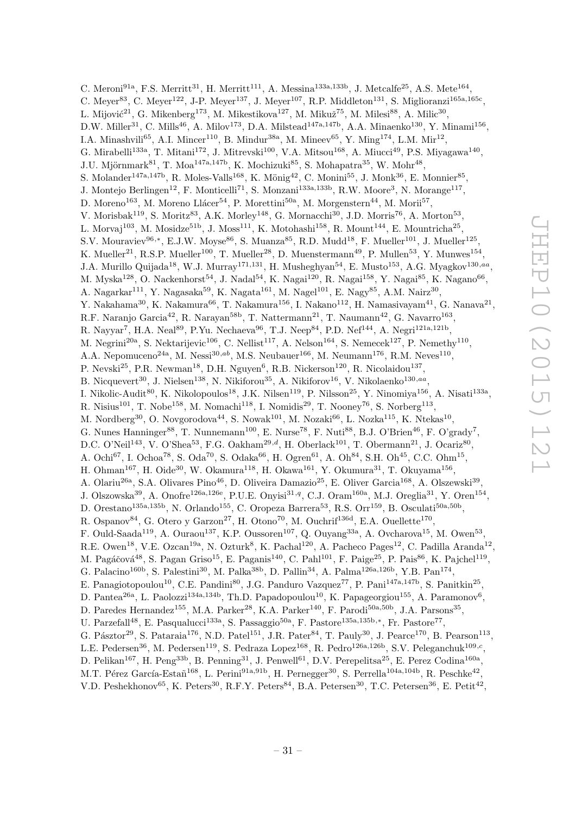C. Meroni<sup>91a</sup>, F.S. Merritt<sup>31</sup>, H. Merritt<sup>111</sup>, A. Messina<sup>133a,133b</sup>, J. Metcalfe<sup>25</sup>, A.S. Mete<sup>164</sup>, C. Meyer<sup>83</sup>, C. Meyer<sup>122</sup>, J-P. Meyer<sup>137</sup>, J. Meyer<sup>107</sup>, R.P. Middleton<sup>131</sup>, S. Miglioranzi<sup>165a,165c</sup>, L. Mijović<sup>21</sup>, G. Mikenberg<sup>173</sup>, M. Mikestikova<sup>127</sup>, M. Mikuž<sup>75</sup>, M. Milesi<sup>88</sup>, A. Milic<sup>30</sup>, D.W. Miller<sup>31</sup>, C. Mills<sup>46</sup>, A. Milov<sup>173</sup>, D.A. Milstead<sup>147a,147b</sup>, A.A. Minaenko<sup>130</sup>, Y. Minami<sup>156</sup>, I.A. Minashvili<sup>65</sup>, A.I. Mincer<sup>110</sup>, B. Mindur<sup>38a</sup>, M. Mineev<sup>65</sup>, Y. Ming<sup>174</sup>, L.M. Mir<sup>12</sup>, G. Mirabelli<sup>133a</sup>, T. Mitani<sup>172</sup>, J. Mitrevski<sup>100</sup>, V.A. Mitsou<sup>168</sup>, A. Miucci<sup>49</sup>, P.S. Miyagawa<sup>140</sup>, J.U. Mjörnmark $^{81}$ , T. Moa<sup>147a,147b</sup>, K. Mochizuki $^{85}$ , S. Mohapatra $^{35}$ , W. Mohr<sup>48</sup>, S. Molander<sup>147a,147b</sup>, R. Moles-Valls<sup>168</sup>, K. Mönig<sup>42</sup>, C. Monini<sup>55</sup>, J. Monk<sup>36</sup>, E. Monnier<sup>85</sup>, J. Montejo Berlingen<sup>12</sup>, F. Monticelli<sup>71</sup>, S. Monzani<sup>133a,133b</sup>, R.W. Moore<sup>3</sup>, N. Morange<sup>117</sup>, D. Moreno<sup>163</sup>, M. Moreno Llácer<sup>54</sup>, P. Morettini<sup>50a</sup>, M. Morgenstern<sup>44</sup>, M. Morii<sup>57</sup>, V. Morisbak<sup>119</sup>, S. Moritz<sup>83</sup>, A.K. Morley<sup>148</sup>, G. Mornacchi<sup>30</sup>, J.D. Morris<sup>76</sup>, A. Morton<sup>53</sup>, L. Morvaj<sup>103</sup>, M. Mosidze<sup>51b</sup>, J. Moss<sup>111</sup>, K. Motohashi<sup>158</sup>, R. Mount<sup>144</sup>, E. Mountricha<sup>25</sup>, S.V. Mouraviev<sup>96,∗</sup>, E.J.W. Moyse<sup>86</sup>, S. Muanza<sup>85</sup>, R.D. Mudd<sup>18</sup>, F. Mueller<sup>101</sup>, J. Mueller<sup>125</sup>, K. Mueller<sup>21</sup>, R.S.P. Mueller<sup>100</sup>, T. Mueller<sup>28</sup>, D. Muenstermann<sup>49</sup>, P. Mullen<sup>53</sup>, Y. Munwes<sup>154</sup>, J.A. Murillo Quijada<sup>18</sup>, W.J. Murray<sup>171,131</sup>, H. Musheghyan<sup>54</sup>, E. Musto<sup>153</sup>, A.G. Myagkov<sup>130,aa</sup>, M. Myska $^{128}$ , O. Nackenhorst $^{54}$ , J. Nadal $^{54}$ , K. Nagai $^{120}$ , R. Nagai $^{158}$ , Y. Nagai $^{85}$ , K. Nagano $^{66}$ , A. Nagarkar<sup>111</sup>, Y. Nagasaka<sup>59</sup>, K. Nagata<sup>161</sup>, M. Nagel<sup>101</sup>, E. Nagy<sup>85</sup>, A.M. Nairz<sup>30</sup>, Y. Nakahama $^{30}$ , K. Nakamura $^{66}$ , T. Nakamura $^{156}$ , I. Nakano $^{112}$ , H. Namasivayam $^{41}$ , G. Nanava $^{21}$ , R.F. Naranjo Garcia<sup>42</sup>, R. Narayan<sup>58b</sup>, T. Nattermann<sup>21</sup>, T. Naumann<sup>42</sup>, G. Navarro<sup>163</sup>, R. Nayyar<sup>7</sup>, H.A. Neal<sup>89</sup>, P.Yu. Nechaeva<sup>96</sup>, T.J. Neep<sup>84</sup>, P.D. Nef<sup>144</sup>, A. Negri<sup>121a,121b</sup>, M. Negrini<sup>20a</sup>, S. Nektarijevic<sup>106</sup>, C. Nellist<sup>117</sup>, A. Nelson<sup>164</sup>, S. Nemecek<sup>127</sup>, P. Nemethy<sup>110</sup>, A.A. Nepomuceno<sup>24a</sup>, M. Nessi<sup>30,ab</sup>, M.S. Neubauer<sup>166</sup>, M. Neumann<sup>176</sup>, R.M. Neves<sup>110</sup>, P. Nevski<sup>25</sup>, P.R. Newman<sup>18</sup>, D.H. Nguyen<sup>6</sup>, R.B. Nickerson<sup>120</sup>, R. Nicolaidou<sup>137</sup>, B. Nicquevert<sup>30</sup>, J. Nielsen<sup>138</sup>, N. Nikiforou<sup>35</sup>, A. Nikiforov<sup>16</sup>, V. Nikolaenko<sup>130,aa</sup>, I. Nikolic-Audit<sup>80</sup>, K. Nikolopoulos<sup>18</sup>, J.K. Nilsen<sup>119</sup>, P. Nilsson<sup>25</sup>, Y. Ninomiya<sup>156</sup>, A. Nisati<sup>133a</sup>, R. Nisius<sup>101</sup>, T. Nobe<sup>158</sup>, M. Nomachi<sup>118</sup>, I. Nomidis<sup>29</sup>, T. Nooney<sup>76</sup>, S. Norberg<sup>113</sup>, M. Nordberg<sup>30</sup>, O. Novgorodova<sup>44</sup>, S. Nowak<sup>101</sup>, M. Nozaki<sup>66</sup>, L. Nozka<sup>115</sup>, K. Ntekas<sup>10</sup>, G. Nunes Hanninger<sup>88</sup>, T. Nunnemann<sup>100</sup>, E. Nurse<sup>78</sup>, F. Nuti<sup>88</sup>, B.J. O'Brien<sup>46</sup>, F. O'grady<sup>7</sup>, D.C. O'Neil<sup>143</sup>, V. O'Shea<sup>53</sup>, F.G. Oakham<sup>29,d</sup>, H. Oberlack<sup>101</sup>, T. Obermann<sup>21</sup>, J. Ocariz<sup>80</sup>, A. Ochi<sup>67</sup>, I. Ochoa<sup>78</sup>, S. Oda<sup>70</sup>, S. Odaka<sup>66</sup>, H. Ogren<sup>61</sup>, A. Oh<sup>84</sup>, S.H. Oh<sup>45</sup>, C.C. Ohm<sup>15</sup>, H. Ohman<sup>167</sup>, H. Oide<sup>30</sup>, W. Okamura<sup>118</sup>, H. Okawa<sup>161</sup>, Y. Okumura<sup>31</sup>, T. Okuyama<sup>156</sup>, A. Olariu<sup>26a</sup>, S.A. Olivares Pino<sup>46</sup>, D. Oliveira Damazio<sup>25</sup>, E. Oliver Garcia<sup>168</sup>, A. Olszewski<sup>39</sup>, J. Olszowska<sup>39</sup>, A. Onofre<sup>126a,126e</sup>, P.U.E. Onyisi<sup>31,q</sup>, C.J. Oram<sup>160a</sup>, M.J. Oreglia<sup>31</sup>, Y. Oren<sup>154</sup>, D. Orestano<sup>135a,135b</sup>, N. Orlando<sup>155</sup>, C. Oropeza Barrera<sup>53</sup>, R.S. Orr<sup>159</sup>, B. Osculati<sup>50a,50b</sup>, R. Ospanov $^{84}$ , G. Otero y Garzon<sup>27</sup>, H. Otono<sup>70</sup>, M. Ouchrif<sup>136d</sup>, E.A. Ouellette<sup>170</sup>, F. Ould-Saada<sup>119</sup>, A. Ouraou<sup>137</sup>, K.P. Oussoren<sup>107</sup>, Q. Ouyang<sup>33a</sup>, A. Ovcharova<sup>15</sup>, M. Owen<sup>53</sup>, R.E. Owen<sup>18</sup>, V.E. Ozcan<sup>19a</sup>, N. Ozturk<sup>8</sup>, K. Pachal<sup>120</sup>, A. Pacheco Pages<sup>12</sup>, C. Padilla Aranda<sup>12</sup>, M. Pagáčová<sup>48</sup>, S. Pagan Griso<sup>15</sup>, E. Paganis<sup>140</sup>, C. Pahl<sup>101</sup>, F. Paige<sup>25</sup>, P. Pais<sup>86</sup>, K. Pajchel<sup>119</sup>, G. Palacino<sup>160b</sup>, S. Palestini<sup>30</sup>, M. Palka<sup>38b</sup>, D. Pallin<sup>34</sup>, A. Palma<sup>126a,126b</sup>, Y.B. Pan<sup>174</sup>, E. Panagiotopoulou<sup>10</sup>, C.E. Pandini<sup>80</sup>, J.G. Panduro Vazquez<sup>77</sup>, P. Pani<sup>147a,147b</sup>, S. Panitkin<sup>25</sup>, D. Pantea<sup>26a</sup>, L. Paolozzi<sup>134a,134b</sup>, Th.D. Papadopoulou<sup>10</sup>, K. Papageorgiou<sup>155</sup>, A. Paramonov<sup>6</sup>, D. Paredes Hernandez<sup>155</sup>, M.A. Parker<sup>28</sup>, K.A. Parker<sup>140</sup>, F. Parodi<sup>50a,50b</sup>, J.A. Parsons<sup>35</sup>, U. Parzefall<sup>48</sup>, E. Pasqualucci<sup>133a</sup>, S. Passaggio<sup>50a</sup>, F. Pastore<sup>135a,135b,\*</sup>, Fr. Pastore<sup>77</sup>, G. Pásztor<sup>29</sup>, S. Pataraia<sup>176</sup>, N.D. Patel<sup>151</sup>, J.R. Pater<sup>84</sup>, T. Pauly<sup>30</sup>, J. Pearce<sup>170</sup>, B. Pearson<sup>113</sup>, L.E. Pedersen<sup>36</sup>, M. Pedersen<sup>119</sup>, S. Pedraza Lopez<sup>168</sup>, R. Pedro<sup>126a,126b</sup>, S.V. Peleganchuk<sup>109,c</sup>, D. Pelikan<sup>167</sup>, H. Peng<sup>33b</sup>, B. Penning<sup>31</sup>, J. Penwell<sup>61</sup>, D.V. Perepelitsa<sup>25</sup>, E. Perez Codina<sup>160a</sup>, M.T. Pérez García-Estañ<sup>168</sup>, L. Perini<sup>91a,91b</sup>, H. Pernegger<sup>30</sup>, S. Perrella<sup>104a,104b</sup>, R. Peschke<sup>42</sup>,

V.D. Peshekhonov<sup>65</sup>, K. Peters<sup>30</sup>, R.F.Y. Peters<sup>84</sup>, B.A. Petersen<sup>30</sup>, T.C. Petersen<sup>36</sup>, E. Petit<sup>42</sup>,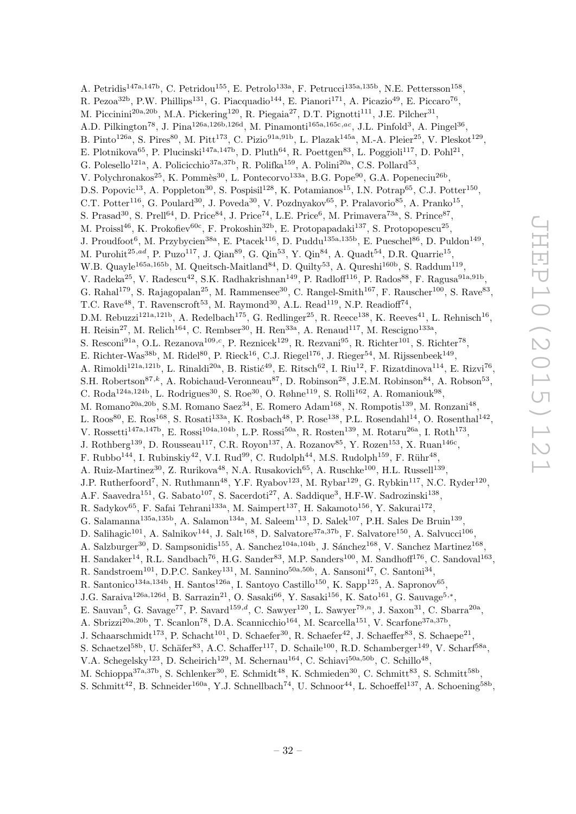A. Petridis<sup>147a,147b</sup>, C. Petridou<sup>155</sup>, E. Petrolo<sup>133a</sup>, F. Petrucci<sup>135a,135b</sup>, N.E. Pettersson<sup>158</sup>, R. Pezoa<sup>32b</sup>, P.W. Phillips<sup>131</sup>, G. Piacquadio<sup>144</sup>, E. Pianori<sup>171</sup>, A. Picazio<sup>49</sup>, E. Piccaro<sup>76</sup>, M. Piccinini<sup>20a,20b</sup>, M.A. Pickering<sup>120</sup>, R. Piegaia<sup>27</sup>, D.T. Pignotti<sup>111</sup>, J.E. Pilcher<sup>31</sup>, A.D. Pilkington<sup>78</sup>, J. Pina<sup>126a,126b,126d</sup>, M. Pinamonti<sup>165a,165c,ac</sup>, J.L. Pinfold<sup>3</sup>, A. Pingel<sup>36</sup>, B. Pinto<sup>126a</sup>, S. Pires<sup>80</sup>, M. Pitt<sup>173</sup>, C. Pizio<sup>91a,91b</sup>, L. Plazak<sup>145a</sup>, M.-A. Pleier<sup>25</sup>, V. Pleskot<sup>129</sup>, E. Plotnikova<sup>65</sup>, P. Plucinski<sup>147a,147b</sup>, D. Pluth<sup>64</sup>, R. Poettgen<sup>83</sup>, L. Poggioli<sup>117</sup>, D. Pohl<sup>21</sup>, G. Polesello<sup>121a</sup>, A. Policicchio<sup>37a,37b</sup>, R. Polifka<sup>159</sup>, A. Polini<sup>20a</sup>, C.S. Pollard<sup>53</sup>, V. Polychronakos<sup>25</sup>, K. Pommès<sup>30</sup>, L. Pontecorvo<sup>133a</sup>, B.G. Pope<sup>90</sup>, G.A. Popeneciu<sup>26b</sup>, D.S. Popovic<sup>13</sup>, A. Poppleton<sup>30</sup>, S. Pospisil<sup>128</sup>, K. Potamianos<sup>15</sup>, I.N. Potrap<sup>65</sup>, C.J. Potter<sup>150</sup>, C.T. Potter<sup>116</sup>, G. Poulard<sup>30</sup>, J. Poveda<sup>30</sup>, V. Pozdnyakov<sup>65</sup>, P. Pralavorio<sup>85</sup>, A. Pranko<sup>15</sup>, S. Prasad<sup>30</sup>, S. Prell<sup>64</sup>, D. Price<sup>84</sup>, J. Price<sup>74</sup>, L.E. Price<sup>6</sup>, M. Primavera<sup>73a</sup>, S. Prince<sup>87</sup>, M. Proissl<sup>46</sup>, K. Prokofiev<sup>60c</sup>, F. Prokoshin<sup>32b</sup>, E. Protopapadaki<sup>137</sup>, S. Protopopescu<sup>25</sup>, J. Proudfoot<sup>6</sup>, M. Przybycien<sup>38a</sup>, E. Ptacek<sup>116</sup>, D. Puddu<sup>135a,135b</sup>, E. Pueschel<sup>86</sup>, D. Puldon<sup>149</sup>, M. Purohit<sup>25,ad</sup>, P. Puzo<sup>117</sup>, J. Qian<sup>89</sup>, G. Qin<sup>53</sup>, Y. Qin<sup>84</sup>, A. Quadt<sup>54</sup>, D.R. Quarrie<sup>15</sup>, W.B. Quayle<sup>165a,165b</sup>, M. Queitsch-Maitland<sup>84</sup>, D. Quilty<sup>53</sup>, A. Qureshi<sup>160b</sup>, S. Raddum<sup>119</sup>, V. Radeka<sup>25</sup>, V. Radescu<sup>42</sup>, S.K. Radhakrishnan<sup>149</sup>, P. Radloff<sup>116</sup>, P. Rados<sup>88</sup>, F. Ragusa<sup>91a,91b</sup>, G. Rahal<sup>179</sup>, S. Rajagopalan<sup>25</sup>, M. Rammensee<sup>30</sup>, C. Rangel-Smith<sup>167</sup>, F. Rauscher<sup>100</sup>, S. Rave<sup>83</sup>, T.C. Rave<sup>48</sup>, T. Ravenscroft<sup>53</sup>, M. Raymond<sup>30</sup>, A.L. Read<sup>119</sup>, N.P. Readioff<sup>74</sup>, D.M. Rebuzzi<sup>121a,121b</sup>, A. Redelbach<sup>175</sup>, G. Redlinger<sup>25</sup>, R. Reece<sup>138</sup>, K. Reeves<sup>41</sup>, L. Rehnisch<sup>16</sup>, H. Reisin<sup>27</sup>, M. Relich<sup>164</sup>, C. Rembser<sup>30</sup>, H. Ren<sup>33a</sup>, A. Renaud<sup>117</sup>, M. Rescigno<sup>133a</sup>, S. Resconi<sup>91a</sup>, O.L. Rezanova<sup>109,c</sup>, P. Reznicek<sup>129</sup>, R. Rezvani<sup>95</sup>, R. Richter<sup>101</sup>, S. Richter<sup>78</sup>, E. Richter-Was<sup>38b</sup>, M. Ridel<sup>80</sup>, P. Rieck<sup>16</sup>, C.J. Riegel<sup>176</sup>, J. Rieger<sup>54</sup>, M. Rijssenbeek<sup>149</sup>, A. Rimoldi<sup>121a,121b</sup>, L. Rinaldi<sup>20a</sup>, B. Ristić<sup>49</sup>, E. Ritsch<sup>62</sup>, I. Riu<sup>12</sup>, F. Rizatdinova<sup>114</sup>, E. Rizvi<sup>76</sup>, S.H. Robertson<sup>87,k</sup>, A. Robichaud-Veronneau<sup>87</sup>, D. Robinson<sup>28</sup>, J.E.M. Robinson<sup>84</sup>, A. Robson<sup>53</sup>, C. Roda<sup>124a,124b</sup>, L. Rodrigues<sup>30</sup>, S. Roe<sup>30</sup>, O. Røhne<sup>119</sup>, S. Rolli<sup>162</sup>, A. Romaniouk<sup>98</sup>, M. Romano<sup>20a, 20b</sup>, S.M. Romano Saez<sup>34</sup>, E. Romero Adam<sup>168</sup>, N. Rompotis<sup>139</sup>, M. Ronzani<sup>48</sup>, L. Roos<sup>80</sup>, E. Ros<sup>168</sup>, S. Rosati<sup>133a</sup>, K. Rosbach<sup>48</sup>, P. Rose<sup>138</sup>, P.L. Rosendahl<sup>14</sup>, O. Rosenthal<sup>142</sup>, V. Rossetti<sup>147a,147b</sup>, E. Rossi<sup>104a,104b</sup>, L.P. Rossi<sup>50a</sup>, R. Rosten<sup>139</sup>, M. Rotaru<sup>26a</sup>, I. Roth<sup>173</sup>, J. Rothberg<sup>139</sup>, D. Rousseau<sup>117</sup>, C.R. Royon<sup>137</sup>, A. Rozanov<sup>85</sup>, Y. Rozen<sup>153</sup>, X. Ruan<sup>146c</sup>, F. Rubbo<sup>144</sup>, I. Rubinskiy<sup>42</sup>, V.I. Rud<sup>99</sup>, C. Rudolph<sup>44</sup>, M.S. Rudolph<sup>159</sup>, F. Rühr<sup>48</sup>, A. Ruiz-Martinez<sup>30</sup>, Z. Rurikova<sup>48</sup>, N.A. Rusakovich<sup>65</sup>, A. Ruschke<sup>100</sup>, H.L. Russell<sup>139</sup>, J.P. Rutherfoord<sup>7</sup>, N. Ruthmann<sup>48</sup>, Y.F. Ryabov<sup>123</sup>, M. Rybar<sup>129</sup>, G. Rybkin<sup>117</sup>, N.C. Ryder<sup>120</sup>, A.F. Saavedra<sup>151</sup>, G. Sabato<sup>107</sup>, S. Sacerdoti<sup>27</sup>, A. Saddique<sup>3</sup>, H.F-W. Sadrozinski<sup>138</sup>, R. Sadykov $^{65}$ , F. Safai Tehrani $^{133a}$ , M. Saimpert $^{137}$ , H. Sakamoto $^{156}$ , Y. Sakurai $^{172}$ , G. Salamanna<sup>135a,135b</sup>, A. Salamon<sup>134a</sup>, M. Saleem<sup>113</sup>, D. Salek<sup>107</sup>, P.H. Sales De Bruin<sup>139</sup>, D. Salihagic<sup>101</sup>, A. Salnikov<sup>144</sup>, J. Salt<sup>168</sup>, D. Salvatore<sup>37a,37b</sup>, F. Salvatore<sup>150</sup>, A. Salvucci<sup>106</sup>, A. Salzburger<sup>30</sup>, D. Sampsonidis<sup>155</sup>, A. Sanchez<sup>104a,104b</sup>, J. Sánchez<sup>168</sup>, V. Sanchez Martinez<sup>168</sup>, H. Sandaker<sup>14</sup>, R.L. Sandbach<sup>76</sup>, H.G. Sander<sup>83</sup>, M.P. Sanders<sup>100</sup>, M. Sandhoff<sup>176</sup>, C. Sandoval<sup>163</sup>, R. Sandstroem<sup>101</sup>, D.P.C. Sankey<sup>131</sup>, M. Sannino<sup>50a,50b</sup>, A. Sansoni<sup>47</sup>, C. Santoni<sup>34</sup>, R. Santonico<sup>134a,134b</sup>, H. Santos<sup>126a</sup>, I. Santoyo Castillo<sup>150</sup>, K. Sapp<sup>125</sup>, A. Sapronov<sup>65</sup>, J.G. Saraiva<sup>126a,126d</sup>, B. Sarrazin<sup>21</sup>, O. Sasaki<sup>66</sup>, Y. Sasaki<sup>156</sup>, K. Sato<sup>161</sup>, G. Sauvage<sup>5,\*</sup>, E. Sauvan<sup>5</sup>, G. Savage<sup>77</sup>, P. Savard<sup>159,d</sup>, C. Sawyer<sup>120</sup>, L. Sawyer<sup>79,n</sup>, J. Saxon<sup>31</sup>, C. Sbarra<sup>20a</sup>, A. Sbrizzi<sup>20a, 20b</sup>, T. Scanlon<sup>78</sup>, D.A. Scannicchio<sup>164</sup>, M. Scarcella<sup>151</sup>, V. Scarfone<sup>37a, 37b</sup>, J. Schaarschmidt<sup>173</sup>, P. Schacht<sup>101</sup>, D. Schaefer<sup>30</sup>, R. Schaefer<sup>42</sup>, J. Schaeffer<sup>83</sup>, S. Schaepe<sup>21</sup>, S. Schaetzel<sup>58b</sup>, U. Schäfer<sup>83</sup>, A.C. Schaffer<sup>117</sup>, D. Schaile<sup>100</sup>, R.D. Schamberger<sup>149</sup>, V. Scharf<sup>58a</sup>, V.A. Schegelsky<sup>123</sup>, D. Scheirich<sup>129</sup>, M. Schernau<sup>164</sup>, C. Schiavi<sup>50a,50b</sup>, C. Schillo<sup>48</sup>, M. Schioppa<sup>37a,37b</sup>, S. Schlenker<sup>30</sup>, E. Schmidt<sup>48</sup>, K. Schmieden<sup>30</sup>, C. Schmitt<sup>83</sup>, S. Schmitt<sup>58b</sup>,

S. Schmitt<sup>42</sup>, B. Schneider<sup>160a</sup>, Y.J. Schnellbach<sup>74</sup>, U. Schnoor<sup>44</sup>, L. Schoeffel<sup>137</sup>, A. Schoening<sup>58b</sup>,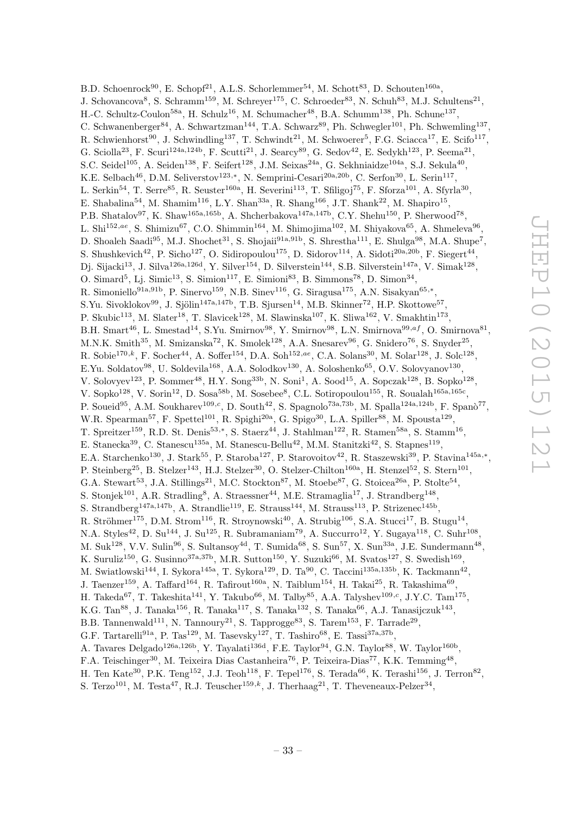B.D. Schoenrock<sup>90</sup>, E. Schopf<sup>21</sup>, A.L.S. Schorlemmer<sup>54</sup>, M. Schott<sup>83</sup>, D. Schouten<sup>160a</sup>, J. Schovancova<sup>8</sup>, S. Schramm<sup>159</sup>, M. Schreyer<sup>175</sup>, C. Schroeder<sup>83</sup>, N. Schuh<sup>83</sup>, M.J. Schultens<sup>21</sup>, H.-C. Schultz-Coulon<sup>58a</sup>, H. Schulz<sup>16</sup>, M. Schumacher<sup>48</sup>, B.A. Schumm<sup>138</sup>, Ph. Schune<sup>137</sup>, C. Schwanenberger<sup>84</sup>, A. Schwartzman<sup>144</sup>, T.A. Schwarz<sup>89</sup>, Ph. Schwegler<sup>101</sup>, Ph. Schwemling<sup>137</sup>, R. Schwienhorst<sup>90</sup>, J. Schwindling<sup>137</sup>, T. Schwindt<sup>21</sup>, M. Schwoerer<sup>5</sup>, F.G. Sciacca<sup>17</sup>, E. Scifo<sup>117</sup>, G. Sciolla<sup>23</sup>, F. Scuri<sup>124a,124b</sup>, F. Scutti<sup>21</sup>, J. Searcy<sup>89</sup>, G. Sedov<sup>42</sup>, E. Sedykh<sup>123</sup>, P. Seema<sup>21</sup>, S.C. Seidel<sup>105</sup>, A. Seiden<sup>138</sup>, F. Seifert<sup>128</sup>, J.M. Seixas<sup>24a</sup>, G. Sekhniaidze<sup>104a</sup>, S.J. Sekula<sup>40</sup>, K.E. Selbach<sup>46</sup>, D.M. Seliverstov<sup>123,\*</sup>, N. Semprini-Cesari<sup>20a,20b</sup>, C. Serfon<sup>30</sup>, L. Serin<sup>117</sup>, L. Serkin<sup>54</sup>, T. Serre<sup>85</sup>, R. Seuster<sup>160a</sup>, H. Severini<sup>113</sup>, T. Sfiligoj<sup>75</sup>, F. Sforza<sup>101</sup>, A. Sfyrla<sup>30</sup>, E. Shabalina<sup>54</sup>, M. Shamim<sup>116</sup>, L.Y. Shan<sup>33a</sup>, R. Shang<sup>166</sup>, J.T. Shank<sup>22</sup>, M. Shapiro<sup>15</sup>, P.B. Shatalov<sup>97</sup>, K. Shaw<sup>165a,165b</sup>, A. Shcherbakova<sup>147a,147b</sup>, C.Y. Shehu<sup>150</sup>, P. Sherwood<sup>78</sup>, L. Shi $^{152,ae}$ , S. Shimizu<sup>67</sup>, C.O. Shimmin<sup>164</sup>, M. Shimojima<sup>102</sup>, M. Shiyakova<sup>65</sup>, A. Shmeleva<sup>96</sup>, D. Shoaleh Saadi<sup>95</sup>, M.J. Shochet<sup>31</sup>, S. Shojaii<sup>91a,91b</sup>, S. Shrestha<sup>111</sup>, E. Shulga<sup>98</sup>, M.A. Shupe<sup>7</sup>, S. Shushkevich<sup>42</sup>, P. Sicho<sup>127</sup>, O. Sidiropoulou<sup>175</sup>, D. Sidorov<sup>114</sup>, A. Sidoti<sup>20a,20b</sup>, F. Siegert<sup>44</sup>, Dj. Sijacki<sup>13</sup>, J. Silva<sup>126a,126d</sup>, Y. Silver<sup>154</sup>, D. Silverstein<sup>144</sup>, S.B. Silverstein<sup>147a</sup>, V. Simak<sup>128</sup>, O. Simard<sup>5</sup>, Lj. Simic<sup>13</sup>, S. Simion<sup>117</sup>, E. Simioni<sup>83</sup>, B. Simmons<sup>78</sup>, D. Simon<sup>34</sup>, R. Simoniello<sup>91a,91b</sup>, P. Sinervo<sup>159</sup>, N.B. Sinev<sup>116</sup>, G. Siragusa<sup>175</sup>, A.N. Sisakyan<sup>65,\*</sup>, S.Yu. Sivoklokov<sup>99</sup>, J. Sjölin<sup>147a,147b</sup>, T.B. Sjursen<sup>14</sup>, M.B. Skinner<sup>72</sup>, H.P. Skottowe<sup>57</sup>, P. Skubic<sup>113</sup>, M. Slater<sup>18</sup>, T. Slavicek<sup>128</sup>, M. Slawinska<sup>107</sup>, K. Sliwa<sup>162</sup>, V. Smakhtin<sup>173</sup>, B.H. Smart<sup>46</sup>, L. Smestad<sup>14</sup>, S.Yu. Smirnov<sup>98</sup>, Y. Smirnov<sup>98</sup>, L.N. Smirnova<sup>99,af</sup>, O. Smirnova<sup>81</sup>, M.N.K. Smith<sup>35</sup>, M. Smizanska<sup>72</sup>, K. Smolek<sup>128</sup>, A.A. Snesarev<sup>96</sup>, G. Snidero<sup>76</sup>, S. Snyder<sup>25</sup>, R. Sobie<sup>170,k</sup>, F. Socher<sup>44</sup>, A. Soffer<sup>154</sup>, D.A. Soh<sup>152,ae</sup>, C.A. Solans<sup>30</sup>, M. Solar<sup>128</sup>, J. Solc<sup>128</sup>, E.Yu. Soldatov<sup>98</sup>, U. Soldevila<sup>168</sup>, A.A. Solodkov<sup>130</sup>, A. Soloshenko<sup>65</sup>, O.V. Solovyanov<sup>130</sup>, V. Solovyev<sup>123</sup>, P. Sommer<sup>48</sup>, H.Y. Song<sup>33b</sup>, N. Soni<sup>1</sup>, A. Sood<sup>15</sup>, A. Sopczak<sup>128</sup>, B. Sopko<sup>128</sup>, V. Sopko<sup>128</sup>, V. Sorin<sup>12</sup>, D. Sosa<sup>58b</sup>, M. Sosebee<sup>8</sup>, C.L. Sotiropoulou<sup>155</sup>, R. Soualah<sup>165a,165c</sup>, P. Soueid<sup>95</sup>, A.M. Soukharev<sup>109,c</sup>, D. South<sup>42</sup>, S. Spagnolo<sup>73a,73b</sup>, M. Spalla<sup>124a,124b</sup>, F. Spanò<sup>77</sup>, W.R. Spearman<sup>57</sup>, F. Spettel<sup>101</sup>, R. Spighi<sup>20a</sup>, G. Spigo<sup>30</sup>, L.A. Spiller<sup>88</sup>, M. Spousta<sup>129</sup>, T. Spreitzer<sup>159</sup>, R.D. St. Denis<sup>53,\*</sup>, S. Staerz<sup>44</sup>, J. Stahlman<sup>122</sup>, R. Stamen<sup>58a</sup>, S. Stamm<sup>16</sup>, E. Stanecka<sup>39</sup>, C. Stanescu<sup>135a</sup>, M. Stanescu-Bellu<sup>42</sup>, M.M. Stanitzki<sup>42</sup>, S. Stapnes<sup>119</sup>, E.A. Starchenko<sup>130</sup>, J. Stark<sup>55</sup>, P. Staroba<sup>127</sup>, P. Starovoitov<sup>42</sup>, R. Staszewski<sup>39</sup>, P. Stavina<sup>145a,\*</sup>, P. Steinberg<sup>25</sup>, B. Stelzer<sup>143</sup>, H.J. Stelzer<sup>30</sup>, O. Stelzer-Chilton<sup>160a</sup>, H. Stenzel<sup>52</sup>, S. Stern<sup>101</sup>, G.A. Stewart<sup>53</sup>, J.A. Stillings<sup>21</sup>, M.C. Stockton<sup>87</sup>, M. Stoebe<sup>87</sup>, G. Stoicea<sup>26a</sup>, P. Stolte<sup>54</sup>, S. Stonjek<sup>101</sup>, A.R. Stradling<sup>8</sup>, A. Straessner<sup>44</sup>, M.E. Stramaglia<sup>17</sup>, J. Strandberg<sup>148</sup>, S. Strandberg<sup>147a,147b</sup>, A. Strandlie<sup>119</sup>, E. Strauss<sup>144</sup>, M. Strauss<sup>113</sup>, P. Strizenec<sup>145b</sup>, R. Ströhmer<sup>175</sup>, D.M. Strom<sup>116</sup>, R. Stroynowski<sup>40</sup>, A. Strubig<sup>106</sup>, S.A. Stucci<sup>17</sup>, B. Stugu<sup>14</sup>, N.A. Styles<sup>42</sup>, D. Su<sup>144</sup>, J. Su<sup>125</sup>, R. Subramaniam<sup>79</sup>, A. Succurro<sup>12</sup>, Y. Sugaya<sup>118</sup>, C. Suhr<sup>108</sup>, M. Suk<sup>128</sup>, V.V. Sulin<sup>96</sup>, S. Sultansoy<sup>4d</sup>, T. Sumida<sup>68</sup>, S. Sun<sup>57</sup>, X. Sun<sup>33a</sup>, J.E. Sundermann<sup>48</sup>, K. Suruliz<sup>150</sup>, G. Susinno<sup>37a,37b</sup>, M.R. Sutton<sup>150</sup>, Y. Suzuki<sup>66</sup>, M. Svatos<sup>127</sup>, S. Swedish<sup>169</sup>, M. Swiatlowski<sup>144</sup>, I. Sykora<sup>145a</sup>, T. Sykora<sup>129</sup>, D. Ta<sup>90</sup>, C. Taccini<sup>135a,135b</sup>, K. Tackmann<sup>42</sup>, J. Taenzer<sup>159</sup>, A. Taffard<sup>164</sup>, R. Tafirout<sup>160a</sup>, N. Taiblum<sup>154</sup>, H. Takai<sup>25</sup>, R. Takashima<sup>69</sup>, H. Takeda<sup>67</sup>, T. Takeshita<sup>141</sup>, Y. Takubo<sup>66</sup>, M. Talby<sup>85</sup>, A.A. Talyshev<sup>109,*c*</sup>, J.Y.C. Tam<sup>175</sup>, K.G. Tan $^{88}$ , J. Tanaka<sup>156</sup>, R. Tanaka<sup>117</sup>, S. Tanaka<sup>132</sup>, S. Tanaka<sup>66</sup>, A.J. Tanasijczuk<sup>143</sup>, B.B. Tannenwald<sup>111</sup>, N. Tannoury<sup>21</sup>, S. Tapprogge<sup>83</sup>, S. Tarem<sup>153</sup>, F. Tarrade<sup>29</sup>, G.F. Tartarelli<sup>91a</sup>, P. Tas<sup>129</sup>, M. Tasevsky<sup>127</sup>, T. Tashiro<sup>68</sup>, E. Tassi<sup>37a,37b</sup>, A. Tavares Delgado<sup>126a,126b</sup>, Y. Tayalati<sup>136d</sup>, F.E. Taylor<sup>94</sup>, G.N. Taylor<sup>88</sup>, W. Taylor<sup>160b</sup>, F.A. Teischinger<sup>30</sup>, M. Teixeira Dias Castanheira<sup>76</sup>, P. Teixeira-Dias<sup>77</sup>, K.K. Temming<sup>48</sup>, H. Ten Kate<sup>30</sup>, P.K. Teng<sup>152</sup>, J.J. Teoh<sup>118</sup>, F. Tepel<sup>176</sup>, S. Terada<sup>66</sup>, K. Terashi<sup>156</sup>, J. Terron<sup>82</sup>,

S. Terzo<sup>101</sup>, M. Testa<sup>47</sup>, R.J. Teuscher<sup>159,k</sup>, J. Therhaag<sup>21</sup>, T. Theveneaux-Pelzer<sup>34</sup>,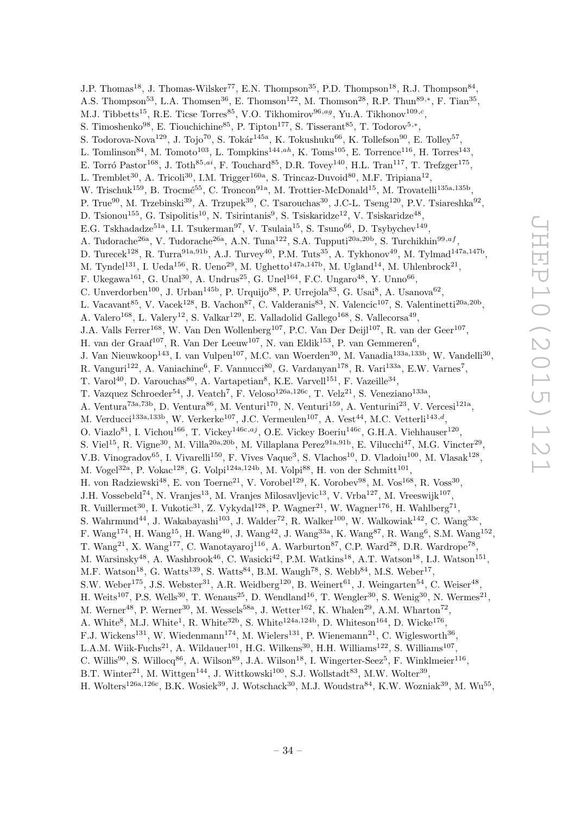J.P. Thomas<sup>18</sup>, J. Thomas-Wilsker<sup>77</sup>, E.N. Thompson<sup>35</sup>, P.D. Thompson<sup>18</sup>, R.J. Thompson<sup>84</sup>, A.S. Thompson<sup>53</sup>, L.A. Thomsen<sup>36</sup>, E. Thomson<sup>122</sup>, M. Thomson<sup>28</sup>, R.P. Thun<sup>89,\*</sup>, F. Tian<sup>35</sup>, M.J. Tibbetts<sup>15</sup>, R.E. Ticse Torres<sup>85</sup>, V.O. Tikhomirov<sup>96,ag</sup>, Yu.A. Tikhonov<sup>109,c</sup>, S. Timoshenko<sup>98</sup>, E. Tiouchichine<sup>85</sup>, P. Tipton<sup>177</sup>, S. Tisserant<sup>85</sup>, T. Todorov<sup>5,\*</sup>, S. Todorova-Nova<sup>129</sup>, J. Tojo<sup>70</sup>, S. Tokár<sup>145a</sup>, K. Tokushuku<sup>66</sup>, K. Tollefson<sup>90</sup>, E. Tolley<sup>57</sup>, L. Tomlinson<sup>84</sup>, M. Tomoto<sup>103</sup>, L. Tompkins<sup>144,ah</sup>, K. Toms<sup>105</sup>, E. Torrence<sup>116</sup>, H. Torres<sup>143</sup>, E. Torró Pastor<sup>168</sup>, J. Toth<sup>85,ai</sup>, F. Touchard<sup>85</sup>, D.R. Tovey<sup>140</sup>, H.L. Tran<sup>117</sup>, T. Trefzger<sup>175</sup>, L. Tremblet<sup>30</sup>, A. Tricoli<sup>30</sup>, I.M. Trigger<sup>160a</sup>, S. Trincaz-Duvoid<sup>80</sup>, M.F. Tripiana<sup>12</sup>, W. Trischuk<sup>159</sup>, B. Trocmé<sup>55</sup>, C. Troncon<sup>91a</sup>, M. Trottier-McDonald<sup>15</sup>, M. Trovatelli<sup>135a,135b</sup>, P. True<sup>90</sup>, M. Trzebinski<sup>39</sup>, A. Trzupek<sup>39</sup>, C. Tsarouchas<sup>30</sup>, J.C-L. Tseng<sup>120</sup>, P.V. Tsiareshka<sup>92</sup>, D. Tsionou<sup>155</sup>, G. Tsipolitis<sup>10</sup>, N. Tsirintanis<sup>9</sup>, S. Tsiskaridze<sup>12</sup>, V. Tsiskaridze<sup>48</sup>, E.G. Tskhadadze<sup>51a</sup>, I.I. Tsukerman<sup>97</sup>, V. Tsulaia<sup>15</sup>, S. Tsuno<sup>66</sup>, D. Tsybychev<sup>149</sup>, A. Tudorache<sup>26a</sup>, V. Tudorache<sup>26a</sup>, A.N. Tuna<sup>122</sup>, S.A. Tupputi<sup>20a,20b</sup>, S. Turchikhin<sup>99,af</sup>, D. Turecek<sup>128</sup>, R. Turra<sup>91a,91b</sup>, A.J. Turvey<sup>40</sup>, P.M. Tuts<sup>35</sup>, A. Tykhonov<sup>49</sup>, M. Tylmad<sup>147a,147b</sup>, M. Tyndel<sup>131</sup>, I. Ueda<sup>156</sup>, R. Ueno<sup>29</sup>, M. Ughetto<sup>147a,147b</sup>, M. Ugland<sup>14</sup>, M. Uhlenbrock<sup>21</sup>, F. Ukegawa<sup>161</sup>, G. Unal<sup>30</sup>, A. Undrus<sup>25</sup>, G. Unel<sup>164</sup>, F.C. Ungaro<sup>48</sup>, Y. Unno<sup>66</sup>, C. Unverdorben<sup>100</sup>, J. Urban<sup>145b</sup>, P. Urquijo<sup>88</sup>, P. Urrejola<sup>83</sup>, G. Usai<sup>8</sup>, A. Usanova<sup>62</sup>, L. Vacavant<sup>85</sup>, V. Vacek<sup>128</sup>, B. Vachon<sup>87</sup>, C. Valderanis<sup>83</sup>, N. Valencic<sup>107</sup>, S. Valentinetti<sup>20a,20b</sup>, A. Valero<sup>168</sup>, L. Valery<sup>12</sup>, S. Valkar<sup>129</sup>, E. Valladolid Gallego<sup>168</sup>, S. Vallecorsa<sup>49</sup>, J.A. Valls Ferrer<sup>168</sup>, W. Van Den Wollenberg<sup>107</sup>, P.C. Van Der Deijl<sup>107</sup>, R. van der Geer<sup>107</sup>, H. van der Graaf<sup>107</sup>, R. Van Der Leeuw<sup>107</sup>, N. van Eldik<sup>153</sup>, P. van Gemmeren<sup>6</sup>, J. Van Nieuwkoop<sup>143</sup>, I. van Vulpen<sup>107</sup>, M.C. van Woerden<sup>30</sup>, M. Vanadia<sup>133a,133b</sup>, W. Vandelli<sup>30</sup>, R. Vanguri<sup>122</sup>, A. Vaniachine<sup>6</sup>, F. Vannucci<sup>80</sup>, G. Vardanyan<sup>178</sup>, R. Vari<sup>133a</sup>, E.W. Varnes<sup>7</sup>, T. Varol<sup>40</sup>, D. Varouchas<sup>80</sup>, A. Vartapetian<sup>8</sup>, K.E. Varvell<sup>151</sup>, F. Vazeille<sup>34</sup>, T. Vazquez Schroeder<sup>54</sup>, J. Veatch<sup>7</sup>, F. Veloso<sup>126a,126c</sup>, T. Velz<sup>21</sup>, S. Veneziano<sup>133a</sup>, A. Ventura<sup>73a,73b</sup>, D. Ventura<sup>86</sup>, M. Venturi<sup>170</sup>, N. Venturi<sup>159</sup>, A. Venturini<sup>23</sup>, V. Vercesi<sup>121a</sup>, M. Verducci<sup>133a,133b</sup>, W. Verkerke<sup>107</sup>, J.C. Vermeulen<sup>107</sup>, A. Vest<sup>44</sup>, M.C. Vetterli<sup>143,d</sup>, O. Viazlo<sup>81</sup>, I. Vichou<sup>166</sup>, T. Vickey<sup>146c,aj</sup>, O.E. Vickey Boeriu<sup>146c</sup>, G.H.A. Viehhauser<sup>120</sup>, S. Viel<sup>15</sup>, R. Vigne<sup>30</sup>, M. Villa<sup>20a,20b</sup>, M. Villaplana Perez<sup>91a,91b</sup>, E. Vilucchi<sup>47</sup>, M.G. Vincter<sup>29</sup>, V.B. Vinogradov<sup>65</sup>, I. Vivarelli<sup>150</sup>, F. Vives Vaque<sup>3</sup>, S. Vlachos<sup>10</sup>, D. Vladoiu<sup>100</sup>, M. Vlasak<sup>128</sup>, M. Vogel<sup>32a</sup>, P. Vokac<sup>128</sup>, G. Volpi<sup>124a,124b</sup>, M. Volpi<sup>88</sup>, H. von der Schmitt<sup>101</sup>, H. von Radziewski<sup>48</sup>, E. von Toerne<sup>21</sup>, V. Vorobel<sup>129</sup>, K. Vorobev<sup>98</sup>, M. Vos<sup>168</sup>, R. Voss<sup>30</sup>, J.H. Vossebeld<sup>74</sup>, N. Vranjes<sup>13</sup>, M. Vranjes Milosavljevic<sup>13</sup>, V. Vrba<sup>127</sup>, M. Vreeswijk<sup>107</sup>, R. Vuillermet<sup>30</sup>, I. Vukotic<sup>31</sup>, Z. Vykydal<sup>128</sup>, P. Wagner<sup>21</sup>, W. Wagner<sup>176</sup>, H. Wahlberg<sup>71</sup>, S. Wahrmund<sup>44</sup>, J. Wakabayashi<sup>103</sup>, J. Walder<sup>72</sup>, R. Walker<sup>100</sup>, W. Walkowiak<sup>142</sup>, C. Wang<sup>33c</sup>, F. Wang<sup>174</sup>, H. Wang<sup>15</sup>, H. Wang<sup>40</sup>, J. Wang<sup>42</sup>, J. Wang<sup>33a</sup>, K. Wang<sup>87</sup>, R. Wang<sup>6</sup>, S.M. Wang<sup>152</sup>, T. Wang<sup>21</sup>, X. Wang<sup>177</sup>, C. Wanotayaroj<sup>116</sup>, A. Warburton<sup>87</sup>, C.P. Ward<sup>28</sup>, D.R. Wardrope<sup>78</sup>, M. Warsinsky<sup>48</sup>, A. Washbrook<sup>46</sup>, C. Wasicki<sup>42</sup>, P.M. Watkins<sup>18</sup>, A.T. Watson<sup>18</sup>, I.J. Watson<sup>151</sup>, M.F. Watson<sup>18</sup>, G. Watts<sup>139</sup>, S. Watts<sup>84</sup>, B.M. Waugh<sup>78</sup>, S. Webb<sup>84</sup>, M.S. Weber<sup>17</sup>, S.W. Weber<sup>175</sup>, J.S. Webster<sup>31</sup>, A.R. Weidberg<sup>120</sup>, B. Weinert<sup>61</sup>, J. Weingarten<sup>54</sup>, C. Weiser<sup>48</sup>, H. Weits<sup>107</sup>, P.S. Wells<sup>30</sup>, T. Wenaus<sup>25</sup>, D. Wendland<sup>16</sup>, T. Wengler<sup>30</sup>, S. Wenig<sup>30</sup>, N. Wermes<sup>21</sup>, M. Werner<sup>48</sup>, P. Werner<sup>30</sup>, M. Wessels<sup>58a</sup>, J. Wetter<sup>162</sup>, K. Whalen<sup>29</sup>, A.M. Wharton<sup>72</sup>, A. White<sup>8</sup>, M.J. White<sup>1</sup>, R. White<sup>32b</sup>, S. White<sup>124a,124b</sup>, D. Whiteson<sup>164</sup>, D. Wicke<sup>176</sup>, F.J. Wickens<sup>131</sup>, W. Wiedenmann<sup>174</sup>, M. Wielers<sup>131</sup>, P. Wienemann<sup>21</sup>, C. Wiglesworth<sup>36</sup>, L.A.M. Wiik-Fuchs<sup>21</sup>, A. Wildauer<sup>101</sup>, H.G. Wilkens<sup>30</sup>, H.H. Williams<sup>122</sup>, S. Williams<sup>107</sup>, C. Willis<sup>90</sup>, S. Willocq<sup>86</sup>, A. Wilson<sup>89</sup>, J.A. Wilson<sup>18</sup>, I. Wingerter-Seez<sup>5</sup>, F. Winklmeier<sup>116</sup>, B.T. Winter<sup>21</sup>, M. Wittgen<sup>144</sup>, J. Wittkowski<sup>100</sup>, S.J. Wollstadt<sup>83</sup>, M.W. Wolter<sup>39</sup>,

H. Wolters<sup>126a,126c</sup>, B.K. Wosiek<sup>39</sup>, J. Wotschack<sup>30</sup>, M.J. Woudstra<sup>84</sup>, K.W. Wozniak<sup>39</sup>, M. Wu<sup>55</sup>,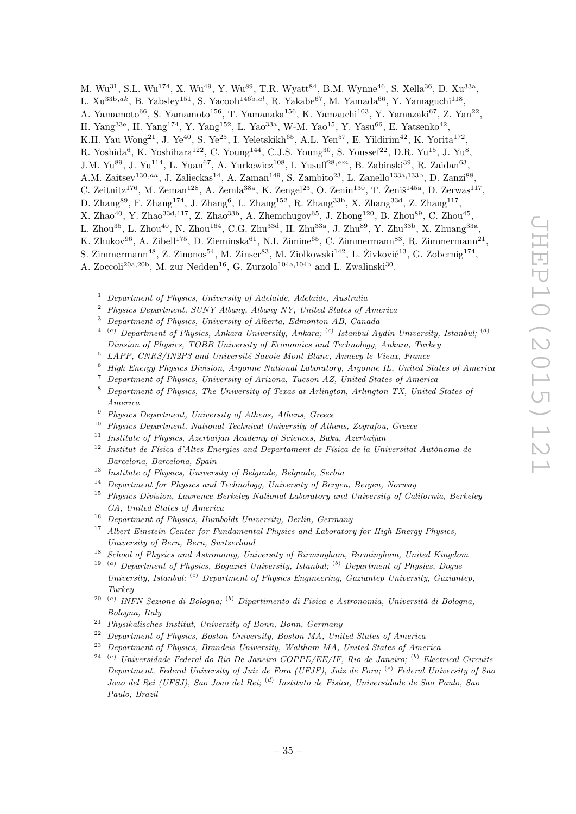M. Wu<sup>31</sup>, S.L. Wu<sup>174</sup>, X. Wu<sup>49</sup>, Y. Wu<sup>89</sup>, T.R. Wyatt<sup>84</sup>, B.M. Wynne<sup>46</sup>, S. Xella<sup>36</sup>, D. Xu<sup>33a</sup>,

L.  $Xu^{33b,ak}$ , B. Yabsley<sup>151</sup>, S. Yacoob<sup>146b,al</sup>, R. Yakabe<sup>67</sup>, M. Yamada<sup>66</sup>, Y. Yamaguchi<sup>118</sup>,

A. Yamamoto $^{66}$ , S. Yamamoto $^{156}$ , T. Yamanaka $^{156}$ , K. Yamauchi $^{103}$ , Y. Yamazaki $^{67}$ , Z. Yan $^{22}$ ,

H. Yang<sup>33e</sup>, H. Yang<sup>174</sup>, Y. Yang<sup>152</sup>, L. Yao<sup>33a</sup>, W-M. Yao<sup>15</sup>, Y. Yasu<sup>66</sup>, E. Yatsenko<sup>42</sup>,

K.H. Yau Wong<sup>21</sup>, J. Ye<sup>40</sup>, S. Ye<sup>25</sup>, I. Yeletskikh<sup>65</sup>, A.L. Yen<sup>57</sup>, E. Yildirim<sup>42</sup>, K. Yorita<sup>172</sup>,

R. Yoshida<sup>6</sup>, K. Yoshihara<sup>122</sup>, C. Young<sup>144</sup>, C.J.S. Young<sup>30</sup>, S. Youssef<sup>22</sup>, D.R. Yu<sup>15</sup>, J. Yu<sup>8</sup>,

J.M. Yu<sup>89</sup>, J. Yu<sup>114</sup>, L. Yuan<sup>67</sup>, A. Yurkewicz<sup>108</sup>, I. Yusuff<sup>28,am</sup>, B. Zabinski<sup>39</sup>, R. Zaidan<sup>63</sup>,

A.M. Zaitsev<sup>130,aa</sup>, J. Zalieckas<sup>14</sup>, A. Zaman<sup>149</sup>, S. Zambito<sup>23</sup>, L. Zanello<sup>133a,133b</sup>, D. Zanzi<sup>88</sup>,

C. Zeitnitz<sup>176</sup>, M. Zeman<sup>128</sup>, A. Zemla<sup>38a</sup>, K. Zengel<sup>23</sup>, O. Zenin<sup>130</sup>, T. Ženiš<sup>145a</sup>, D. Zerwas<sup>117</sup>,

- D. Zhang<sup>89</sup>, F. Zhang<sup>174</sup>, J. Zhang<sup>6</sup>, L. Zhang<sup>152</sup>, R. Zhang<sup>33b</sup>, X. Zhang<sup>33d</sup>, Z. Zhang<sup>117</sup>,
- X. Zhao<sup>40</sup>, Y. Zhao<sup>33d,117</sup>, Z. Zhao<sup>33b</sup>, A. Zhemchugov<sup>65</sup>, J. Zhong<sup>120</sup>, B. Zhou<sup>89</sup>, C. Zhou<sup>45</sup>,
- L. Zhou $^{35}$ , L. Zhou $^{40}$ , N. Zhou $^{164}$ , C.G. Zhu $^{33d}$ , H. Zhu $^{33a}$ , J. Zhu $^{89}$ , Y. Zhu $^{33b}$ , X. Zhuang $^{33a}$ ,
- K. Zhukov $^{96}$ , A. Zibell<sup>175</sup>, D. Zieminska<sup>61</sup>, N.I. Zimine<sup>65</sup>, C. Zimmermann<sup>83</sup>, R. Zimmermann<sup>21</sup>,

S. Zimmermann<sup>48</sup>, Z. Zinonos<sup>54</sup>, M. Zinser<sup>83</sup>, M. Ziolkowski<sup>142</sup>, L. Živković<sup>13</sup>, G. Zobernig<sup>174</sup>,

A. Zoccoli<sup>20a,20b</sup>, M. zur Nedden<sup>16</sup>, G. Zurzolo<sup>104a,104b</sup> and L. Zwalinski<sup>30</sup>.

- <sup>1</sup> Department of Physics, University of Adelaide, Adelaide, Australia
- <sup>2</sup> Phusics Department, SUNY Albany, Albany NY, United States of America
- <sup>3</sup> Department of Physics, University of Alberta, Edmonton AB, Canada
- $^{4-(a)}$  Department of Physics, Ankara University, Ankara;  $^{(c)}$  Istanbul Aydin University, Istanbul;  $^{(d)}$ Division of Physics, TOBB University of Economics and Technology, Ankara, Turkey
- $5$  LAPP, CNRS/IN2P3 and Université Savoie Mont Blanc, Annecy-le-Vieux, France
- <sup>6</sup> High Energy Physics Division, Argonne National Laboratory, Argonne IL, United States of America
- <sup>7</sup> Department of Physics, University of Arizona, Tucson AZ, United States of America
- <sup>8</sup> Department of Physics, The University of Texas at Arlington, Arlington TX, United States of America
- <sup>9</sup> Physics Department, University of Athens, Athens, Greece
- $10$  Physics Department, National Technical University of Athens, Zografou, Greece
- <sup>11</sup> Institute of Physics, Azerbaijan Academy of Sciences, Baku, Azerbaijan
- $12$  Institut de Física d'Altes Energies and Departament de Física de la Universitat Autònoma de Barcelona, Barcelona, Spain
- <sup>13</sup> Institute of Physics, University of Belgrade, Belgrade, Serbia
- <sup>14</sup> Department for Physics and Technology, University of Bergen, Bergen, Norway
- <sup>15</sup> Physics Division, Lawrence Berkeley National Laboratory and University of California, Berkeley CA, United States of America
- <sup>16</sup> Department of Physics, Humboldt University, Berlin, Germany
- $17$  Albert Einstein Center for Fundamental Physics and Laboratory for High Energy Physics, University of Bern, Bern, Switzerland
- <sup>18</sup> School of Physics and Astronomy, University of Birmingham, Birmingham, United Kingdom
- <sup>19</sup> (a) Department of Physics, Bogazici University, Istanbul; <sup>(b)</sup> Department of Physics, Dogus University, Istanbul;  $\left( \text{c} \right)$  Department of Physics Engineering, Gaziantep University, Gaziantep, Turkey
- <sup>20 (a)</sup> INFN Sezione di Bologna; <sup>(b)</sup> Dipartimento di Fisica e Astronomia, Università di Bologna, Bologna, Italy
- <sup>21</sup> Physikalisches Institut, University of Bonn, Bonn, Germany<br><sup>22</sup> Penerty ort of Physics, Boston University, Boston MA, University
- <sup>22</sup> Department of Physics, Boston University, Boston MA, United States of America
- <sup>23</sup> Department of Physics, Brandeis University, Waltham MA, United States of America
- $24$ <sup>(a)</sup> Universidade Federal do Rio De Janeiro COPPE/EE/IF, Rio de Janeiro; <sup>(b)</sup> Electrical Circuits Department, Federal University of Juiz de Fora (UFJF), Juiz de Fora;  $\binom{c}{r}$  Federal University of Sao Joao del Rei (UFSJ), Sao Joao del Rei; <sup>(d)</sup> Instituto de Fisica, Universidade de Sao Paulo, Sao Paulo, Brazil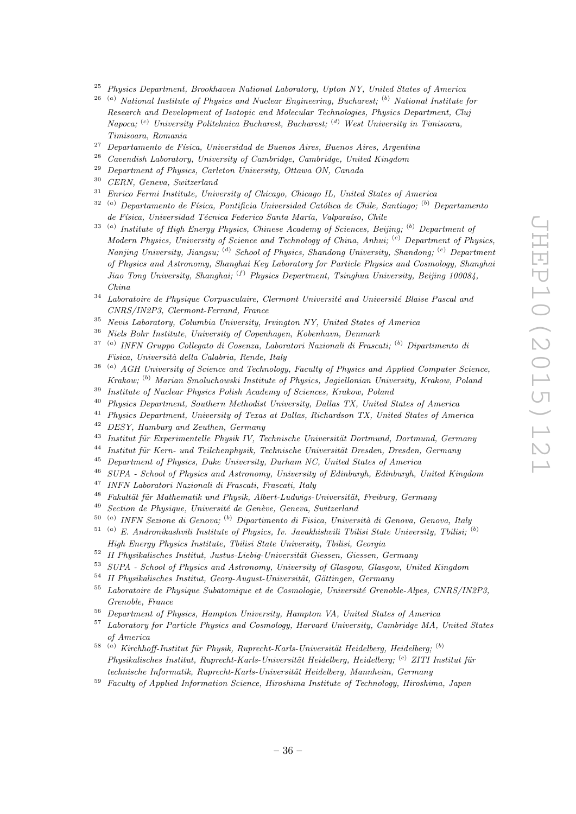- $25$  Physics Department, Brookhaven National Laboratory, Upton NY, United States of America
- $26$ <sup>(a)</sup> National Institute of Physics and Nuclear Engineering, Bucharest; <sup>(b)</sup> National Institute for Research and Development of Isotopic and Molecular Technologies, Physics Department, Cluj Napoca; <sup>(c)</sup> University Politehnica Bucharest, Bucharest; <sup>(d)</sup> West University in Timisoara, Timisoara, Romania
- <sup>27</sup> Departamento de Física, Universidad de Buenos Aires, Buenos Aires, Argentina
- <sup>28</sup> Cavendish Laboratory, University of Cambridge, Cambridge, United Kingdom
- <sup>29</sup> Department of Physics, Carleton University, Ottawa ON, Canada<br><sup>30</sup> CERN, Current Suite of Luis
- <sup>30</sup> CERN, Geneva, Switzerland
- <sup>31</sup> Enrico Fermi Institute, University of Chicago, Chicago IL, United States of America
- $32$ <sup>(a)</sup> Departamento de Física, Pontificia Universidad Católica de Chile, Santiago; <sup>(b)</sup> Departamento de Física, Universidad Técnica Federico Santa María, Valparaíso, Chile
- $33$ <sup>(a)</sup> Institute of High Energy Physics, Chinese Academy of Sciences, Beijing; <sup>(b)</sup> Department of Modern Physics, University of Science and Technology of China, Anhui; <sup>(c)</sup> Department of Physics, Nanjing University, Jiangsu; <sup>(d)</sup> School of Physics, Shandong University, Shandong; <sup>(e)</sup> Department of Physics and Astronomy, Shanghai Key Laboratory for Particle Physics and Cosmology, Shanghai Jiao Tong University, Shanghai; <sup>(f)</sup> Physics Department, Tsinghua University, Beijing 100084, China
- $34$  Laboratoire de Physique Corpusculaire, Clermont Université and Université Blaise Pascal and CNRS/IN2P3, Clermont-Ferrand, France
- <sup>35</sup> Nevis Laboratory, Columbia University, Irvington NY, United States of America
- <sup>36</sup> Niels Bohr Institute, University of Copenhagen, Kobenhavn, Denmark
- <sup>37 (a)</sup> INFN Gruppo Collegato di Cosenza, Laboratori Nazionali di Frascati; <sup>(b)</sup> Dipartimento di Fisica, Università della Calabria, Rende, Italy
- $38$ <sup>(a)</sup> AGH University of Science and Technology, Faculty of Physics and Applied Computer Science, Krakow; <sup>(b)</sup> Marian Smoluchowski Institute of Physics, Jaqiellonian University, Krakow, Poland
- <sup>39</sup> Institute of Nuclear Physics Polish Academy of Sciences, Krakow, Poland
- <sup>40</sup> Physics Department, Southern Methodist University, Dallas TX, United States of America
- <sup>41</sup> Physics Department, University of Texas at Dallas, Richardson TX, United States of America
- <sup>42</sup> DESY, Hamburg and Zeuthen, Germany
- $^{43}$  Institut für Experimentelle Physik IV, Technische Universität Dortmund, Dortmund, Germany
- <sup>44</sup> Institut für Kern- und Teilchenphysik, Technische Universität Dresden, Dresden, Germany
- <sup>45</sup> Department of Physics, Duke University, Durham NC, United States of America<br><sup>46</sup> SUDA, School of Physics and Astronomy, University of Ediphysich Ediphysics
- <sup>46</sup> SUPA School of Physics and Astronomy, University of Edinburgh, Edinburgh, United Kingdom
- <sup>47</sup> INFN Laboratori Nazionali di Frascati, Frascati, Italy
- $48$  Fakultät für Mathematik und Physik, Albert-Ludwigs-Universität, Freiburg, Germany
- $49$  Section de Physique, Université de Genève, Geneva, Switzerland
- $50$ <sup>(a)</sup> INFN Sezione di Genova; <sup>(b)</sup> Dipartimento di Fisica, Università di Genova, Genova, Italy
- $51$ <sup>(a)</sup> E. Andronikashvili Institute of Physics, Iv. Javakhishvili Tbilisi State University, Tbilisi; <sup>(b)</sup> High Energy Physics Institute, Tbilisi State University, Tbilisi, Georgia
- $52$  II Physikalisches Institut, Justus-Liebig-Universität Giessen, Giessen, Germany
- <sup>53</sup> SUPA School of Physics and Astronomy, University of Glasgow, Glasgow, United Kingdom
- $54$  II Physikalisches Institut, Georg-August-Universität, Göttingen, Germany
- $55$  Laboratoire de Physique Subatomique et de Cosmologie, Université Grenoble-Alpes, CNRS/IN2P3, Grenoble, France
- <sup>56</sup> Department of Physics, Hampton University, Hampton VA, United States of America
- <sup>57</sup> Laboratory for Particle Physics and Cosmology, Harvard University, Cambridge MA, United States of America
- $^{58}$  (a) Kirchhoff-Institut für Physik, Ruprecht-Karls-Universität Heidelberg, Heidelberg;  $^{(b)}$  $Phusikalisches Institut, Runrecht-Karls-Universität Heidelberg, Heidelberg; <sup>(c)</sup> ZITI Institut für$ technische Informatik, Ruprecht-Karls-Universität Heidelberg, Mannheim, Germany
- <sup>59</sup> Faculty of Applied Information Science, Hiroshima Institute of Technology, Hiroshima, Japan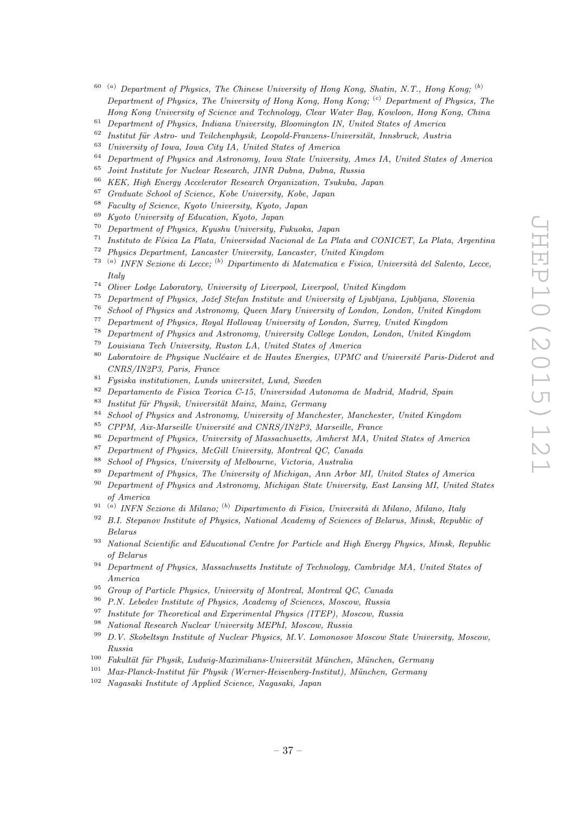- $60$  (a) Department of Physics, The Chinese University of Hong Kong, Shatin, N.T., Hong Kong;  $(b)$ Department of Physics, The University of Hong Kong, Hong Kong;  $(c)$  Department of Physics, The Hong Kong University of Science and Technology, Clear Water Bay, Kowloon, Hong Kong, China
- <sup>61</sup> Department of Physics, Indiana University, Bloomington IN, United States of America
- <sup>62</sup> Institut für Astro- und Teilchenphysik, Leopold-Franzens-Universität, Innsbruck, Austria<br><sup>63</sup> Ilgiusarity of Levis Long City LA, United States of America
- <sup>63</sup> University of Iowa, Iowa City IA, United States of America<br><sup>64</sup> Department of Physics and Astronomy, Iowa State University
- $^{64}$  Department of Physics and Astronomy, Iowa State University, Ames IA, United States of America
- $^{65}$  Joint Institute for Nuclear Research, JINR Dubna, Dubna, Russia<br> $^{66}$  KEK, High France Assetunter Because Openingties, Turkek, J
- <sup>66</sup> KEK, High Energy Accelerator Research Organization, Tsukuba, Japan
- <sup>67</sup> Graduate School of Science, Kobe University, Kobe, Japan
- $^{68}$  Faculty of Science, Kyoto University, Kyoto, Japan
- <sup>69</sup> Kyoto University of Education, Kyoto, Japan
- <sup>70</sup> Department of Physics, Kyushu University, Fukuoka, Japan
- <sup>71</sup> Instituto de Física La Plata, Universidad Nacional de La Plata and CONICET, La Plata, Argentina<br><sup>72</sup> Physica Department, Langastan University, Langastan United Kingdom
- <sup>72</sup> Physics Department, Lancaster University, Lancaster, United Kingdom<br><sup>73</sup> (a) IMEN Serience di Lecces (b) Dinortimenta di Matematice e Fisice, H
- <sup>73 (a)</sup> INFN Sezione di Lecce; <sup>(b)</sup> Dipartimento di Matematica e Fisica, Università del Salento, Lecce, Italy
- <sup>74</sup> Oliver Lodge Laboratory, University of Liverpool, Liverpool, United Kingdom<br><sup>75</sup> Department of Physics, Jožef Stefan Institute and University of Livilians, L
- Department of Physics, Jožef Stefan Institute and University of Ljubljana, Ljubljana, Slovenia
- <sup>76</sup> School of Physics and Astronomy, Queen Mary University of London, London, United Kingdom
- <sup>77</sup> Department of Physics, Royal Holloway University of London, Surrey, United Kingdom
- <sup>78</sup> Department of Physics and Astronomy, University College London, London, United Kingdom
- <sup>79</sup> Louisiana Tech University, Ruston LA, United States of America
- $80$  Laboratoire de Physique Nucléaire et de Hautes Energies, UPMC and Université Paris-Diderot and CNRS/IN2P3, Paris, France
- <sup>81</sup> Fysiska institutionen, Lunds universitet, Lund, Sweden
- <sup>82</sup> Departamento de Fisica Teorica C-15, Universidad Autonoma de Madrid, Madrid, Spain
- $83$  Institut für Physik, Universität Mainz, Mainz, Germany
- <sup>84</sup> School of Physics and Astronomy, University of Manchester, Manchester, United Kingdom
- $85$  CPPM, Aix-Marseille Université and CNRS/IN2P3, Marseille, France
- <sup>86</sup> Department of Physics, University of Massachusetts, Amherst MA, United States of America
- $87$  Department of Physics, McGill University, Montreal QC, Canada
- <sup>88</sup> School of Physics, University of Melbourne, Victoria, Australia<br><sup>89</sup> Penertment of Physics, The University of Michigan, Ann Arbor
- <sup>89</sup> Department of Physics, The University of Michigan, Ann Arbor MI, United States of America
- <sup>90</sup> Department of Physics and Astronomy, Michigan State University, East Lansing MI, United States of America
- <sup>91 (a)</sup> INFN Sezione di Milano; <sup>(b)</sup> Dipartimento di Fisica, Università di Milano, Milano, Italy
- $92$  B.I. Stepanov Institute of Physics, National Academy of Sciences of Belarus, Minsk, Republic of Belarus
- <sup>93</sup> National Scientific and Educational Centre for Particle and High Energy Physics, Minsk, Republic of Belarus
- $94$  Department of Physics, Massachusetts Institute of Technology, Cambridge MA, United States of America
- <sup>95</sup> Group of Particle Physics, University of Montreal, Montreal QC, Canada
- <sup>96</sup> P.N. Lebedev Institute of Physics, Academy of Sciences, Moscow, Russia
- <sup>97</sup> Institute for Theoretical and Experimental Physics (ITEP), Moscow, Russia
- <sup>98</sup> National Research Nuclear University MEPhI, Moscow, Russia
- <sup>99</sup> D.V. Skobeltsyn Institute of Nuclear Physics, M.V. Lomonosov Moscow State University, Moscow, Russia
- $100$  Fakultät für Physik, Ludwig-Maximilians-Universität München, München, Germany
- $101$  Max-Planck-Institut für Physik (Werner-Heisenberg-Institut), München, Germany
- <sup>102</sup> Nagasaki Institute of Applied Science, Nagasaki, Japan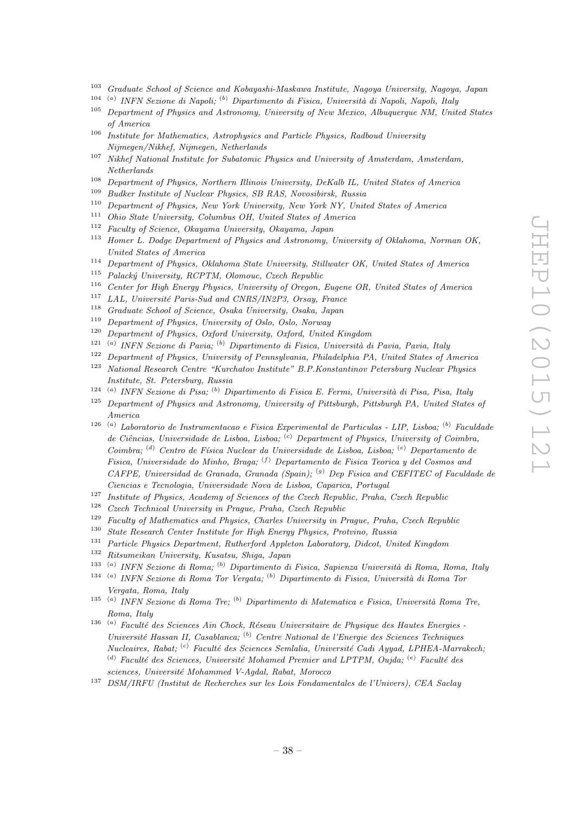- <sup>103</sup> Graduate School of Science and Kobayashi-Maskawa Institute, Nagoya University, Nagoya, Japan
- <sup>104 (a)</sup> INFN Sezione di Napoli; <sup>(b)</sup> Dipartimento di Fisica, Università di Napoli, Napoli, Italy
- <sup>105</sup> Department of Physics and Astronomy, University of New Mexico, Albuquerque NM, United States of America
- <sup>106</sup> Institute for Mathematics, Astrophysics and Particle Physics, Radboud University Nijmegen/Nikhef, Nijmegen, Netherlands
- <sup>107</sup> Nikhef National Institute for Subatomic Physics and University of Amsterdam, Amsterdam, Netherlands
- <sup>108</sup> Department of Physics, Northern Illinois University, DeKalb IL, United States of America
- <sup>109</sup> Budker Institute of Nuclear Physics, SB RAS, Novosibirsk, Russia
- <sup>110</sup> Department of Physics, New York University, New York NY, United States of America<br><sup>111</sup> Okia State University, Calumbus OIL United States of America
- <sup>111</sup> Ohio State University, Columbus OH, United States of America
- <sup>112</sup> Faculty of Science, Okayama University, Okayama, Japan
- <sup>113</sup> Homer L. Dodge Department of Physics and Astronomy, University of Oklahoma, Norman OK, United States of America
- <sup>114</sup> Department of Physics, Oklahoma State University, Stillwater OK, United States of America
- <sup>115</sup> Palacký University, RCPTM, Olomouc, Czech Republic
- <sup>116</sup> Center for High Energy Physics, University of Oregon, Eugene OR, United States of America<br><sup>117</sup> *LAL* Université Paris-Sud and CNRS/IN9P3 Orsou France
- <sup>117</sup> LAL, Université Paris-Sud and CNRS/IN2P3, Orsay, France<br><sup>118</sup> Craducta School of Science, Oscha University, Oscha, Israel
- <sup>118</sup> Graduate School of Science, Osaka University, Osaka, Japan<br><sup>119</sup> Department of Physics University of Oslo, Oslo, Norway
- Department of Physics, University of Oslo, Oslo, Norway
- <sup>120</sup> Department of Physics, Oxford University, Oxford, United Kingdom
- <sup>121 (a)</sup> INFN Sezione di Pavia; <sup>(b)</sup> Dipartimento di Fisica, Università di Pavia, Pavia, Italy
- <sup>122</sup> Department of Physics, University of Pennsylvania, Philadelphia PA, United States of America<br><sup>123</sup> National Bessereh Centre "Kurshatosy Institute" B.P. Konstantinov Petersburg Nuclear Physics
- <sup>123</sup> National Research Centre "Kurchatov Institute" B.P.Konstantinov Petersburg Nuclear Physics Institute, St. Petersburg, Russia
- <sup>124 (a)</sup> INFN Sezione di Pisa; <sup>(b)</sup> Dipartimento di Fisica E. Fermi, Università di Pisa, Pisa, Italy
- <sup>125</sup> Department of Physics and Astronomy, University of Pittsburgh, Pittsburgh PA, United States of America
- <sup>126 (a)</sup> Laboratorio de Instrumentacao e Fisica Experimental de Particulas LIP, Lisboa; <sup>(b)</sup> Faculdade de Ciências, Universidade de Lisboa, Lisboa;  $^{(c)}$  Department of Physics, University of Coimbra, Coimbra; <sup>(d)</sup> Centro de Física Nuclear da Universidade de Lisboa, Lisboa; <sup>(e)</sup> Departamento de Fisica, Universidade do Minho, Braga; (f) Departamento de Fisica Teorica y del Cosmos and CAFPE, Universidad de Granada, Granada (Spain); <sup>(g)</sup> Dep Fisica and CEFITEC of Faculdade de Ciencias e Tecnologia, Universidade Nova de Lisboa, Caparica, Portugal
- <sup>127</sup> Institute of Physics, Academy of Sciences of the Czech Republic, Praha, Czech Republic
- <sup>128</sup> Czech Technical University in Prague, Praha, Czech Republic
- <sup>129</sup> Faculty of Mathematics and Physics, Charles University in Prague, Praha, Czech Republic
- <sup>130</sup> State Research Center Institute for High Energy Physics, Protvino, Russia
- <sup>131</sup> Particle Physics Department, Rutherford Appleton Laboratory, Didcot, United Kingdom
- <sup>132</sup> Ritsumeikan University, Kusatsu, Shiga, Japan
- <sup>133 (a)</sup> INFN Sezione di Roma; <sup>(b)</sup> Dipartimento di Fisica, Sapienza Università di Roma, Roma, Italy
- <sup>134 (a)</sup> INFN Sezione di Roma Tor Vergata; <sup>(b)</sup> Dipartimento di Fisica, Università di Roma Tor Vergata, Roma, Italy
- <sup>135 (a)</sup> INFN Sezione di Roma Tre; <sup>(b)</sup> Dipartimento di Matematica e Fisica, Università Roma Tre, Roma, Italy
- $136$ <sup>(a)</sup> Faculté des Sciences Ain Chock, Réseau Universitaire de Physique des Hautes Energies -Université Hassan II, Casablanca;  $^{(b)}$  Centre National de l'Energie des Sciences Techniques  $Nucleaires, Rabat;$ <sup>(c)</sup> Faculté des Sciences Semlalia, Université Cadi Ayyad, LPHEA-Marrakech; (d) Faculté des Sciences, Université Mohamed Premier and LPTPM, Oujda;  $(e)$  Faculté des sciences, Université Mohammed V-Agdal, Rabat, Morocco
- <sup>137</sup> DSM/IRFU (Institut de Recherches sur les Lois Fondamentales de l'Univers), CEA Saclay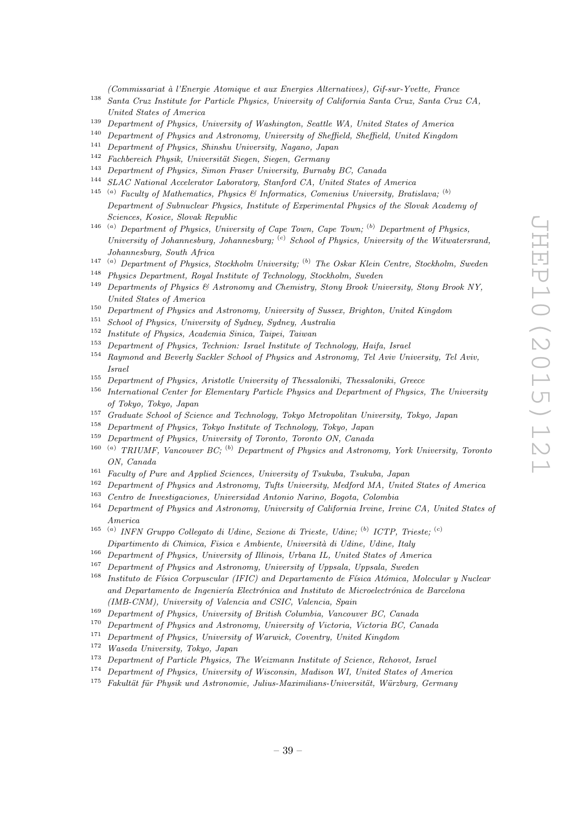(Commissariat `a l'Energie Atomique et aux Energies Alternatives), Gif-sur-Yvette, France

- <sup>138</sup> Santa Cruz Institute for Particle Physics, University of California Santa Cruz, Santa Cruz CA, United States of America
- <sup>139</sup> Department of Physics, University of Washington, Seattle WA, United States of America
- <sup>140</sup> Department of Physics and Astronomy, University of Sheffield, Sheffield, United Kingdom<br><sup>141</sup> Department of Physics Chinaby University Newset January 2006
- <sup>141</sup> Department of Physics, Shinshu University, Nagano, Japan<br><sup>142</sup> Eachbaraich Physik University Sissen Sissen Carmany
- <sup>142</sup> Fachbereich Physik, Universität Siegen, Siegen, Germany<br><sup>143</sup> Danasta vert of Physics Simon From Holmmitty Pranch
- <sup>143</sup> Department of Physics, Simon Fraser University, Burnaby BC, Canada<br><sup>144</sup> SLAC Matinaal Assolution Librarian Studied CA, United States of
- SLAC National Accelerator Laboratory, Stanford CA, United States of America
- <sup>145</sup> <sup>(a)</sup> Faculty of Mathematics, Physics & Informatics, Comenius University, Bratislava; <sup>(b)</sup> Department of Subnuclear Physics, Institute of Experimental Physics of the Slovak Academy of Sciences, Kosice, Slovak Republic
- <sup>146</sup> (a) Department of Physics, University of Cape Town, Cape Town;  $(b)$  Department of Physics, University of Johannesburg, Johannesburg;  $(c)$  School of Physics, University of the Witwatersrand, Johannesburg, South Africa
- <sup>147 (a)</sup> Department of Physics, Stockholm University; <sup>(b)</sup> The Oskar Klein Centre, Stockholm, Sweden
- <sup>148</sup> Physics Department, Royal Institute of Technology, Stockholm, Sweden
- <sup>149</sup> Departments of Physics & Astronomy and Chemistry, Stony Brook University, Stony Brook NY, United States of America
- <sup>150</sup> Department of Physics and Astronomy, University of Sussex, Brighton, United Kingdom
- <sup>151</sup> School of Physics, University of Sydney, Sydney, Australia
- <sup>152</sup> Institute of Physics, Academia Sinica, Taipei, Taiwan
- <sup>153</sup> Department of Physics, Technion: Israel Institute of Technology, Haifa, Israel
- <sup>154</sup> Raymond and Beverly Sackler School of Physics and Astronomy, Tel Aviv University, Tel Aviv, Israel
- <sup>155</sup> Department of Physics, Aristotle University of Thessaloniki, Thessaloniki, Greece
- <sup>156</sup> International Center for Elementary Particle Physics and Department of Physics, The University of Tokyo, Tokyo, Japan
- <sup>157</sup> Graduate School of Science and Technology, Tokyo Metropolitan University, Tokyo, Japan
- <sup>158</sup> Department of Physics, Tokyo Institute of Technology, Tokyo, Japan
- <sup>159</sup> Department of Physics, University of Toronto, Toronto ON, Canada
- <sup>160</sup> <sup>(a)</sup> TRIUMF. Vancouver BC; <sup>(b)</sup> Department of Physics and Astronomy, York University, Toronto ON, Canada
- <sup>161</sup> Faculty of Pure and Applied Sciences, University of Tsukuba, Tsukuba, Japan
- <sup>162</sup> Department of Physics and Astronomy, Tufts University, Medford MA, United States of America
- <sup>163</sup> Centro de Investigaciones, Universidad Antonio Narino, Bogota, Colombia
- <sup>164</sup> Department of Physics and Astronomy, University of California Irvine, Irvine CA, United States of America
- <sup>165 (a)</sup> INFN Gruppo Collegato di Udine, Sezione di Trieste, Udine; <sup>(b)</sup> ICTP, Trieste; <sup>(c)</sup> Dipartimento di Chimica, Fisica e Ambiente, Università di Udine, Udine, Italy
- <sup>166</sup> Department of Physics, University of Illinois, Urbana IL, United States of America<br><sup>167</sup> Department of Physics and Astronomy University of Unpeals, Unpeals, Syndem
- <sup>167</sup> Department of Physics and Astronomy, University of Uppsala, Uppsala, Sweden
- $168$  Instituto de Física Corpuscular (IFIC) and Departamento de Física Atómica, Molecular y Nuclear and Departamento de Ingeniería Electrónica and Instituto de Microelectrónica de Barcelona (IMB-CNM), University of Valencia and CSIC, Valencia, Spain
- <sup>169</sup> Department of Physics, University of British Columbia, Vancouver BC, Canada
- <sup>170</sup> Department of Physics and Astronomy, University of Victoria, Victoria BC, Canada
- <sup>171</sup> Department of Physics, University of Warwick, Coventry, United Kingdom
- <sup>172</sup> Waseda University, Tokyo, Japan
- <sup>173</sup> Department of Particle Physics, The Weizmann Institute of Science, Rehovot, Israel
- <sup>174</sup> Department of Physics, University of Wisconsin, Madison WI, United States of America
- $175$  Fakultät für Physik und Astronomie, Julius-Maximilians-Universität, Würzburg, Germany